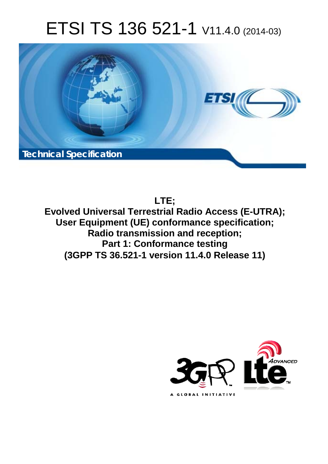# ETSI TS 136 521-1 V11.4.0 (2014-03)



**LTE;**

**Evolved Universal Terrestrial Radio Access (E-UTRA); User Equipment (UE) conformance specification; Radio transmission and reception; Part 1: Conformance testing (3GPP TS 36.521-1 version 11.4.0 Release 11)** 

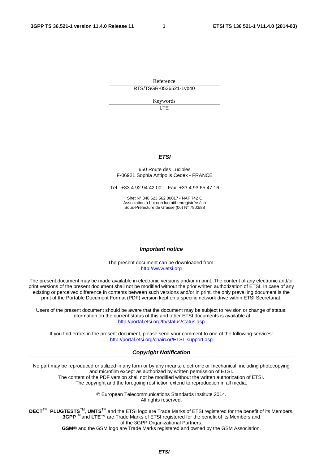Reference RTS/TSGR-0536521-1vb40

Keywords

 $\overline{1}$ 

#### *ETSI*

#### 650 Route des Lucioles F-06921 Sophia Antipolis Cedex - FRANCE

Tel.: +33 4 92 94 42 00 Fax: +33 4 93 65 47 16

Siret N° 348 623 562 00017 - NAF 742 C Association à but non lucratif enregistrée à la Sous-Préfecture de Grasse (06) N° 7803/88

#### *Important notice*

The present document can be downloaded from: [http://www.etsi.org](http://www.etsi.org/)

The present document may be made available in electronic versions and/or in print. The content of any electronic and/or print versions of the present document shall not be modified without the prior written authorization of ETSI. In case of any existing or perceived difference in contents between such versions and/or in print, the only prevailing document is the print of the Portable Document Format (PDF) version kept on a specific network drive within ETSI Secretariat.

Users of the present document should be aware that the document may be subject to revision or change of status. Information on the current status of this and other ETSI documents is available at <http://portal.etsi.org/tb/status/status.asp>

If you find errors in the present document, please send your comment to one of the following services: [http://portal.etsi.org/chaircor/ETSI\\_support.asp](http://portal.etsi.org/chaircor/ETSI_support.asp)

#### *Copyright Notification*

No part may be reproduced or utilized in any form or by any means, electronic or mechanical, including photocopying and microfilm except as authorized by written permission of ETSI.

The content of the PDF version shall not be modified without the written authorization of ETSI. The copyright and the foregoing restriction extend to reproduction in all media.

> © European Telecommunications Standards Institute 2014. All rights reserved.

**DECT**TM, **PLUGTESTS**TM, **UMTS**TM and the ETSI logo are Trade Marks of ETSI registered for the benefit of its Members. **3GPP**TM and **LTE**™ are Trade Marks of ETSI registered for the benefit of its Members and of the 3GPP Organizational Partners.

**GSM**® and the GSM logo are Trade Marks registered and owned by the GSM Association.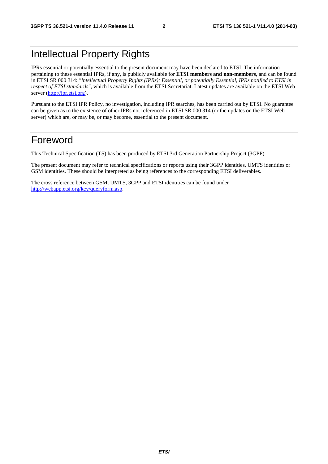## Intellectual Property Rights

IPRs essential or potentially essential to the present document may have been declared to ETSI. The information pertaining to these essential IPRs, if any, is publicly available for **ETSI members and non-members**, and can be found in ETSI SR 000 314: *"Intellectual Property Rights (IPRs); Essential, or potentially Essential, IPRs notified to ETSI in respect of ETSI standards"*, which is available from the ETSI Secretariat. Latest updates are available on the ETSI Web server [\(http://ipr.etsi.org](http://webapp.etsi.org/IPR/home.asp)).

Pursuant to the ETSI IPR Policy, no investigation, including IPR searches, has been carried out by ETSI. No guarantee can be given as to the existence of other IPRs not referenced in ETSI SR 000 314 (or the updates on the ETSI Web server) which are, or may be, or may become, essential to the present document.

### Foreword

This Technical Specification (TS) has been produced by ETSI 3rd Generation Partnership Project (3GPP).

The present document may refer to technical specifications or reports using their 3GPP identities, UMTS identities or GSM identities. These should be interpreted as being references to the corresponding ETSI deliverables.

The cross reference between GSM, UMTS, 3GPP and ETSI identities can be found under [http://webapp.etsi.org/key/queryform.asp.](http://webapp.etsi.org/key/queryform.asp)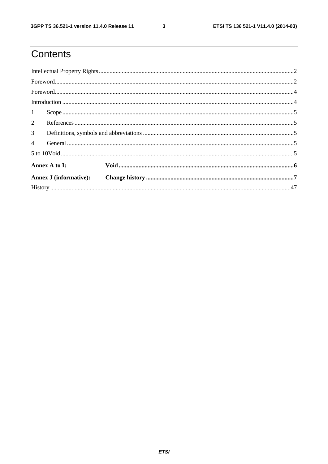# Contents

| 1                      |  |
|------------------------|--|
|                        |  |
| 3 <sup>7</sup>         |  |
|                        |  |
|                        |  |
| Annex A to I:          |  |
| Annex J (informative): |  |
|                        |  |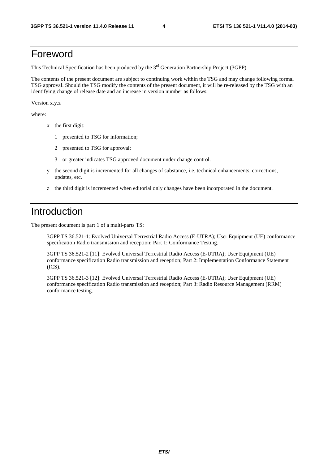#### Foreword

This Technical Specification has been produced by the 3<sup>rd</sup> Generation Partnership Project (3GPP).

The contents of the present document are subject to continuing work within the TSG and may change following formal TSG approval. Should the TSG modify the contents of the present document, it will be re-released by the TSG with an identifying change of release date and an increase in version number as follows:

Version x.y.z

where:

- x the first digit:
	- 1 presented to TSG for information;
	- 2 presented to TSG for approval;
	- 3 or greater indicates TSG approved document under change control.
- y the second digit is incremented for all changes of substance, i.e. technical enhancements, corrections, updates, etc.
- z the third digit is incremented when editorial only changes have been incorporated in the document.

#### Introduction

The present document is part 1 of a multi-parts TS:

 3GPP TS 36.521-1: Evolved Universal Terrestrial Radio Access (E-UTRA); User Equipment (UE) conformance specification Radio transmission and reception; Part 1: Conformance Testing.

 3GPP TS 36.521-2 [11]: Evolved Universal Terrestrial Radio Access (E-UTRA); User Equipment (UE) conformance specification Radio transmission and reception; Part 2: Implementation Conformance Statement (ICS).

 3GPP TS 36.521-3 [12]: Evolved Universal Terrestrial Radio Access (E-UTRA); User Equipment (UE) conformance specification Radio transmission and reception; Part 3: Radio Resource Management (RRM) conformance testing.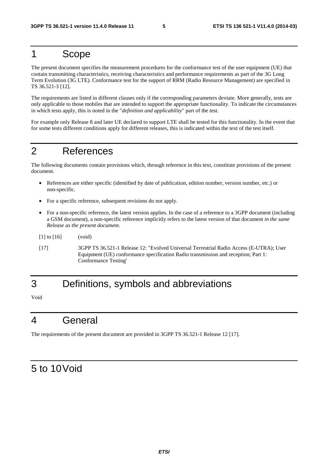### 1 Scope

The present document specifies the measurement procedures for the conformance test of the user equipment (UE) that contain transmitting characteristics, receiving characteristics and performance requirements as part of the 3G Long Term Evolution (3G LTE). Conformance test for the support of RRM (Radio Resource Management) are specified in TS 36.521-3 [12].

The requirements are listed in different clauses only if the corresponding parameters deviate. More generally, tests are only applicable to those mobiles that are intended to support the appropriate functionality. To indicate the circumstances in which tests apply, this is noted in the "*definition and applicability*" part of the test.

For example only Release 8 and later UE declared to support LTE shall be tested for this functionality. In the event that for some tests different conditions apply for different releases, this is indicated within the text of the test itself.

## 2 References

The following documents contain provisions which, through reference in this text, constitute provisions of the present document.

- References are either specific (identified by date of publication, edition number, version number, etc.) or non-specific.
- For a specific reference, subsequent revisions do not apply.
- For a non-specific reference, the latest version applies. In the case of a reference to a 3GPP document (including a GSM document), a non-specific reference implicitly refers to the latest version of that document *in the same Release as the present document*.
- [1] to [16] (void)
- [17] 3GPP TS 36.521-1 Release 12: "Evolved Universal Terrestrial Radio Access (E-UTRA); User Equipment (UE) conformance specification Radio transmission and reception; Part 1: Conformance Testing'

## 3 Definitions, symbols and abbreviations

Void

## 4 General

The requirements of the present document are provided in 3GPP TS 36.521-1 Release 12 [17].

#### 5 to 10 Void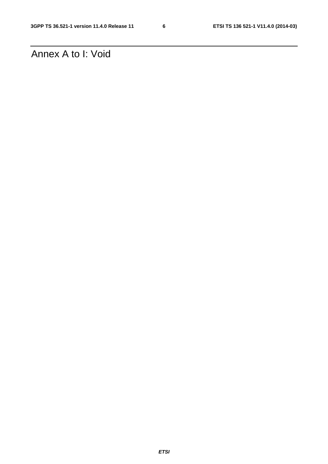Annex A to I: Void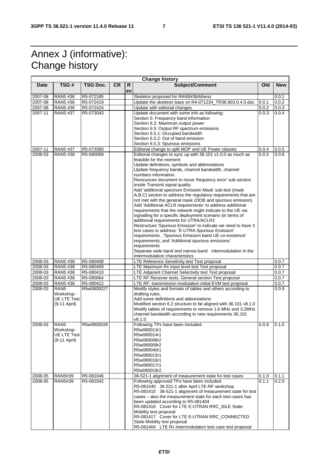# Annex J (informative): Change history

| <b>Change history</b> |                    |            |           |         |                                                                                                                                         |       |            |  |  |  |
|-----------------------|--------------------|------------|-----------|---------|-----------------------------------------------------------------------------------------------------------------------------------------|-------|------------|--|--|--|
| <b>Date</b>           | TSG#               | TSG Doc.   | <b>CR</b> | R<br>ev | Subject/Comment                                                                                                                         | Old   | <b>New</b> |  |  |  |
| 2007-08               | RAN5 #36           | R5-072185  |           |         | Skeleton proposed for RAN5#36Athens                                                                                                     |       | 0.0.1      |  |  |  |
| 2007-08               | RAN5 #36           | R5-072419  |           |         | Update the skeleton base on R4-071234 TR36.803.0.4.0.doc                                                                                | 0.0.1 | 0.0.2      |  |  |  |
| 2007-08               | RAN5 #36           | R5-072424  |           |         | Update with editorial changes                                                                                                           | 0.0.2 | 0.0.3      |  |  |  |
| 2007-11               | RAN5 #37           | R5-073043  |           |         | Update document with some info as following:                                                                                            | 0.0.3 | 0.0.4      |  |  |  |
|                       |                    |            |           |         | Section 5: Frequency band information                                                                                                   |       |            |  |  |  |
|                       |                    |            |           |         | Section 6.2: Maximum output power                                                                                                       |       |            |  |  |  |
|                       |                    |            |           |         | Section 6.5: Output RF spectrum emissions                                                                                               |       |            |  |  |  |
|                       |                    |            |           |         | Section 6.5.1: Occupied bandwidth                                                                                                       |       |            |  |  |  |
|                       |                    |            |           |         | Section 6.5.2: Out of band emission                                                                                                     |       |            |  |  |  |
|                       |                    |            |           |         | Section 6.5.3: Spurious emissions                                                                                                       |       |            |  |  |  |
| 2007-11               | RAN5 #37           | R5-073360  |           |         | Editorial change to split MOP and UE Power classes                                                                                      | 0.0.4 | 0.0.5      |  |  |  |
| 2008-03               | RAN5 #38           | R5-080069  |           |         | Editorial changes to sync up with 36.101 v1.0.0 as much as<br>feasible for the moment:<br>Update definitions, symbols and abbreviations | 0.0.5 | 0.0.6      |  |  |  |
|                       |                    |            |           |         | Update frequency bands, channel bandwidth, channel<br>numbers information.                                                              |       |            |  |  |  |
|                       |                    |            |           |         | Restructure document to move 'frequency error' sub-section<br>inside Transmit signal quality.                                           |       |            |  |  |  |
|                       |                    |            |           |         | Add 'additional spectrum Emission Mask' sub-test (mask<br>A,B,C) section to address the regulatory requirements that are                |       |            |  |  |  |
|                       |                    |            |           |         | not met with the general mask (OOB and spurious emission).                                                                              |       |            |  |  |  |
|                       |                    |            |           |         | Add 'Additional ACLR requirements' to address additional<br>requirements that the network might indicate to the UE via                  |       |            |  |  |  |
|                       |                    |            |           |         | signalling for a specific deployment scenario (in terms of                                                                              |       |            |  |  |  |
|                       |                    |            |           |         | additional requirements for UTRA/ACLR2                                                                                                  |       |            |  |  |  |
|                       |                    |            |           |         | Restructure 'Spurious Emission' to indicate we need to have 3                                                                           |       |            |  |  |  |
|                       |                    |            |           |         | test cases to address: 'E-UTRA Spurious Emission'<br>requirements, 'Spurious Emission band UE co-existence'                             |       |            |  |  |  |
|                       |                    |            |           |         | requirements, and 'Additional spurious emissions'                                                                                       |       |            |  |  |  |
|                       |                    |            |           |         | requirements                                                                                                                            |       |            |  |  |  |
|                       |                    |            |           |         | Separate wide band and narrow band intermodulation in the                                                                               |       |            |  |  |  |
|                       |                    |            |           |         | intermodulation characteristics                                                                                                         |       |            |  |  |  |
| 2008-03               | RAN5 #38           | R5-080408  |           |         | LTE Reference Sensitivity test Text proposal                                                                                            |       | 0.0.7      |  |  |  |
| 2008-03               | RAN5 #38           | R5-080409  |           |         | LTE Maximum Rx input level test Text proposal                                                                                           |       | 0.0.7      |  |  |  |
| 2008-03               | RAN5 #38           | R5-080410  |           |         | LTE Adjacent Channel Selectivity test Text proposal                                                                                     |       | 0.0.7      |  |  |  |
| 2008-03               | RAN5 #38           | R5-080064  |           |         | LTE RF Receiver tests, General section Text proposal                                                                                    |       | 0.0.7      |  |  |  |
| 2008-03               | RAN5 #38           | R5-080412  |           |         | LTE RF: transmission modulation initial EVM test proposal                                                                               |       | 0.0.7      |  |  |  |
| 2008-03               | RAN <sub>5</sub>   | R5w0800027 |           |         | Modify styles and formats of tables and others according to                                                                             |       | 0.0.9      |  |  |  |
|                       | Workshop-          |            |           |         | drafting rules.                                                                                                                         |       |            |  |  |  |
|                       | <b>UE LTE Test</b> |            |           |         | Add some definitions and abbreviations                                                                                                  |       |            |  |  |  |
|                       | (9-11 April)       |            |           |         | Modified section 6.2 structure to be aligned with 36.101 v8.1.0<br>Modify tables of requirements to remove 1.6 MHz and 3.2MHz           |       |            |  |  |  |
|                       |                    |            |           |         | channel bandwidth according to new requirements 36.101                                                                                  |       |            |  |  |  |
|                       |                    |            |           |         | v8.1.0                                                                                                                                  |       |            |  |  |  |
| 2008-03               | RAN <sub>5</sub>   | R5w0800028 |           |         | Following TPs have been included:                                                                                                       | 0.0.9 | 0.1.0      |  |  |  |
|                       | Workshop-          |            |           |         | R5w080013r1                                                                                                                             |       |            |  |  |  |
|                       | UE LTE Test        |            |           |         | R5w080014r1                                                                                                                             |       |            |  |  |  |
|                       | (9-11 April)       |            |           |         | R5w080008r2                                                                                                                             |       |            |  |  |  |
|                       |                    |            |           |         | R5w080009r2                                                                                                                             |       |            |  |  |  |
|                       |                    |            |           |         | R5w080040r1<br>R5w080015r1                                                                                                              |       |            |  |  |  |
|                       |                    |            |           |         | R5w080016r1                                                                                                                             |       |            |  |  |  |
|                       |                    |            |           |         | R5w080017r1                                                                                                                             |       |            |  |  |  |
|                       |                    |            |           |         | R5w080018r2                                                                                                                             |       |            |  |  |  |
| 2008-05               | RAN5#39            | R5-081046  |           |         | 36-521-1 alignment of measurement state for test cases                                                                                  | 0.1.0 | 0.1.1      |  |  |  |
| 2008-05               | RAN5#39            | R5-081042  |           |         | Following approved TPs have been included:                                                                                              | 0.1.1 | 0.2.0      |  |  |  |
|                       |                    |            |           |         | R5-081040 36.521-1 after April LTE-RF workshop                                                                                          |       |            |  |  |  |
|                       |                    |            |           |         | R5-081415 36-521-1 alignment of measurement state for test                                                                              |       |            |  |  |  |
|                       |                    |            |           |         | cases – also the measurement state for each test cases has                                                                              |       |            |  |  |  |
|                       |                    |            |           |         | been updated according to R5-081404                                                                                                     |       |            |  |  |  |
|                       |                    |            |           |         | R5-081416 Cover for LTE E-UTRAN RRC_IDLE State                                                                                          |       |            |  |  |  |
|                       |                    |            |           |         | Mobility text proposal                                                                                                                  |       |            |  |  |  |
|                       |                    |            |           |         | R5-081417 Cover for LTE E-UTRAN RRC_CONNECTED                                                                                           |       |            |  |  |  |
|                       |                    |            |           |         | State Mobility text proposal<br>R5-081404 LTE Rx Intermodulation test case text proposal                                                |       |            |  |  |  |
|                       |                    |            |           |         |                                                                                                                                         |       |            |  |  |  |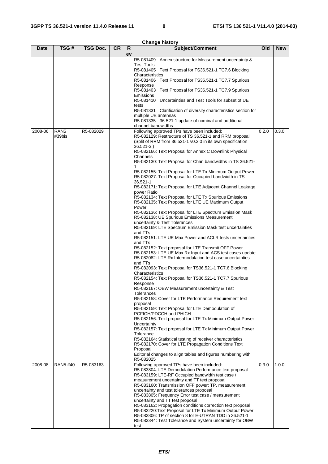| <b>Change history</b> |                            |                 |           |          |                                                                                                                                                                                                                                                                                                                                                                                                                                                                                                                                                                                                                                                                                                                                                                                                                                                                                                                                                                                                                                                                                                                                                                                                                                                                                                                                                                                                                                                                                                                                                                                                                                                                                                                                                                                                                                                                                       |       |            |  |  |
|-----------------------|----------------------------|-----------------|-----------|----------|---------------------------------------------------------------------------------------------------------------------------------------------------------------------------------------------------------------------------------------------------------------------------------------------------------------------------------------------------------------------------------------------------------------------------------------------------------------------------------------------------------------------------------------------------------------------------------------------------------------------------------------------------------------------------------------------------------------------------------------------------------------------------------------------------------------------------------------------------------------------------------------------------------------------------------------------------------------------------------------------------------------------------------------------------------------------------------------------------------------------------------------------------------------------------------------------------------------------------------------------------------------------------------------------------------------------------------------------------------------------------------------------------------------------------------------------------------------------------------------------------------------------------------------------------------------------------------------------------------------------------------------------------------------------------------------------------------------------------------------------------------------------------------------------------------------------------------------------------------------------------------------|-------|------------|--|--|
| <b>Date</b>           | TSG#                       | <b>TSG Doc.</b> | <b>CR</b> | R.<br>ev | Subject/Comment                                                                                                                                                                                                                                                                                                                                                                                                                                                                                                                                                                                                                                                                                                                                                                                                                                                                                                                                                                                                                                                                                                                                                                                                                                                                                                                                                                                                                                                                                                                                                                                                                                                                                                                                                                                                                                                                       | Old   | <b>New</b> |  |  |
|                       |                            |                 |           |          | R5-081409 Annex structure for Measurement uncertainty &<br><b>Test Tools</b><br>R5-081405 Text Proposal for TS36.521-1 TC7.6 Blocking<br>Characteristics<br>R5-081406 Text Proposal for TS36.521-1 TC7.7 Spurious<br>Response<br>R5-081403 Text Proposal for TS36.521-1 TC7.9 Spurious<br><b>Emissions</b><br>R5-081410 Uncertainties and Test Tools for subset of UE<br>tests<br>R5-081331 Clarification of diversity characteristics section for<br>multiple UE antennas<br>R5-081335 36-521-1 update of nominal and additional<br>channel bandwidths                                                                                                                                                                                                                                                                                                                                                                                                                                                                                                                                                                                                                                                                                                                                                                                                                                                                                                                                                                                                                                                                                                                                                                                                                                                                                                                               |       |            |  |  |
| 2008-06               | RAN <sub>5</sub><br>#39bis | R5-082029       |           |          | Following approved TPs have been included:<br>R5-082129: Restructure of TS 36.521-1 and RRM proposal<br>(Split of RRM from 36.521-1 v0.2.0 in its own specification<br>$36.521 - 3.$<br>R5-082166: Text Proposal for Annex C Downlink Physical<br>Channels<br>R5-082130: Text Proposal for Chan bandwidths in TS 36.521-<br>R5-082155: Text Proposal for LTE Tx Minimum Output Power<br>R5-082027: Text Proposal for Occupied bandwidth in TS<br>36.521-1<br>R5-082171: Text Proposal for LTE Adjacent Channel Leakage<br>power Ratio<br>R5-082134: Text Proposal for LTE Tx Spurious Emissions<br>R5-082135: Text Proposal for LTE UE Maximum Output<br>Power<br>R5-082136: Text Proposal for LTE Spectrum Emission Mask<br>R5-082138: UE Spurious Emissions Measurement<br>uncertainty & Test Tolerances<br>R5-082169: LTE Spectrum Emission Mask test uncertainties<br>and TTs<br>R5-082151: LTE UE Max Power and ACLR tests uncertainties<br>and TTs<br>R5-082152: Text proposal for LTE Transmit OFF Power<br>R5-082153: LTE UE Max Rx Input and ACS test cases update<br>R5-082082: LTE Rx Intermodulation test case uncertainties<br>and TTs<br>R5-082093: Text Proposal for TS36.521-1 TC7.6 Blocking<br>Characteristics<br>R5-082154: Text Proposal for TS36.521-1 TC7.7 Spurious<br>Response<br>R5-082167: OBW Measurement uncertainty & Test<br><b>Tolerances</b><br>R5-082158: Cover for LTE Performance Requirement text<br>proposal<br>R5-082159: Text Proposal for LTE Demodulation of<br>PCFICH/PDCCH and PHICH<br>R5-082156: Text proposal for LTE Tx Minimum Output Power<br>Uncertainty<br>R5-082157: Text proposal for LTE Tx Minimum Output Power<br>Tolerance<br>R5-082164: Statistical testing of receiver characteristics<br>R5-082170: Cover for LTE Propagation Conditions Text<br>Proposal<br>Editorial changes to align tables and figures numbering with | 0.2.0 | 0.3.0      |  |  |
| 2008-08               | RAN5 #40                   | R5-083163       |           |          | R5-082025<br>Following approved TPs have been included:<br>R5-083804: LTE Demodulation Performance text proposal<br>R5-083159: LTE-RF Occupied bandwidth test case /<br>measurement uncertainty and TT text proposal<br>R5-083160: Transmission OFF power: TP, measurement<br>uncertainty and test tolerances proposal<br>R5-083805: Frequency Error test case / measurement<br>uncertainty and TT test proposal<br>R5-083162: Propagation conditions correction text proposal<br>R5-083220: Text Proposal for LTE Tx Minimum Output Power<br>R5-083806: TP of section 8 for E-UTRAN TDD in 36.521-1<br>R5-083344: Test Tolerance and System uncertainty for OBW<br>test                                                                                                                                                                                                                                                                                                                                                                                                                                                                                                                                                                                                                                                                                                                                                                                                                                                                                                                                                                                                                                                                                                                                                                                                              | 0.3.0 | 1.0.0      |  |  |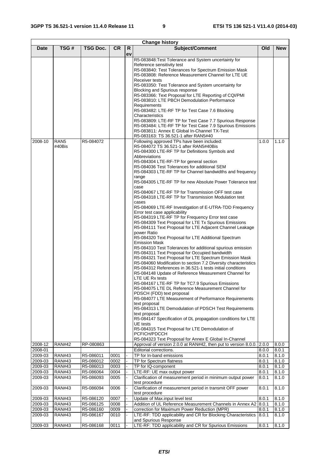|                    | <b>Change history</b>          |                        |              |    |                                                                                                                                                                                                                                                                                                                                                                                                                                                                                                                                                                                                                                                                                                                                                                                                                                                                                                                                                                                                                                                                                                                                                                                                                                                                                                                                                                                                                                                                                                                                                                                                                                                                                                                                                                                                                                                                                                                                                                                                                                                                                                                                                                                                                                                                                                                                                                                                                                                           |                             |                |  |  |  |  |
|--------------------|--------------------------------|------------------------|--------------|----|-----------------------------------------------------------------------------------------------------------------------------------------------------------------------------------------------------------------------------------------------------------------------------------------------------------------------------------------------------------------------------------------------------------------------------------------------------------------------------------------------------------------------------------------------------------------------------------------------------------------------------------------------------------------------------------------------------------------------------------------------------------------------------------------------------------------------------------------------------------------------------------------------------------------------------------------------------------------------------------------------------------------------------------------------------------------------------------------------------------------------------------------------------------------------------------------------------------------------------------------------------------------------------------------------------------------------------------------------------------------------------------------------------------------------------------------------------------------------------------------------------------------------------------------------------------------------------------------------------------------------------------------------------------------------------------------------------------------------------------------------------------------------------------------------------------------------------------------------------------------------------------------------------------------------------------------------------------------------------------------------------------------------------------------------------------------------------------------------------------------------------------------------------------------------------------------------------------------------------------------------------------------------------------------------------------------------------------------------------------------------------------------------------------------------------------------------------------|-----------------------------|----------------|--|--|--|--|
| <b>Date</b>        | TSG#                           | TSG Doc.               | <b>CR</b>    | R  | Subject/Comment                                                                                                                                                                                                                                                                                                                                                                                                                                                                                                                                                                                                                                                                                                                                                                                                                                                                                                                                                                                                                                                                                                                                                                                                                                                                                                                                                                                                                                                                                                                                                                                                                                                                                                                                                                                                                                                                                                                                                                                                                                                                                                                                                                                                                                                                                                                                                                                                                                           | Old                         | <b>New</b>     |  |  |  |  |
| 2008-10            | RAN <sub>5</sub><br>#40Bis     | R5-084072              |              | ev | R5-083848: Test Tolerance and System uncertainty for<br>Reference sensitivity test<br>R5-083840: Test Tolerances for Spectrum Emission Mask<br>R5-083808: Reference Measurement Channel for LTE UE<br>Receiver tests<br>R5-083350: Test Tolerance and System uncertainty for<br>Blocking and Spurious response<br>R5-083366: Text Proposal for LTE Reporting of CQI/PMI<br>R5-083810: LTE PBCH Demodulation Performance<br>Requirements<br>R5-083482: LTE-RF TP for Test Case 7.6 Blocking<br>Characteristics<br>R5-083809: LTE-RF TP for Test Case 7.7 Spurious Response<br>R5-083484: LTE-RF TP for Test Case 7.9 Spurious Emissions<br>R5-083811: Annex E Global In-Channel TX-Test<br>R5-083163: TS 36.521-1 after RAN5#40<br>Following approved TPs have been included:<br>R5-084072 TS 36.521-1 after RAN5#40Bis<br>R5-084300 LTE-RF TP for Definitions Symbols and<br>Abbreviations<br>R5-084304 LTE-RF-TP for general section<br>R5-084036 Test Tolerances for additional SEM<br>R5-084303 LTE-RF TP for Channel bandwidths and frequency<br>range<br>R5-084305 LTE-RF TP for new Absolute Power Tolerance test<br>case<br>R5-084067 LTE-RF TP for Transmission OFF test case<br>R5-084318 LTE-RF TP for Transmission Modulation test<br>cases<br>R5-084069 LTE-RF Investigation of E-UTRA-TDD Frequency<br>Error test case applicability<br>R5-084319 LTE-RF TP for Frequency Error test case<br>R5-084309 Text Proposal for LTE Tx Spurious Emissions<br>R5-084111 Text Proposal for LTE Adjacent Channel Leakage<br>power Ratio<br>R5-084320 Text Proposal for LTE Additional Spectrum<br><b>Emission Mask</b><br>R5-084310 Test Tolerances for additional spurious emission<br>R5-084311 Text Proposal for Occupied bandwidth<br>R5-084321 Text Proposal for LTE Spectrum Emission Mask<br>R5-084060 Modification to section 7.2 Diversity characteristics<br>R5-084312 References in 36.521-1 tests initial conditions<br>R5-084148 Update of Reference Measurement Channel for<br>LTE UE Rx tests<br>R5-084167 LTE-RF TP for TC7.9 Spurious Emissions<br>R5-084075 LTE DL Reference Measurement Channel for<br>PDSCH (FDD) text proposal<br>R5-084077 LTE Measurement of Performance Requirements<br>text proposal<br>R5-084313 LTE Demodulation of PDSCH Test Requirements<br>text proposal<br>R5-084147 Specification of DL propagation conditions for LTE<br>UE tests<br>R5-084315 Text Proposal for LTE Demodulation of<br>PCFICH/PDCCH | 1.0.0                       | 1.1.0          |  |  |  |  |
| 2008-12            | <b>RAN#42</b>                  | RP-080863              |              |    | R5-084323 Text Proposal for Annex E Global In-Channel<br>Approval of version 2.0.0 at RAN#42, then put to version 8.0.0. 2.0.0                                                                                                                                                                                                                                                                                                                                                                                                                                                                                                                                                                                                                                                                                                                                                                                                                                                                                                                                                                                                                                                                                                                                                                                                                                                                                                                                                                                                                                                                                                                                                                                                                                                                                                                                                                                                                                                                                                                                                                                                                                                                                                                                                                                                                                                                                                                            |                             | 8.0.0          |  |  |  |  |
| 2008-01            |                                |                        |              |    | Editorial corrections.                                                                                                                                                                                                                                                                                                                                                                                                                                                                                                                                                                                                                                                                                                                                                                                                                                                                                                                                                                                                                                                                                                                                                                                                                                                                                                                                                                                                                                                                                                                                                                                                                                                                                                                                                                                                                                                                                                                                                                                                                                                                                                                                                                                                                                                                                                                                                                                                                                    | 8.0.0                       | 8.0.1          |  |  |  |  |
| 2009-03            | <b>RAN#43</b>                  | R5-086011              | 0001         |    | TP for In-band emissions                                                                                                                                                                                                                                                                                                                                                                                                                                                                                                                                                                                                                                                                                                                                                                                                                                                                                                                                                                                                                                                                                                                                                                                                                                                                                                                                                                                                                                                                                                                                                                                                                                                                                                                                                                                                                                                                                                                                                                                                                                                                                                                                                                                                                                                                                                                                                                                                                                  | 8.0.1                       | 8.1.0          |  |  |  |  |
| 2009-03            | <b>RAN#43</b>                  | R5-086012              | 0002         |    | TP for Spectrum flatness                                                                                                                                                                                                                                                                                                                                                                                                                                                                                                                                                                                                                                                                                                                                                                                                                                                                                                                                                                                                                                                                                                                                                                                                                                                                                                                                                                                                                                                                                                                                                                                                                                                                                                                                                                                                                                                                                                                                                                                                                                                                                                                                                                                                                                                                                                                                                                                                                                  | 8.0.1                       | 8.1.0          |  |  |  |  |
| 2009-03            | <b>RAN#43</b>                  | R5-086013              | 0003         |    | TP for IQ-component                                                                                                                                                                                                                                                                                                                                                                                                                                                                                                                                                                                                                                                                                                                                                                                                                                                                                                                                                                                                                                                                                                                                                                                                                                                                                                                                                                                                                                                                                                                                                                                                                                                                                                                                                                                                                                                                                                                                                                                                                                                                                                                                                                                                                                                                                                                                                                                                                                       | 8.0.1                       | 8.1.0          |  |  |  |  |
| 2009-03<br>2009-03 | <b>RAN#43</b><br><b>RAN#43</b> | R5-086064<br>R5-086093 | 0004<br>0005 |    | LTE-RF: UE max output power<br>Clarification of measurement period in minimum output power<br>test procedure                                                                                                                                                                                                                                                                                                                                                                                                                                                                                                                                                                                                                                                                                                                                                                                                                                                                                                                                                                                                                                                                                                                                                                                                                                                                                                                                                                                                                                                                                                                                                                                                                                                                                                                                                                                                                                                                                                                                                                                                                                                                                                                                                                                                                                                                                                                                              | 8.0.1<br>8.0.1              | 8.1.0<br>8.1.0 |  |  |  |  |
| 2009-03            | <b>RAN#43</b>                  | R5-086094              | 0006         |    | Clarification of measurement period in transmit OFF power<br>test procedure                                                                                                                                                                                                                                                                                                                                                                                                                                                                                                                                                                                                                                                                                                                                                                                                                                                                                                                                                                                                                                                                                                                                                                                                                                                                                                                                                                                                                                                                                                                                                                                                                                                                                                                                                                                                                                                                                                                                                                                                                                                                                                                                                                                                                                                                                                                                                                               | 8.0.1                       | 8.1.0          |  |  |  |  |
| 2009-03            | <b>RAN#43</b>                  | R5-086120              | 0007         |    | Update of Max.input level test                                                                                                                                                                                                                                                                                                                                                                                                                                                                                                                                                                                                                                                                                                                                                                                                                                                                                                                                                                                                                                                                                                                                                                                                                                                                                                                                                                                                                                                                                                                                                                                                                                                                                                                                                                                                                                                                                                                                                                                                                                                                                                                                                                                                                                                                                                                                                                                                                            | 8.0.1                       | 8.1.0          |  |  |  |  |
| 2009-03            | <b>RAN#43</b>                  | R5-086125              | 0008         |    | Addition of UL Reference Measurement Channels in Annex A2 8.0.1                                                                                                                                                                                                                                                                                                                                                                                                                                                                                                                                                                                                                                                                                                                                                                                                                                                                                                                                                                                                                                                                                                                                                                                                                                                                                                                                                                                                                                                                                                                                                                                                                                                                                                                                                                                                                                                                                                                                                                                                                                                                                                                                                                                                                                                                                                                                                                                           |                             | 8.1.0          |  |  |  |  |
| 2009-03<br>2009-03 | <b>RAN#43</b><br><b>RAN#43</b> | R5-086160<br>R5-086167 | 0009<br>0010 |    | correction for Maximum Power Reduction (MPR)<br>LTE-RF: TDD applicability and CR for Blocking Characteristics<br>and Spurious Response                                                                                                                                                                                                                                                                                                                                                                                                                                                                                                                                                                                                                                                                                                                                                                                                                                                                                                                                                                                                                                                                                                                                                                                                                                                                                                                                                                                                                                                                                                                                                                                                                                                                                                                                                                                                                                                                                                                                                                                                                                                                                                                                                                                                                                                                                                                    | $\overline{8.0.1}$<br>8.0.1 | 8.1.0<br>8.1.0 |  |  |  |  |
| 2009-03            | <b>RAN#43</b>                  | R5-086168              | 0011         |    | LTE-RF: TDD applicability and CR for Spurious Emissions                                                                                                                                                                                                                                                                                                                                                                                                                                                                                                                                                                                                                                                                                                                                                                                                                                                                                                                                                                                                                                                                                                                                                                                                                                                                                                                                                                                                                                                                                                                                                                                                                                                                                                                                                                                                                                                                                                                                                                                                                                                                                                                                                                                                                                                                                                                                                                                                   | 8.0.1                       | 8.1.0          |  |  |  |  |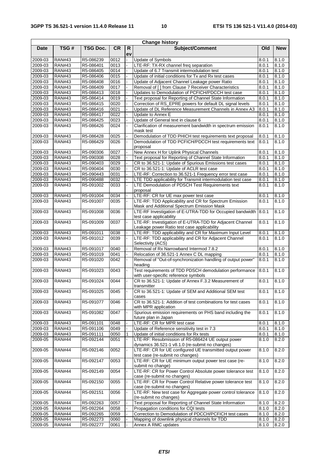|                    |                                |                        |              |          | <b>Change history</b>                                                                                                |                |                    |
|--------------------|--------------------------------|------------------------|--------------|----------|----------------------------------------------------------------------------------------------------------------------|----------------|--------------------|
| <b>Date</b>        | TSG#                           | <b>TSG Doc.</b>        | <b>CR</b>    | R.<br>ev | <b>Subject/Comment</b>                                                                                               | Old            | <b>New</b>         |
| 2009-03            | <b>RAN#43</b>                  | R5-086239              | 0012         |          | Update of Symbols                                                                                                    | 8.0.1          | 8.1.0              |
| 2009-03            | <b>RAN#43</b>                  | R5-086401              | 0013         |          | LTE-RF: TX-RX channel freq separation                                                                                | 8.0.1          | 8.1.0              |
| 2009-03            | <b>RAN#43</b>                  | R5-086405              | 0014         |          | Update of 6.7 Transmit intermodulation test                                                                          | 8.0.1          | 8.1.0              |
| 2009-03            | <b>RAN#43</b>                  | R5-086406              | 0015         |          | Update of initial conditions for Tx and Rx test cases                                                                | 8.0.1          | 8.1.0              |
| 2009-03            | <b>RAN#43</b>                  | R5-086408              | 0016         |          | Update of Adjacent Channel Leakage power Ratio                                                                       | 8.0.1          | 8.1.0              |
| 2009-03            | <b>RAN#43</b>                  | R5-086409              | 0017         |          | Removal of [] from Clause 7 Receiver Characteristics                                                                 | 8.0.1          | 8.1.0              |
| 2009-03            | <b>RAN#43</b>                  | R5-086413              | 0018         |          | Updates to Demodulation of PCFICH/PDCCH test case                                                                    | 8.0.1          | $\overline{8.1.0}$ |
| 2009-03            | <b>RAN#43</b>                  | R5-086414              | 0019         |          | Text proposal for Reporting of Channel State Information                                                             | 8.0.1          | 8.1.0              |
| 2009-03            | <b>RAN#43</b>                  | R5-086415              | 0020         |          | Correction of RS_EPRE powers for default DL signal levels                                                            | 8.0.1          | 8.1.0              |
| 2009-03            | <b>RAN#43</b>                  | R5-086416              | 0021         |          | Update of DL Reference Measurement Channels in Annex A3                                                              | 8.0.1          | 8.1.0              |
| 2009-03            | <b>RAN#43</b>                  | R5-086417              | 0022         |          | Update to Annex E                                                                                                    | 8.0.1          | 8.1.0              |
| 2009-03<br>2009-03 | <b>RAN#43</b><br><b>RAN#43</b> | R5-086425<br>R5-086426 | 0023<br>0024 |          | Update of General text in clause 6<br>Clarification of measurement bandwidth in spectrum emission                    | 8.0.1<br>8.0.1 | 8.1.0<br>8.1.0     |
|                    | <b>RAN#43</b>                  |                        |              |          | mask test                                                                                                            |                |                    |
| 2009-03<br>2009-03 | <b>RAN#43</b>                  | R5-086428<br>R5-086429 | 0025<br>0026 |          | Demodulation of TDD PHICH test requirements text proposal<br>Demodulation of TDD PCFICH/PDCCH test requirements text | 8.0.1<br>8.0.1 | 8.1.0<br>8.1.0     |
|                    |                                |                        |              |          | proposal                                                                                                             |                |                    |
| 2009-03            | <b>RAN#43</b>                  | R5-090306              | 0027         |          | New Annex H for Uplink Physical Channels                                                                             | 8.0.1          | 8.1.0              |
| 2009-03            | <b>RAN#43</b>                  | R5-090308              | 0028         |          | Text proposal for Reporting of Channel State Information                                                             | 8.0.1          | 8.1.0              |
| 2009-03            | <b>RAN#43</b>                  | R5-090403              | 0029         |          | CR to 36.521-1: Update of Spurious Emissions test cases                                                              | 8.0.1          | 8.1.0              |
| 2009-03            | <b>RAN#43</b>                  | R5-090404              | 0030         |          | CR to 36.521-1: Update of ACLR test case                                                                             | 8.0.1          | 8.1.0              |
| 2009-03            | <b>RAN#43</b>                  | R5-090443              | 0031         |          | LTE-RF: Correction to 36.521-1 Frequency error test case                                                             | 8.0.1          | 8.1.0              |
| 2009-03            | <b>RAN#43</b>                  | R5-090488              | 0032         |          | LTE TDD applicability for Transmit intermodulation test case                                                         | 8.0.1          | 8.1.0              |
| 2009-03            | <b>RAN#43</b>                  | R5-091002              | 0033         |          | LTE Demodulation of PDSCH Test Requirements text<br>proposal                                                         | 8.0.1          | 8.1.0              |
| 2009-03            | <b>RAN#43</b>                  | R5-091004              | 0034         |          | LTE-RF: CR for UE max power test case                                                                                | 8.0.1          | 8.1.0              |
| 2009-03            | <b>RAN#43</b>                  | R5-091007              | 0035         |          | LTE-RF: TDD Applicability and CR for Spectrum Emission                                                               | 8.0.1          | 8.1.0              |
| 2009-03            | <b>RAN#43</b>                  | R5-091008              | 0036         |          | Mask and Additional Spectrum Emission Mask<br>LTE-RF Investigation of E-UTRA-TDD for Occupied bandwidth              | 8.0.1          | 8.1.0              |
| 2009-03            | <b>RAN#43</b>                  | R5-091009              | 0037         |          | test case applicability<br>LTE-RF: Investigation of E-UTRA-TDD for Adjacent Channel                                  | 8.0.1          | 8.1.0              |
| 2009-03            | <b>RAN#43</b>                  | R5-091011              | 0038         |          | Leakage power Ratio test case applicability<br>LTE-RF: TDD applicability and CR for Maximum Input Level              | 8.0.1          | 8.1.0              |
| 2009-03            | <b>RAN#43</b>                  | R5-091012              | 0039         |          | LTE-RF: TDD applicability and CR for Adjacent Channel<br>Selectivity (ACS)                                           | 8.0.1          | 8.1.0              |
| 2009-03            | <b>RAN#43</b>                  | R5-091017              | 0040         |          | Removal of Rx Narrowband Intermod 7.8.2                                                                              | 8.0.1          | 8.1.0              |
| 2009-03            | <b>RAN#43</b>                  | R5-091019              | 0041         |          | Relocation of 36.521-1 Annex C DL mapping                                                                            | 8.0.1          | 8.1.0              |
| 2009-03            | <b>RAN#43</b>                  | R5-091020              | 0042         |          | Removal of "Out-of-synchronization handling of output power"<br>heading                                              | 8.0.1          | 8.1.0              |
| 2009-03            | <b>RAN#43</b>                  | R5-091023              | 0043         |          | Test requirements of TDD PDSCH demodulation performance<br>with user-specific reference symbols                      | 8.0.1          | 8.1.0              |
| 2009-03            | <b>RAN#43</b>                  | R5-091024              | 0044         |          | CR to 36.521-1: Update of Annex F.3.2 Measurement of<br>transmitter                                                  | 8.0.1          | 8.1.0              |
| 2009-03            | <b>RAN#43</b>                  | R5-091025              | 0045         |          | CR to 36.521-1: Update of SEM and Additional SEM test<br>cases                                                       | 8.0.1          | 8.1.0              |
| 2009-03            | <b>RAN#43</b>                  | R5-091077              | 0046         |          | CR to 36.521-1: Addition of test combinations for test cases<br>with MPR application                                 | 8.0.1          | 8.1.0              |
| 2009-03            | <b>RAN#43</b>                  | R5-091082              | 0047         |          | Spurious emission requirements on PHS band including the<br>future plan in Japan                                     | 8.0.1          | 8.1.0              |
| 2009-03            | <b>RAN#43</b>                  | R5-091101              | 0048         |          | LTE-RF: CR for MPR test case                                                                                         | 8.0.1          | 8.1.0              |
| 2009-03            | <b>RAN#43</b>                  | R5-091106              | 0049         |          | Update of Reference sensitivity test in 7.3                                                                          | 8.0.1          | 8.1.0              |
| 2009-03            | <b>RAN#43</b>                  | R5-091111              | 0050         |          | Update of initial conditions for Rx tests                                                                            | 8.0.1          | 8.1.0              |
| 2009-05            | <b>RAN#44</b>                  | R5-092144              | 0051         |          | LTE-RF: Resubmission of R5-086424 UE output power<br>dynamics 36.521-1 v8.1.0 (re-submit no changes)                 | 8.1.0          | 8.2.0              |
| 2009-05            | <b>RAN#44</b>                  | R5-092146              | 0052         |          | LTE-RF: CR for UE configured UE transmitted output power<br>test case (re-submit no changes)                         | 8.1.0          | 8.2.0              |
| 2009-05            | <b>RAN#44</b>                  | R5-092147              | 0053         |          | LTE-RF: CR for UE minimum output power test case (re-<br>submit no change)                                           | 8.1.0          | 8.2.0              |
| 2009-05            | <b>RAN#44</b>                  | R5-092149              | 0054         |          | LTE-RF: CR for Power Control Absolute power tolerance test<br>case (re-submit no changes)                            | 8.1.0          | 8.2.0              |
| 2009-05            | <b>RAN#44</b>                  | R5-092150              | 0055         |          | LTE-RF: CR for Power Control Relative power tolerance test<br>case (re-submit no changes)                            | 8.1.0          | 8.2.0              |
| 2009-05            | <b>RAN#44</b>                  | R5-092151              | 0056         |          | LTE-RF: New test case for Aggregate power control tolerance<br>(re-submit no changes)                                | 8.1.0          | 8.2.0              |
| 2009-05            | <b>RAN#44</b>                  | R5-092263              | 0057         |          | Text proposal for Reporting of Channel State Information                                                             | 8.1.0          | 8.2.0              |
| 2009-05            | <b>RAN#44</b>                  | R5-092264              | 0058         |          | Propagation conditions for CQI tests                                                                                 | 8.1.0          | 8.2.0              |
| 2009-05            | <b>RAN#44</b>                  | R5-092265              | 0059         |          | Correction to Demodulation of PDCCH/PCFICH test cases                                                                | 8.1.0          | 8.2.0              |
| 2009-05            | <b>RAN#44</b>                  | R5-092273              | 0060         |          | Mapping of downlink physical channels for TDD                                                                        | 8.1.0          | 8.2.0              |
| 2009-05            | <b>RAN#44</b>                  | R5-092277              | 0061         |          | Annex A RMC updates                                                                                                  | 8.1.0          | 8.2.0              |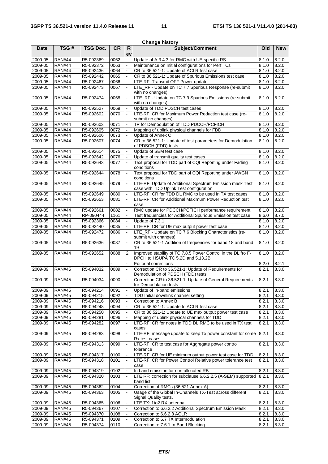| <b>Change history</b> |               |                 |              |                |                                                                                                    |       |                |  |  |  |
|-----------------------|---------------|-----------------|--------------|----------------|----------------------------------------------------------------------------------------------------|-------|----------------|--|--|--|
| <b>Date</b>           | TSG#          | <b>TSG Doc.</b> | <b>CR</b>    | R.<br>ev       | Subject/Comment                                                                                    | Old   | <b>New</b>     |  |  |  |
| 2009-05               | <b>RAN#44</b> | R5-092369       | 0062         |                | Update of A.3.4.3 for RMC with UE-specific RS                                                      | 8.1.0 | 8.2.0          |  |  |  |
| $2009 - 05$           | <b>RAN#44</b> | R5-092372       | 0063         |                | Maintenance on Initial configurations for Perf TCs                                                 | 8.1.0 | 8.2.0          |  |  |  |
| 2009-05               | <b>RAN#44</b> | R5-092436       | 0064         |                | CR to 36.521-1: Update of ACLR test case                                                           | 8.1.0 | 8.2.0          |  |  |  |
| 2009-05               | <b>RAN#44</b> | R5-092442       | 0065         |                | CR to 36.521-1: Update of Spurious Emissions test case                                             | 8.1.0 | 8.2.0          |  |  |  |
| 2009-05               | <b>RAN#44</b> | R5-092467       | 0066         |                | LTE-RF: Transmit OFF Power update                                                                  | 8.1.0 | 8.2.0          |  |  |  |
| 2009-05               | <b>RAN#44</b> | R5-092473       | 0067         |                | LTE_RF - Update on TC 7.7 Spurious Response (re-submit                                             | 8.1.0 | 8.2.0          |  |  |  |
| 2009-05               | <b>RAN#44</b> | R5-092474       | 0068         |                | with no changes)<br>LTE_RF - Update on TC 7.9 Spurious Emissions (re-submit                        | 8.1.0 | 8.2.0          |  |  |  |
|                       |               |                 |              |                | with no changes)                                                                                   |       |                |  |  |  |
| 2009-05               | <b>RAN#44</b> | R5-092527       | 0069         |                | Update of TDD PDSCH test cases                                                                     | 8.1.0 | 8.2.0          |  |  |  |
| 2009-05               | <b>RAN#44</b> | R5-092602       | 0070         |                | LTE-RF: CR for Maximum Power Reduction test case (re-<br>submit no changes)                        | 8.1.0 | 8.2.0          |  |  |  |
| 2009-05               | <b>RAN#44</b> | R5-092603       | 0071         |                | TP for Demodulation of TDD PDCCH/PCFICH                                                            | 8.1.0 | 8.2.0          |  |  |  |
| 2009-05               | <b>RAN#44</b> | R5-092605       | 0072         |                | Mapping of uplink physical channels for FDD                                                        | 8.1.0 | 8.2.0          |  |  |  |
| 2009-05               | <b>RAN#44</b> | R5-092606       | 0073         |                | Update of Annex C                                                                                  | 8.1.0 | 8.2.0          |  |  |  |
| 2009-05               | <b>RAN#44</b> | R5-092607       | 0074         |                | CR to 36.521-1: Update of test parameters for Demodulation<br>of PDSCH (FDD) tests                 | 8.1.0 | 8.2.0          |  |  |  |
| 2009-05               | <b>RAN#44</b> | R5-092614       | 0075         |                | Update of SEM test case                                                                            | 8.1.0 | 8.2.0          |  |  |  |
| 2009-05               | <b>RAN#44</b> | R5-092642       | 0076         |                | Update of transmit quality test cases                                                              | 8.1.0 | 8.2.0          |  |  |  |
| 2009-05               | <b>RAN#44</b> | R5-092643       | 0077         |                | Text proposal for TDD part of CQI Reporting under Fading<br>conditions                             | 8.1.0 | 8.2.0          |  |  |  |
| 2009-05               | <b>RAN#44</b> | R5-092644       | 0078         |                | Text proposal for TDD part of CQI Reporting under AWGN<br>conditions                               | 8.1.0 | 8.2.0          |  |  |  |
| 2009-05               | <b>RAN#44</b> | R5-092645       | 0079         |                | LTE-RF: Update of Additional Spectrum Emission mask Test                                           | 8.1.0 | 8.2.0          |  |  |  |
|                       | <b>RAN#44</b> | R5-092649       |              |                | case with TDD Uplink Test configuration<br>LTE-RF: CR for TDD DL RMC to be used in TX test cases   | 8.1.0 | 8.2.0          |  |  |  |
| 2009-05<br>2009-05    | <b>RAN#44</b> | R5-092653       | 0080<br>0081 |                | LTE-RF: CR for Additional Maximum Power Reduction test                                             | 8.1.0 | 8.2.0          |  |  |  |
|                       |               |                 |              |                | case                                                                                               |       |                |  |  |  |
| 2009-05               | <b>RAN#44</b> | R5-092661       | 0082         |                | RMC update for PDCCH/PCFICH performance requirement                                                | 8.1.0 | 8.2.0          |  |  |  |
| 2009-05               | <b>RAN#44</b> | RP-090444       | 1161         |                | Test frequencies for Additional Spurious Emission test case                                        | 8.6.0 | 8.7.0          |  |  |  |
| 2009-05               | <b>RAN#44</b> | R5-092366       | 0084         |                | Update of 7.3.1                                                                                    | 8.1.0 | 8.2.0          |  |  |  |
| 2009-05               | <b>RAN#44</b> | R5-092440       | 0085         |                | LTE-RF: CR for UE max output power test case                                                       | 8.1.0 | 8.2.0          |  |  |  |
| 2009-05               | <b>RAN#44</b> | R5-092472       | 0086         |                | LTE_RF - Update on TC 7.6 Blocking Characteristics (re-<br>submit with changes)                    | 8.1.0 | 8.2.0          |  |  |  |
| 2009-05               | <b>RAN#44</b> | R5-092636       | 0087         |                | CR to 36.521-1 Addition of frequencies for band 18 and band<br>19                                  | 8.1.0 | 8.2.0          |  |  |  |
| 2009-05               | <b>RAN#44</b> | R5-092652       | 0088         | $\overline{2}$ | Improved stability of TC 7.8.5 Power Control in the DL fro F-<br>DPCH to HSUPA TC 5.2D and 5.13.2B | 8.1.0 | 8.2.0          |  |  |  |
|                       |               |                 |              |                | <b>Editorial corrections</b>                                                                       | 8.2.0 | 8.2.1          |  |  |  |
| 2009-09               | <b>RAN#45</b> | R5-094032       | 0089         |                | Correction CR to 36.521-1: Update of Requirements for<br>Demodulation of PDSCH (FDD) tests         | 8.2.1 | 8.3.0          |  |  |  |
| 2009-09               | <b>RAN#45</b> | R5-094034       | 0090         |                | Correction CR to 36.521-1: Update of General Requirements<br>for Demodulation tests                | 8.2.1 | 8.3.0          |  |  |  |
| 2009-09               | <b>RAN#45</b> | R5-094214       | 0091         |                | Update of In-band emissions                                                                        | 8.2.1 | 8.3.0          |  |  |  |
| 2009-09               | <b>RAN#45</b> | R5-094215       | 0092         |                | TDD Initial downlink channel setting                                                               | 8.2.1 | 8.3.0          |  |  |  |
| 2009-09               | <b>RAN#45</b> | R5-094216       |              |                | Correction to Annex B                                                                              | 8.2.1 |                |  |  |  |
| 2009-09               | <b>RAN#45</b> | R5-094248       | 0093<br>0094 |                | CR to 36.521-1: Update to ACLR test case                                                           | 8.2.1 | 8.3.0<br>8.3.0 |  |  |  |
| 2009-09               | <b>RAN#45</b> | R5-094250       | 0095         |                | CR to 36.521-1: Update to UE max output power test case                                            | 8.2.1 | 8.3.0          |  |  |  |
| 2009-09               | <b>RAN#45</b> | R5-094281       | 0096         |                | Mapping of uplink physical channels for TDD                                                        | 8.2.1 | 8.3.0          |  |  |  |
| 2009-09               | <b>RAN#45</b> | R5-094282       | 0097         |                | LTE-RF: CR for notes in TDD DL RMC to be used in TX test                                           | 8.2.1 | 8.3.0          |  |  |  |
| 2009-09               | <b>RAN#45</b> | R5-094283       | 0098         |                | cases<br>LTE-RF: message update to keep Tx power constant for some                                 | 8.2.1 | 8.3.0          |  |  |  |
| 2009-09               | <b>RAN#45</b> | R5-094313       | 0099         |                | Rx test cases<br>LTE-RF: CR to test case for Aggregate power control                               | 8.2.1 | 8.3.0          |  |  |  |
| 2009-09               | <b>RAN#45</b> | R5-094317       | 0100         |                | tolerance<br>LTE-RF: CR for UE minimum output power test case for TDD                              | 8.2.1 | 8.3.0          |  |  |  |
| 2009-09               | <b>RAN#45</b> | R5-094318       | 0101         |                | LTE-RF: CR for Power Control Relative power tolerance test                                         | 8.2.1 | 8.3.0          |  |  |  |
|                       |               |                 |              |                | case                                                                                               |       |                |  |  |  |
| 2009-09               | <b>RAN#45</b> | R5-094319       | 0102         |                | In band emission for non-allocated RB                                                              | 8.2.1 | 8.3.0          |  |  |  |
| 2009-09               | <b>RAN#45</b> | R5-094320       | 0103         |                | LTE RF: correction for subclause 6.6.2.2.5 (A-SEM) supported<br>band list                          | 8.2.1 | 8.3.0          |  |  |  |
| 2009-09               | <b>RAN#45</b> | R5-094362       | 0104         |                | Correction of RMCs (36.521 Annex A)                                                                | 8.2.1 | 8.3.0          |  |  |  |
| 2009-09               | <b>RAN#45</b> | R5-094363       | 0105         |                | Usage of the Global In-Channels TX-Test across different                                           | 8.2.1 | 8.3.0          |  |  |  |
| 2009-09               | <b>RAN#45</b> | R5-094365       | 0106         |                | Signal Quality tests.<br>LTE TX: 1to2 RX antenna                                                   | 8.2.1 | 8.3.0          |  |  |  |
| 2009-09               | <b>RAN#45</b> | R5-094367       | 0107         |                | Correction to 6.6.2.2 Additional Spectrum Emission Mask                                            | 8.2.1 | 8.3.0          |  |  |  |
| 2009-09               | <b>RAN#45</b> | R5-094370       | 0108         |                | Correction to 6.6.2.3 ACLR                                                                         | 8.2.1 | 8.3.0          |  |  |  |
| 2009-09               | <b>RAN#45</b> | R5-094371       | 0109         |                | Correction to 6.7 TX Intermodulation                                                               | 8.2.1 | 8.3.0          |  |  |  |
| 2009-09               | <b>RAN#45</b> | R5-094374       | 0110         |                | Correction to 7.6.1 In-Band Blocking                                                               | 8.2.1 | 8.3.0          |  |  |  |
|                       |               |                 |              |                |                                                                                                    |       |                |  |  |  |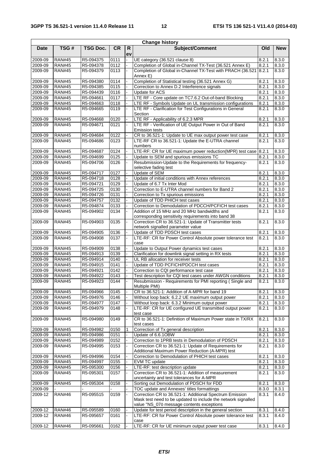|             |               |                 |           |                    | <b>Change history</b>                                                                                                    |       |                    |
|-------------|---------------|-----------------|-----------|--------------------|--------------------------------------------------------------------------------------------------------------------------|-------|--------------------|
| <b>Date</b> | TSG#          | <b>TSG Doc.</b> | <b>CR</b> | $\mathsf{R}$<br>ev | <b>Subject/Comment</b>                                                                                                   | Old   | <b>New</b>         |
| 2009-09     | <b>RAN#45</b> | R5-094375       | 0111      |                    | UE category (36.521 clause 8)                                                                                            | 8.2.1 | 8.3.0              |
| $2009 - 09$ | <b>RAN#45</b> | R5-094378       | 0112      |                    | Completion of Global in-Channel TX-Test (36.521 Annex E)                                                                 | 8.2.1 | 8.3.0              |
| 2009-09     | <b>RAN#45</b> | R5-094379       | 0113      |                    | Completion of Global in-Channel TX-Test with PRACH (36.521<br>Annex E)                                                   | 8.2.1 | 8.3.0              |
| 2009-09     | <b>RAN#45</b> | R5-094380       | 0114      |                    | Completion of Statistical testing (36.521 Annex G)                                                                       | 8.2.1 | 8.3.0              |
| 2009-09     | <b>RAN#45</b> | R5-094385       | 0115      |                    | Correction to Annex D.2 Interference signals                                                                             | 8.2.1 | 8.3.0              |
| 2009-09     | <b>RAN#45</b> | R5-094439       | 0116      |                    | Update for ACS                                                                                                           | 8.2.1 | 8.3.0              |
| 2009-09     | <b>RAN#45</b> | R5-094661       | 0117      |                    | LTE RF - Core update on TC7.6.2 Out-of-band Blocking                                                                     | 8.2.1 | 8.3.0              |
| 2009-09     | <b>RAN#45</b> | R5-094663       | 0118      |                    | LTE RF - Symbols Update on UL transmission configurations                                                                | 8.2.1 | $8.3.\overline{0}$ |
| 2009-09     | <b>RAN#45</b> | R5-094665       | 0119      |                    | LTE RF - Clarification for Test Configurations in General<br>Section                                                     | 8.2.1 | 8.3.0              |
| 2009-09     | <b>RAN#45</b> | R5-094668       | 0120      |                    | LTE RF - Applicability of 6.2.3 MPR                                                                                      | 8.2.1 | 8.3.0              |
| 2009-09     | <b>RAN#45</b> | R5-094671       | 0121      |                    | LTE RF - Verification of UE Output Power in Out of Band<br><b>Emission tests</b>                                         | 8.2.1 | 8.3.0              |
| 2009-09     | <b>RAN#45</b> | R5-094684       | 0122      |                    | CR to 36.521-1: Update to UE max output power test case                                                                  | 8.2.1 | 8.3.0              |
| 2009-09     | <b>RAN#45</b> | R5-094686       | 0123      |                    | LTE-RF CR to 36.521-1: Update the E-UTRA channel<br>numbers                                                              | 8.2.1 | 8.3.0              |
| 2009-09     | <b>RAN#45</b> | R5-094687       | 0124      |                    | LTE-RF: CR for UE maximum power reduction(MPR) test case 8.2.1                                                           |       | 8.3.0              |
| 2009-09     | <b>RAN#45</b> | R5-094699       | 0125      |                    | Update to SEM and spurious emissions TC                                                                                  | 8.2.1 | 8.3.0              |
| 2009-09     | <b>RAN#45</b> | R5-094706       | 0126      |                    | Resubmission-Update to the Requirements for frequency-<br>selective fading test                                          | 8.2.1 | 8.3.0              |
| 2009-09     | <b>RAN#45</b> | R5-094717       | 0127      |                    | Update of SEM                                                                                                            | 8.2.1 | 8.3.0              |
| 2009-09     | <b>RAN#45</b> | R5-094718       | 0128      |                    | Update of initial conditions with Annex references                                                                       | 8.2.1 | 8.3.0              |
| 2009-09     | <b>RAN#45</b> | R5-094721       | 0129      |                    | Update of 6.7 Tx Inter Mod                                                                                               | 8.2.1 | 8.3.0              |
| 2009-09     | <b>RAN#45</b> | R5-094725       | 0130      |                    | Correction to E-UTRA channel numbers for Band 2                                                                          | 8.2.1 | 8.3.0              |
| 2009-09     | <b>RAN#45</b> | R5-094726       | 0131      |                    | Correction to Tx spurious emissions                                                                                      | 8.2.1 | 8.3.0              |
| 2009-09     | <b>RAN#45</b> | R5-094757       | 0132      |                    | Update of TDD PHICH test cases                                                                                           | 8.2.1 | 8.3.0              |
| 2009-09     | <b>RAN#45</b> | R5-094874       | 0133      |                    | Correction to Demodulation of PDCCH/PCFICH test cases                                                                    | 8.2.1 | 8.3.0              |
| $2009 - 09$ | <b>RAN#45</b> | R5-094902       | 0134      |                    | Addition of 15 MHz and 20 MHz bandwidths and<br>corresponding sensitivity requirements into band 38                      | 8.2.1 | 8.3.0              |
| 2009-09     | <b>RAN#45</b> | R5-094903       | 0135      |                    | Correction CR to 36.521-1: Update of Transmitter tests<br>network signalled parameter value                              | 8.2.1 | 8.3.0              |
| 2009-09     | <b>RAN#45</b> | R5-094905       | 0136      |                    | Update of TDD PDSCH test cases                                                                                           | 8.2.1 | 8.3.0              |
| 2009-09     | <b>RAN#45</b> | R5-094908       | 0137      |                    | LTE-RF: CR for Power Control Absolute power tolerance test<br>case                                                       | 8.2.1 | 8.3.0              |
| 2009-09     | <b>RAN#45</b> | R5-094909       | 0138      |                    | Update to Output Power dynamics test cases                                                                               | 8.2.1 | 8.3.0              |
| 2009-09     | <b>RAN#45</b> | R5-094913       | 0139      |                    | Clarification for downlink signal setting in RX tests                                                                    | 8.2.1 | 8.3.0              |
| 2009-09     | <b>RAN#45</b> | R5-094914       | 0140      |                    | UL RB allocation for receiver tests                                                                                      | 8.2.1 | 8.3.0              |
| 2009-09     | <b>RAN#45</b> | R5-094915       | 0141      |                    | Update of TDD PCFICH/PDCCH test cases                                                                                    | 8.2.1 | 8.3.0              |
| 2009-09     | <b>RAN#45</b> | R5-094921       | 0142      |                    | Correction to CQI performance test case                                                                                  | 8.2.1 | 8.3.0              |
| 2009-09     | <b>RAN#45</b> | R5-094922       | 0143      |                    | Test description for CQI test cases under AWGN conditions                                                                | 8.2.1 | 8.3.0              |
| 2009-09     | <b>RAN#45</b> | R5-094923       | 0144      |                    | Resubmission - Requirements for PMI reporting (Single and<br>Multiple PMI)                                               | 8.2.1 | 8.3.0              |
| 2009-09     | <b>RAN#45</b> | R5-094966       | 0145      |                    | CR to 36.521-1: Addition of A-MPR for band 19                                                                            | 8.2.1 | 8.3.0              |
| 2009-09     | <b>RAN#45</b> | R5-094976       | 0146      |                    | Without loop back: 6.2.2 UE maximum output power                                                                         | 8.2.1 | 8.3.0              |
| 2009-09     | <b>RAN#45</b> | R5-094977       | 0147      |                    | Without loop back: 6.3.2 Minimum output power                                                                            | 8.2.1 | 8.3.0              |
| 2009-09     | <b>RAN#45</b> | R5-094979       | 0148      |                    | LTE-RF: CR for UE configured UE transmitted output power<br>test case                                                    | 8.2.1 | 8.3.0              |
| 2009-09     | <b>RAN#45</b> | R5-094980       | 0149      |                    | CR to 36.521-1: Definition of Maximum Power state in TX/RX<br>test cases                                                 | 8.2.1 | 8.3.0              |
| 2009-09     | <b>RAN#45</b> | R5-094982       | 0150      | 1                  | Correction of Tx general description                                                                                     | 8.2.1 | 8.3.0              |
| 2009-09     | <b>RAN#45</b> | R5-094986       | 0151      |                    | Update of 6.6.10BW                                                                                                       | 8.2.1 | 8.3.0              |
| 2009-09     | <b>RAN#45</b> | R5-094989       | 0152      |                    | Correction to 1PRB tests in Demodulation of PDSCH                                                                        | 8.2.1 | 8.3.0              |
| 2009-09     | <b>RAN#45</b> | R5-094995       | 0153      |                    | Correction CR to 36.521-1: Update of Requirements for<br>Additional Maximum Power Reduction (A-MPR) test                 | 8.2.1 | 8.3.0              |
| 2009-09     | <b>RAN#45</b> | R5-094996       | 0154      |                    | Correction to Demodulation of PHICH test cases                                                                           | 8.2.1 | 8.3.0              |
| 2009-09     | <b>RAN#45</b> | R5-094997       | 0155      |                    | EVM TC update                                                                                                            | 8.2.1 | 8.3.0              |
| 2009-09     | <b>RAN#45</b> | R5-095300       | 0156      |                    | LTE-RF: test description update                                                                                          | 8.2.1 | 8.3.0              |
| 2009-09     | <b>RAN#45</b> | R5-095301       | 0157      |                    | Correction CR to 36.521-1: Addition of measurement<br>uncertainty and test tolerances for A-MPR                          | 8.2.1 | 8.3.0              |
| 2009-09     | <b>RAN#45</b> | R5-095304       | 0158      |                    | Sorting out Demodulation of PDSCH for FDD                                                                                | 8.2.1 | 8.3.0              |
| 2009-09     |               |                 |           |                    | TOC update and Annexes' titles formattings                                                                               | 8.3.0 | 8.3.1              |
| 2009-12     | <b>RAN#46</b> | R5-095515       | 0159      |                    | Correction CR to 36.521-1: Additional Spectrum Emission<br>Mask test need to be updated to include the network signalled | 8.3.1 | 8.4.0              |
|             |               |                 |           |                    | value "NS_07ö message contents exceptions                                                                                |       |                    |
| 2009-12     | <b>RAN#46</b> | R5-095589       | 0160      |                    | Update for test period description in the general section                                                                | 8.3.1 | 8.4.0              |
| $2009 - 12$ | <b>RAN#46</b> | R5-095657       | 0161      | $\blacksquare$     | LTE-RF: CR for Power Control Absolute power tolerance test<br>case                                                       | 8.3.1 | 8.4.0              |
| 2009-12     | <b>RAN#46</b> | R5-095661       | 0162      |                    | LTE-RF: CR for UE minimum output power test case                                                                         | 8.3.1 | 8.4.0              |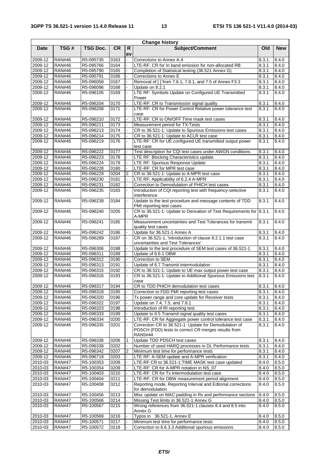| <b>Change history</b> |                                |                        |              |                |                                                                                                                         |                |                |  |  |
|-----------------------|--------------------------------|------------------------|--------------|----------------|-------------------------------------------------------------------------------------------------------------------------|----------------|----------------|--|--|
| <b>Date</b>           | TSG#                           | <b>TSG Doc.</b>        | <b>CR</b>    | R.             | <b>Subject/Comment</b>                                                                                                  | Old            | <b>New</b>     |  |  |
|                       |                                |                        |              | ev             |                                                                                                                         |                |                |  |  |
| 2009-12               | <b>RAN#46</b>                  | R5-095735              | 0163         |                | Corrections to Annex A.4                                                                                                | 8.3.1          | 8.4.0          |  |  |
| 2009-12               | <b>RAN#46</b>                  | R5-095766              | 0164         |                | LTE-RF: CR for In band emission for non-allocated RB                                                                    | 8.3.1          | 8.4.0          |  |  |
| 2009-12               | <b>RAN#46</b>                  | R5-095790              | 0165         |                | Completion of Statistical testing (36.521 Annex G)                                                                      | 8.3.1          | 8.4.0          |  |  |
| 2009-12<br>2009-12    | <b>RAN#46</b><br><b>RAN#46</b> | R5-095791              | 0166<br>0167 |                | Corrections to Annex E<br>Removal of [] from 7.6.1, 7.8.1, and 7.5 of Annex F3.3                                        | 8.3.1          | 8.4.0<br>8.4.0 |  |  |
| 2009-12               | <b>RAN#46</b>                  | R5-096058<br>R5-096096 | 0168         |                | Update on 8.2.1                                                                                                         | 8.3.1<br>8.3.1 | 8.4.0          |  |  |
| 2009-12               | <b>RAN#46</b>                  | R5-096105              | 0169         |                | LTE RF: Symbols Update on Configured UE Transmitted                                                                     | 8.3.1          | 8.4.0          |  |  |
|                       |                                |                        |              |                | Power                                                                                                                   |                |                |  |  |
| 2009-12               | <b>RAN#46</b>                  | R5-096204              | 0170         |                | LTE-RF: CR to Transmission signal quality                                                                               | 8.3.1          | 8.4.0          |  |  |
| 2009-12               | <b>RAN#46</b>                  | R5-096208              | 0171         |                | LTE-RF: CR for Power Control Relative power tolerance test                                                              | 8.3.1          | 8.4.0          |  |  |
|                       |                                |                        |              |                | case                                                                                                                    |                |                |  |  |
| 2009-12               | <b>RAN#46</b>                  | R5-096210              | 0172         |                | LTE-RF: CR to ON/OFF Time mask test cases                                                                               | 8.3.1          | 8.4.0          |  |  |
| 2009-12               | <b>RAN#46</b>                  | R5-096211              | 0173         |                | Measurement period for TX-Tests                                                                                         | 8.3.1          | 8.4.0          |  |  |
| 2009-12               | <b>RAN#46</b>                  | R5-096213              | 0174         |                | CR to 36.521-1: Update to Spurious Emissions test cases                                                                 | 8.3.1          | 8.4.0          |  |  |
| 2009-12               | <b>RAN#46</b>                  | R5-096214              | 0175         |                | CR to 36.521-1: Update to ACLR test case                                                                                | 8.3.1          | 8.4.0          |  |  |
| 2009-12               | <b>RAN#46</b>                  | R5-096219              | 0176         |                | LTE-RF: CR for UE configured UE transmitted output power                                                                | 8.3.1          | 8.4.0          |  |  |
| 2009-12               | <b>RAN#46</b>                  | R5-096222              | 0177         |                | test case<br>Test description for CQI test cases under AWGN conditions                                                  | 8.3.1          | 8.4.0          |  |  |
| 2009-12               | <b>RAN#46</b>                  | R5-096223              | 0178         |                | LTE RF: Blocking Characteristics update                                                                                 | 8.3.1          | 8.4.0          |  |  |
| 2009-12               | <b>RAN#46</b>                  | R5-096224              | 0179         |                | LTE RF: Spurious Response Update                                                                                        | 8.3.1          | 8.4.0          |  |  |
| 2009-12               | <b>RAN#46</b>                  | R5-096228              | 0180         |                | LTE-RF: CR for MPR test case                                                                                            | 8.3.1          | 8.4.0          |  |  |
| 2009-12               | <b>RAN#46</b>                  | R5-096229              | 0204         | $\overline{c}$ | CR to 36.521-1: Update to A-MPR test case                                                                               | 8.3.1          | 8.4.0          |  |  |
| 2009-12               | <b>RAN#46</b>                  | R5-096230              | 0181         |                | LTE RF: Applicability of 6.2.4 A-MPR                                                                                    | 8.3.1          | 8.4.0          |  |  |
| 2009-12               | <b>RAN#46</b>                  | R5-096231              | 0182         |                | Correction to Demodulation of PHICH test cases                                                                          | 8.3.1          | 8.4.0          |  |  |
| 2009-12               | <b>RAN#46</b>                  | R5-096235              | 0183         |                | Introduction of CQI reporting test with frequency-selective                                                             | 8.3.1          | 8.4.0          |  |  |
|                       |                                |                        |              |                | interference                                                                                                            |                |                |  |  |
| 2009-12               | <b>RAN#46</b>                  | R5-096239              | 0184         |                | Update to the test procedure and message contents of TDD                                                                | 8.3.1          | 8.4.0          |  |  |
|                       |                                |                        |              |                | PMI reporting test cases                                                                                                |                |                |  |  |
| 2009-12               | <b>RAN#46</b>                  | R5-096240              | 0205         |                | CR to 36.521-1: Update to Derivation of Test Requirements for 8.3.1<br>A-MPR                                            |                | 8.4.0          |  |  |
| 2009-12               | <b>RAN#46</b>                  | R5-096241              | 0185         |                | Measurement uncertainties and Test Tolerances for transmit                                                              | 8.3.1          | 8.4.0          |  |  |
|                       |                                |                        |              |                | quality test cases                                                                                                      |                |                |  |  |
| 2009-12               | <b>RAN#46</b>                  | R5-096242              | 0186         |                | Update for 36.521-1 Annex A                                                                                             | 8.3.1          | 8.4.0          |  |  |
| 2009-12               | <b>RAN#46</b>                  | R5-096289              | 0187         |                | CR on 36.521-1, 'Introduction of clause 8.2.1.1 test case                                                               | 8.3.1          | 8.4.0          |  |  |
|                       |                                |                        |              |                | uncertainties and Test Tolerances'                                                                                      |                |                |  |  |
| 2009-12               | <b>RAN#46</b>                  | R5-096306              | 0188         |                | Update to the test procedure of SEM test cases of 36.521-1                                                              | 8.3.1          | 8.4.0          |  |  |
| 2009-12               | <b>RAN#46</b>                  | R5-096311              | 0189         |                | Update of 6.6.1 OBW                                                                                                     | 8.3.1          | 8.4.0          |  |  |
| 2009-12               | <b>RAN#46</b>                  | R5-096312              | 0190         |                | Correction to SEM                                                                                                       | 8.3.1          | 8.4.0          |  |  |
| 2009-12<br>2009-12    | <b>RAN#46</b><br><b>RAN#46</b> | R5-096313<br>R5-096315 | 0191<br>0192 |                | Update of 6.7 Transmit intermodulation                                                                                  | 8.3.1          | 8.4.0<br>8.4.0 |  |  |
| 2009-12               | <b>RAN#46</b>                  | R5-096316              | 0193         |                | CR to 36.521-1: Update to UE max output power test case<br>CR to 36.521-1: Update to Additional Spurious Emissions test | 8.3.1<br>8.3.1 | 8.4.0          |  |  |
|                       |                                |                        |              |                | case                                                                                                                    |                |                |  |  |
| 2009-12               | <b>RAN#46</b>                  | R5-096317              | 0194         |                | CR to TDD PHICH demodulation test cases                                                                                 | 8.3.1          | 8.4.0          |  |  |
| 2009-12               | <b>RAN#46</b>                  | R5-096318              | 0195         |                | Correction to FDD PMI reporting test cases                                                                              | 8.3.1          | 8.4.0          |  |  |
| 2009-12               | <b>RAN#46</b>                  | R5-096320              | 0196         |                | Tx power range and core update for Receiver tests                                                                       | 8.3.1          | 8.4.0          |  |  |
| $2009 - 12$           | <b>RAN#46</b>                  | R5-096322              | 0197         |                | Update on 7.4, 7.5, and 7.8.1                                                                                           | 8.3.1          | 8.4.0          |  |  |
| 2009-12               | <b>RAN#46</b>                  | R5-096323              | 0198         |                | Introduction of RI reporting test                                                                                       | 8.3.1          | 8.4.0          |  |  |
| 2009-12               | <b>RAN#46</b>                  | R5-096333              | 0199         |                | Update to 6.5 Transmit signal quality test cases                                                                        | 8.3.1          | 8.4.0          |  |  |
| 2009-12               | <b>RAN#46</b>                  | R5-096334              | 0200         |                | LTE-RF: CR for Aggregate power control tolerance test case                                                              | 8.3.1          | 8.4.0          |  |  |
| 2009-12               | <b>RAN#46</b>                  | R5-096335              | 0201         |                | Correction CR to 36.521-1: Update for Demodulation of                                                                   | 8.3.1          | 8.4.0          |  |  |
|                       |                                |                        |              |                | PDSCH (FDD) tests to correct CR merges results from                                                                     |                |                |  |  |
| 2009-12               | <b>RAN#46</b>                  | R5-096336              | 0206         | 1              | <b>RAN5#44</b><br>Update TDD PDSCH test cases                                                                           | 8.3.1          | 8.4.0          |  |  |
| 2009-12               | <b>RAN#46</b>                  | R5-096338              | 0202         |                | Number of used HARQ processes in DL Performance tests                                                                   | 8.3.1          | 8.4.0          |  |  |
| 2009-12               | <b>RAN#46</b>                  | R5-096342              | 0207         | $\overline{2}$ | Minimum test time for performance tests                                                                                 | 8.3.1          | 8.4.0          |  |  |
| 2009-12               | <b>RAN#46</b>                  | R5-096718              | 0203         |                | LTE RF: A-SEM update and A-MPR verification                                                                             | 8.3.1          | 8.4.0          |  |  |
| 2010-03               | <b>RAN#47</b>                  | R5-100353              | 0208         |                | LTE-RF CR to 36.521-1: TIME MASK test case updated                                                                      | 8.4.0          | 8.5.0          |  |  |
| 2010-03               | <b>RAN#47</b>                  | R5-100354              | 0209         |                | LTE-RF: CR for A-MPR notation in NS_07                                                                                  | 8.4.0          | 8.5.0          |  |  |
| 2010-03               | <b>RAN#47</b>                  | R5-100403              | 0210         |                | LTE-RF: CR for Tx Intermodulation test case                                                                             | 8.4.0          | 8.5.0          |  |  |
| 2010-03               | <b>RAN#47</b>                  | R5-100404              | 0211         |                | LTE-RF: CR for OBW measurement period alignment                                                                         | 8.4.0          | 8.5.0          |  |  |
| 2010-03               | <b>RAN#47</b>                  | R5-100408              | 0212         |                | Reporting mode, Reporting Interval and Editorial corrections                                                            | 8.4.0          | 8.5.0          |  |  |
|                       |                                |                        |              |                | for demodulation                                                                                                        |                |                |  |  |
| 2010-03               | <b>RAN#47</b>                  | R5-100456              | 0213         |                | Misc update on MAC padding in Rx and performance sections                                                               | 8.4.0          | 8.5.0          |  |  |
| 2010-03               | <b>RAN#47</b>                  | R5-100566              | 0214         |                | Missing Test limits in 36.521-1 Annex G                                                                                 | 8.4.0          | 8.5.0          |  |  |
| 2010-03               | <b>RAN#47</b>                  | R5-100567              | 0215         |                | Wrong references from 36.521-1 clauses 8.4 and 8.5 into<br>Annex G                                                      | 8.4.0          | 8.5.0          |  |  |
| 2010-03               | <b>RAN#47</b>                  | R5-100569              | 0216         |                | Typos in 36.521-1, Annex E                                                                                              | 8.4.0          | 8.5.0          |  |  |
| 2010-03               | <b>RAN#47</b>                  | R5-100571              | 0217         |                | Minimum test time for performance tests                                                                                 | 8.4.0          | 8.5.0          |  |  |
| 2010-03               | <b>RAN#47</b>                  | R5-100572              | 0218         |                | Correction to 6.6.3.3 Additional spurious emissions                                                                     | 8.4.0          | 8.5.0          |  |  |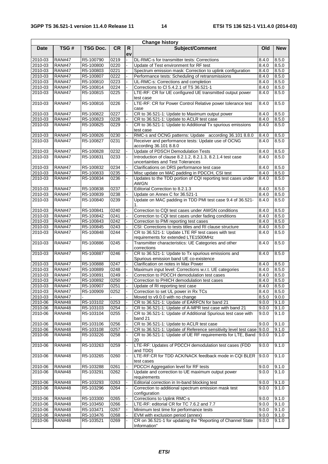| <b>Change history</b> |               |           |           |          |                                                                                                 |       |            |  |
|-----------------------|---------------|-----------|-----------|----------|-------------------------------------------------------------------------------------------------|-------|------------|--|
| <b>Date</b>           | TSG#          | TSG Doc.  | <b>CR</b> | R.<br>ev | Subject/Comment                                                                                 | Old   | <b>New</b> |  |
| 2010-03               | <b>RAN#47</b> | R5-100790 | 0219      |          | DL-RMC-s for transmitter tests: Corrections                                                     | 8.4.0 | 8.5.0      |  |
| 2010-03               | <b>RAN#47</b> | R5-100800 | 0220      |          | Update of Test environment for RF test                                                          | 8.4.0 | 8.5.0      |  |
| 2010-03               | <b>RAN#47</b> | R5-100803 | 0221      |          | Spectrum emission mask: Correction to uplink configuration                                      | 8.4.0 | 8.5.0      |  |
| 2010-03               | <b>RAN#47</b> | R5-100807 | 0222      |          | Performance tests: Scheduling of retransmissions                                                | 8.4.0 | 8.5.0      |  |
| 2010-03               | <b>RAN#47</b> | R5-100810 | 0223      |          | UL-RMC-s: Corrections and completion                                                            | 8.4.0 | 8.5.0      |  |
| 2010-03               | <b>RAN#47</b> | R5-100814 | 0224      |          | Corrections to Cl 5.4.2.1 of TS 36.521-1                                                        | 8.4.0 | 8.5.0      |  |
| 2010-03               | <b>RAN#47</b> | R5-100815 | 0225      |          | LTE-RF: CR for UE configured UE transmitted output power<br>test case                           | 8.4.0 | 8.5.0      |  |
| 2010-03               | <b>RAN#47</b> | R5-100816 | 0226      |          | LTE-RF: CR for Power Control Relative power tolerance test<br>case                              | 8.4.0 | 8.5.0      |  |
| 2010-03               | <b>RAN#47</b> | R5-100822 | 0227      |          | CR to 36.521-1: Update to Maximum output power                                                  | 8.4.0 | 8.5.0      |  |
| 2010-03               | <b>RAN#47</b> | R5-100823 | 0228      |          | CR to 36.521-1: Update to ACLR test case                                                        | 8.4.0 | 8.5.0      |  |
| 2010-03               | <b>RAN#47</b> | R5-100825 | 0229      |          | CR to 36.521-1: Update to Additional Tx spurious emissions<br>test case                         | 8.4.0 | 8.5.0      |  |
| 2010-03               | <b>RAN#47</b> | R5-100826 | 0230      |          | RMC-s and OCNG patterns: Update according 36.101 8.8.0                                          | 8.4.0 | 8.5.0      |  |
| 2010-03               | <b>RAN#47</b> | R5-100827 | 0231      |          | Receiver and performance tests: Update use of OCNG<br>according 36.101 8.8.0                    | 8.4.0 | 8.5.0      |  |
| 2010-03               | <b>RAN#47</b> | R5-100828 | 0232      |          | Update of PDSCH Demodulation Tests                                                              | 8.4.0 | 8.5.0      |  |
| 2010-03               | <b>RAN#47</b> | R5-100831 | 0233      |          | Introduction of clause 8.2.1.2, 8.2.1.3, 8.2.1.4 test case<br>uncertainties and Test Tolerances | 8.4.0 | 8.5.0      |  |
| 2010-03               | <b>RAN#47</b> | R5-100832 | 0234      |          | Clarifications on DRS performance test case                                                     | 8.4.0 | 8.5.0      |  |
| 2010-03               | <b>RAN#47</b> | R5-100833 | 0235      |          | Misc update on MAC padding in PDCCH, CSI test                                                   | 8.4.0 | 8.5.0      |  |
| 2010-03               | <b>RAN#47</b> | R5-100834 | 0236      |          | Updates to the TDD portion of CQI reporting test cases under<br><b>AWGN</b>                     | 8.4.0 | 8.5.0      |  |
| 2010-03               | <b>RAN#47</b> | R5-100838 | 0237      |          | Editorial Correction to 8.2.1.3                                                                 | 8.4.0 | 8.5.0      |  |
| 2010-03               | <b>RAN#47</b> | R5-100839 | 0238      |          | Update on Annex C for 36.521-1                                                                  | 8.4.0 | 8.5.0      |  |
| 2010-03               | <b>RAN#47</b> | R5-100840 | 0239      |          | Update on MAC padding in TDD PMI test case 9.4 of 36.521-<br>1.                                 | 8.4.0 | 8.5.0      |  |
| 2010-03               | <b>RAN#47</b> | R5-100841 | 0240      |          | Correction to CQI test cases under AWGN conditions                                              | 8.4.0 | 8.5.0      |  |
| 2010-03               | <b>RAN#47</b> | R5-100842 | 0241      |          | Correction to CQI test cases under fading conditions                                            | 8.4.0 | 8.5.0      |  |
| 2010-03               | <b>RAN#47</b> | R5-100843 | 0242      |          | Correction to PMI reporting test cases                                                          | 8.4.0 | 8.5.0      |  |
| 2010-03               | <b>RAN#47</b> | R5-100845 | 0243      |          | CSI: Corrections to tests titles and RI clause structure                                        | 8.4.0 | 8.5.0      |  |
| 2010-03               | <b>RAN#47</b> | R5-100848 | 0244      |          | CR to 36.521-1: Update LTE RF test cases with test<br>requirements for extended LTE1500MHz      | 8.4.0 | 8.5.0      |  |
| 2010-03               | <b>RAN#47</b> | R5-100886 | 0245      |          | Transmitter characteristics: UE Categories and other<br>corrections                             | 8.4.0 | 8.5.0      |  |
| 2010-03               | <b>RAN#47</b> | R5-100887 | 0246      |          | CR to 36.521-1: Update to Tx spurious emissions and<br>Spurious emission band UE co-existence   | 8.4.0 | 8.5.0      |  |
| 2010-03               | <b>RAN#47</b> | R5-100888 | 0247      |          | Clarification on notes in Max Power                                                             | 8.4.0 | 8.5.0      |  |
| 2010-03               | <b>RAN#47</b> | R5-100889 | 0248      |          | Maximum input level: Corrections w.r.t. UE categories                                           | 8.4.0 | 8.5.0      |  |
| 2010-03               | <b>RAN#47</b> | R5-100891 | 0249      |          | Correction to PDCCH demodulation test cases                                                     | 8.4.0 | 8.5.0      |  |
| 2010-03               | <b>RAN#47</b> | R5-100892 | 0250      |          | Correction to PHICH demodulation test cases                                                     | 8.4.0 | 8.5.0      |  |
| 2010-03               | <b>RAN#47</b> | R5-100907 | 0251      |          | Update of RI reporting test case                                                                | 8.4.0 | 8.5.0      |  |
| 2010-03               | <b>RAN#47</b> | R5-100909 | 0252      |          | Correction to set UL power in Rx TCs                                                            | 8.4.0 | 8.5.0      |  |
| 2010-03               | <b>RAN#47</b> |           |           |          | Moved to v9.0.0 with no change                                                                  | 8.5.0 | 9.0.0      |  |
| 2010-06               | <b>RAN#48</b> | R5-103102 | 0253      |          | CR to 36.521-1: Update of EARFCN for band 21                                                    | 9.0.0 | 9.1.0      |  |
| 2010-06               | <b>RAN#48</b> | R5-103103 | 0254      |          | CR to 36.521-1: Update of A-MPR test case with band 21                                          | 9.0.0 | 9.1.0      |  |
| 2010-06               | <b>RAN#48</b> | R5-103104 | 0255      |          | CR to 36.521-1: Update of Additional Spurious test case with<br>band 21                         | 9.0.0 | 9.1.0      |  |
| 2010-06               | <b>RAN#48</b> | R5-103106 | 0256      |          | CR to 36.521-1: Update to ACLR test case                                                        | 9.0.0 | 9.1.0      |  |
| 2010-06               | <b>RAN#48</b> | R5-103108 | 0257      |          | CR to 36.521-1: Update of Reference sensitivity level test case                                 | 9.0.0 | 9.1.0      |  |
| 2010-06               | <b>RAN#48</b> | R5-103226 | 0258      |          | CR to 36.521-1: Update of UE RF requirements for LTE, Band<br>20                                | 9.0.0 | 9.1.0      |  |
| 2010-06               | <b>RAN#48</b> | R5-103263 | 0259      |          | LTE-RF: Updates of PDCCH demodulation test cases (FDD<br>and TDD)                               | 9.0.0 | 9.1.0      |  |
| 2010-06               | <b>RAN#48</b> | R5-103265 | 0260      |          | LTE-RF:CR for TDD ACK/NACK feedback mode in CQI BLER<br>test cases                              | 9.0.0 | 9.1.0      |  |
| 2010-06               | <b>RAN#48</b> | R5-103288 | 0261      |          | PDCCH Aggregation level for RF tests                                                            | 9.0.0 | 9.1.0      |  |
| 2010-06               | <b>RAN#48</b> | R5-103291 | 0262      |          | Update and correction to UE maximum output power<br>requirements                                | 9.0.0 | 9.1.0      |  |
| 2010-06               | <b>RAN#48</b> | R5-103293 | 0263      |          | Editorial correction in In-band blocking test                                                   | 9.0.0 | 9.1.0      |  |
| 2010-06               | <b>RAN#48</b> | R5-103296 | 0264      |          | Correction to additional spectrum emission mask test<br>configuration                           | 9.0.0 | 9.1.0      |  |
| 2010-06               | <b>RAN#48</b> | R5-103300 | 0265      |          | Corrections to Uplink RMC-s                                                                     | 9.0.0 | 9.1.0      |  |
| 2010-06               | <b>RAN#48</b> | R5-103450 | 0266      |          | LTE-RF: editorial CR for TC 7.6.2 and 7.7                                                       | 9.0.0 | 9.1.0      |  |
| 2010-06               | <b>RAN#48</b> | R5-103471 | 0267      |          | Minimum test time for performance tests                                                         | 9.0.0 | 9.1.0      |  |
| 2010-06               | <b>RAN#48</b> | R5-103476 | 0268      |          | EVM with exclusion period (annex)                                                               | 9.0.0 | 9.1.0      |  |
| 2010-06               | <b>RAN#48</b> | R5-103521 | 0269      |          | CR on 36.521-1 for updating the "Reporting of Channel State                                     | 9.0.0 | 9.1.0      |  |
|                       |               |           |           |          | Information"                                                                                    |       |            |  |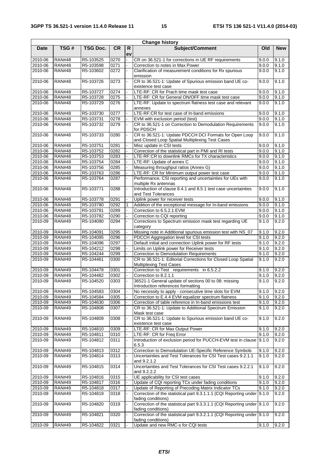|                    |                                |                        |              |          | <b>Change history</b>                                                                                     |                |                |
|--------------------|--------------------------------|------------------------|--------------|----------|-----------------------------------------------------------------------------------------------------------|----------------|----------------|
| <b>Date</b>        | TSG#                           | <b>TSG Doc.</b>        | <b>CR</b>    | R.<br>ev | <b>Subject/Comment</b>                                                                                    | Old            | <b>New</b>     |
| 2010-06            | <b>RAN#48</b>                  | R5-103525              | 0270         |          | CR on 36.521-1 for corrections in UE RF requirements                                                      | 9.0.0          | 9.1.0          |
| 2010-06            | <b>RAN#48</b>                  | R5-103598              | 0271         |          | Correction to notes in Max Power                                                                          | 9.0.0          | 9.1.0          |
| 2010-06            | <b>RAN#48</b>                  | R5-103602              | 0272         |          | Clarification of measurement conditions for Rx spurious<br>emission                                       | 9.0.0          | 9.1.0          |
| 2010-06            | <b>RAN#48</b>                  | R5-103726              | 0273         |          | CR to 36.521-1: Update of Spurious emission band UE co-<br>existence test case                            | 9.0.0          | 9.1.0          |
| 2010-06            | <b>RAN#48</b>                  | R5-103727              | 0274         |          | LTE-RF: CR for Prach time mask test case                                                                  | 9.0.0          | 9.1.0          |
| 2010-06            | <b>RAN#48</b>                  | R5-103728              | 0275         |          | LTE-RF: CR for General ON/OFF time mask test case                                                         | 9.0.0          | 9.1.0          |
| 2010-06            | <b>RAN#48</b>                  | R5-103729              | 0276         |          | LTE-RF: Update to spectrum flatness test case and relevant<br>annexes                                     | 9.0.0          | 9.1.0          |
| 2010-06            | <b>RAN#48</b>                  | R5-103730              | 0277         |          | LTE-RF:CR for test case of In-band emissions                                                              | 9.0.0          | 9.1.0          |
| 2010-06            | <b>RAN#48</b>                  | R5-103731              | 0278         |          | EVM with exclusion period (test)                                                                          | 9.0.0          | 9.1.0          |
| 2010-06            | <b>RAN#48</b>                  | R5-103732              | 0279         |          | CR to 36.521-1 on Correction to Demodulation Requirements<br>for PDSCH                                    | 9.0.0          | 9.1.0          |
| 2010-06            | <b>RAN#48</b>                  | R5-103733              | 0280         |          | CR to 36.521-1: Update PDCCH DCI Formats for Open Loop<br>and Closed Loop Spatial Multiplexing Test Cases | 9.0.0          | 9.1.0          |
| 2010-06            | <b>RAN#48</b>                  | R5-103751              | 0281         |          | Misc update in CSI tests                                                                                  | 9.0.0          | 9.1.0          |
| 2010-06            | <b>RAN#48</b>                  | R5-103752              | 0282         |          | Correction of the statistical part in PMI and RI tests                                                    | 9.0.0          | 9.1.0          |
| 2010-06            | <b>RAN#48</b>                  | R5-103753              | 0283         |          | LTE-RF:CR to downlink RMCs for TX characteristics                                                         | 9.0.0          | 9.1.0          |
| 2010-06            | <b>RAN#48</b>                  | R5-103754              | 0284         |          | LTE-RF: Update of annex C                                                                                 | 9.0.0          | 9.1.0          |
| 2010-06            | <b>RAN#48</b>                  | R5-103756              | 0285         |          | Measuring throughput ratios (Annex G)                                                                     | 9.0.0          | 9.1.0          |
| 2010-06            | <b>RAN#48</b>                  | R5-103763              | 0286         |          | LTE-RF: CR for Minimum output power test case                                                             | 9.0.0          | 9.1.0          |
| 2010-06            | <b>RAN#48</b>                  | R5-103764              | 0287         |          | Performance, CSI reporting and uncertainties for UEs with<br>multiple Rx antennas                         | 9.0.0          | 9.1.0          |
| 2010-06            | <b>RAN#48</b>                  | R5-103771              | 0288         |          | Introduction of clause 8.4.1 and 8.5.1 test case uncertainties<br>and Test Tolerances                     | 9.0.0          | 9.1.0          |
| 2010-06            | <b>RAN#48</b>                  | R5-103778              | 0291         |          | Uplink power for receiver tests                                                                           | 9.0.0          | 9.1.0          |
| 2010-06            | <b>RAN#48</b>                  | R5-103780              | 0292         |          | Addition of the exceptional message for In-band emissions                                                 | 9.0.0          | 9.1.0          |
| 2010-06            | <b>RAN#48</b>                  | R5-103781              | 0289         |          | Correction to 6.5.2.1 EVM                                                                                 | 9.0.0          | 9.1.0          |
| 2010-06            | <b>RAN#48</b>                  | R5-103782              | 0290         |          | Correction to CQI reporting<br>Corrections to Spectrum emission mask test regarding UE                    | 9.0.0          | 9.1.0          |
| 2010-09            | <b>RAN#49</b>                  | R5-104090              | 0294         |          | category                                                                                                  | 9.1.0          | 9.2.0          |
| 2010-09            | <b>RAN#49</b>                  | R5-104091              | 0295         |          | Missing note in Additional spurious emission test with NS_07                                              | 9.1.0          | 9.2.0          |
| 2010-09            | <b>RAN#49</b>                  | R5-104095              | 0296         |          | PDCCH Aggregation level for CSI tests                                                                     | 9.1.0          | 9.2.0          |
| 2010-09<br>2010-09 | <b>RAN#49</b><br><b>RAN#49</b> | R5-104096<br>R5-104212 | 0297<br>0298 |          | Default initial and connection Uplink power for RF tests<br>Limits on Uplink power for Receiver tests     | 9.1.0<br>9.1.0 | 9.2.0<br>9.2.0 |
| 2010-09            | <b>RAN#49</b>                  | R5-104244              | 0299         |          | <b>Correction to Demodulation Requirements</b>                                                            | 9.1.0          | 9.2.0          |
| 2010-09            | <b>RAN#49</b>                  | R5-104461              | 0300         |          | CR to 36.521-1: Editorial Corrections for Closed Loop Spatial<br><b>Multiplexing Test Cases</b>           | 9.1.0          | 9.2.0          |
| 2010-09            | <b>RAN#49</b>                  | R5-104478              | 0301         |          | Correction to Test requirements in 6.5.2.2                                                                | 9.1.0          | 9.2.0          |
| 2010-09            | <b>RAN#49</b>                  | R5-104482              | 0302         |          | Correction to 8.2.1.1                                                                                     | 9.1.0          | 9.2.0          |
| 2010-09            | <b>RAN#49</b>                  | R5-104520              | 0303         |          | 36521-1 General update of sections 00 to 08: missing<br>Introduction references formatting                | 9.1.0          | 9.2.0          |
| 2010-09            | <b>RAN#49</b>                  | R5-104583              | 0304         |          | No necessity to apply - consecutive time slots for EVM                                                    | 9.1.0          | 9.2.0          |
| 2010-09            | <b>RAN#49</b>                  | R5-104584              | 0305         |          | Correction to E.4.4 EVM equalizer spectrum flatness                                                       | 9.1.0          | 9.2.0          |
| 2010-09            | <b>RAN#49</b>                  | R5-104630              | 0306         |          | Correction of table reference in In-band emissions test                                                   | 9.1.0          | 9.2.0          |
| 2010-09            | <b>RAN#49</b>                  | R5-104808              | 0307         |          | CR to 36.521-1: Update to Additional Spectrum Emission<br>Mask test case                                  | 9.1.0          | 9.2.0          |
| 2010-09            | <b>RAN#49</b>                  | R5-104809              | 0308         |          | CR to 36.521-1: Update to Spurious emission band UE co-<br>existence test case                            | 9.1.0          | 9.2.0          |
| 2010-09            | <b>RAN#49</b>                  | R5-104810              | 0309         |          | LTE-RF: CR for Max Output Power                                                                           | 9.1.0          | 9.2.0          |
| 2010-09            | <b>RAN#49</b>                  | R5-104811              | 0310         |          | LTE-RF: CR for Freq Error                                                                                 | 9.1.0          | 9.2.0          |
| 2010-09            | <b>RAN#49</b>                  | R5-104812              | 0311         |          | Introduction of exclusion period for PUCCH-EVM test in clause 9.1.0<br>6.5.3                              |                | 9.2.0          |
| 2010-09            | <b>RAN#49</b>                  | R5-104813              | 0312         |          | Correction to Demodulation UE-Specific Reference Symbols                                                  | 9.1.0          | 9.2.0          |
| 2010-09            | <b>RAN#49</b>                  | R5-104814              | 0313         |          | Uncertainties and Test Tolerances for CSI Test cases 9.2.1.1<br>and 9.2.1.2                               | 9.1.0          | 9.2.0          |
| 2010-09            | <b>RAN#49</b>                  | R5-104815              | 0314         |          | Uncertainties and Test Tolerances for CSI Test cases 9.2.2.1<br>and 9.2.2.2                               | 9.1.0          | 9.2.0          |
| 2010-09            | <b>RAN#49</b>                  | R5-104816              | 0315         |          | UE applicability for CSI test cases                                                                       | 9.1.0          | 9.2.0          |
| 2010-09            | <b>RAN#49</b>                  | R5-104817              | 0316         |          | Update of CQI reporting TCs under fading conditions                                                       | 9.1.0          | 9.2.0          |
| 2010-09            | <b>RAN#49</b>                  | R5-104818              | 0317         |          | Update of Reporting of Precoding Matrix Indicator TCs                                                     | 9.1.0          | 9.2.0          |
| 2010-09            | <b>RAN#49</b>                  | R5-104819              | 0318         |          | Correction of the statistical part 9.3.1.1.1 (CQI Reporting under 9.1.0<br>fading conditions)             |                | 9.2.0          |
| 2010-09            | <b>RAN#49</b>                  | R5-104820              | 0319         |          | Correction of the statistical part 9.3.3.1.1 (CQI Reporting under 9.1.0<br>fading conditions)             |                | 9.2.0          |
| 2010-09            | <b>RAN#49</b>                  | R5-104821              | 0320         |          | Correction of the statistical part 9.3.2.1.1 (CQI Reporting under 9.1.0<br>fading conditions)             |                | 9.2.0          |
| 2010-09            | <b>RAN#49</b>                  | R5-104822              | 0321         |          | Update and new RMC-s for CQI tests                                                                        | 9.1.0          | 9.2.0          |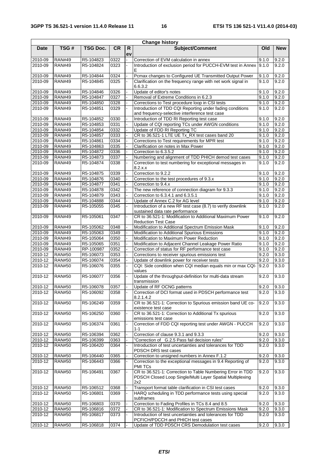|                    |                                |                        |              |          | <b>Change history</b>                                                                                                          |                |                |
|--------------------|--------------------------------|------------------------|--------------|----------|--------------------------------------------------------------------------------------------------------------------------------|----------------|----------------|
| <b>Date</b>        | TSG#                           | <b>TSG Doc.</b>        | <b>CR</b>    | R.<br>ev | <b>Subject/Comment</b>                                                                                                         | Old            | <b>New</b>     |
| 2010-09            | <b>RAN#49</b>                  | R5-104823              | 0322         |          | Correction of EVM calculation in annex                                                                                         | 9.1.0          | 9.2.0          |
| 2010-09            | <b>RAN#49</b>                  | R5-104824              | 0323         |          | Introduction of exclusion period for PUCCH-EVM test in Annex<br>Е                                                              | 9.1.0          | 9.2.0          |
| 2010-09            | <b>RAN#49</b>                  | R5-104844              | 0324         |          | Pcmax changes to Configured UE Transmitted Output Power                                                                        | 9.1.0          | 9.2.0          |
| 2010-09            | <b>RAN#49</b>                  | R5-104845              | 0325         |          | Clarification on the frequency range with net work signal in<br>6.6.3.2                                                        | 9.1.0          | 9.2.0          |
| 2010-09            | <b>RAN#49</b>                  | R5-104846              | 0326         |          | Update of editor's notes                                                                                                       | 9.1.0          | 9.2.0          |
| 2010-09            | <b>RAN#49</b>                  | R5-104847              | 0327         |          | Removal of Extreme Conditions in 6.2.3                                                                                         | 9.1.0          | 9.2.0          |
| 2010-09            | <b>RAN#49</b>                  | R5-104850              | 0328         |          | Corrections to Test procedure loop in CSI tests                                                                                | 9.1.0          | 9.2.0          |
| 2010-09            | <b>RAN#49</b>                  | R5-104851              | 0329         |          | Introduction of TDD CQI Reporting under fading conditions<br>and frequency-selective interference test case                    | 9.1.0          | 9.2.0          |
| 2010-09            | <b>RAN#49</b>                  | R5-104852              | 0330         |          | Introduction of TDD RI Reporting test case                                                                                     | 9.1.0          | 9.2.0          |
| 2010-09            | <b>RAN#49</b>                  | R5-104853              | 0331         |          | Update of CQI reporting TCs under AWGN conditions                                                                              | 9.1.0          | 9.2.0          |
| 2010-09            | <b>RAN#49</b>                  | R5-104854              | 0332         |          | Update of FDD RI Reporting TC                                                                                                  | 9.1.0          | 9.2.0          |
| 2010-09<br>2010-09 | <b>RAN#49</b><br><b>RAN#49</b> | R5-104857<br>R5-104861 | 0333<br>0334 |          | CR to 36.521-1 LTE UE Tx_RX test cases band 20<br>Corrections to Test requirements for MPR test                                | 9.1.0<br>9.1.0 | 9.2.0<br>9.2.0 |
| 2010-09            | <b>RAN#49</b>                  | R5-104863              | 0335         |          | Clarification on notes in Max Power                                                                                            | 9.1.0          | 9.2.0          |
| 2010-09            | <b>RAN#49</b>                  | R5-104872              | 0336         |          | Correction to 6.3.5.2                                                                                                          | 9.1.0          | 9.2.0          |
| 2010-09            | <b>RAN#49</b>                  | R5-104873              | 0337         |          | Numbering and alignment of TDD PHICH demod test cases                                                                          | 9.1.0          | 9.2.0          |
| 2010-09            | <b>RAN#49</b>                  | R5-104874              | 0338         |          | Correction to test numbering for exceptional messages in<br>8.2.x.x                                                            | 9.1.0          | 9.2.0          |
| 2010-09            | <b>RAN#49</b>                  | R5-104875              | 0339         |          | Correction to 9.2.2                                                                                                            | 9.1.0          | 9.2.0          |
| 2010-09            | <b>RAN#49</b>                  | R5-104876              | 0340         |          | Correction to the test procedures of 9.3.x                                                                                     | 9.1.0          | 9.2.0          |
| 2010-09            | <b>RAN#49</b>                  | R5-104877              | 0341         |          | Correction to 9.4.x                                                                                                            | 9.1.0          | 9.2.0          |
| 2010-09            | <b>RAN#49</b>                  | R5-104878              | 0342         |          | The new reference of connection diagram for 9.3.3                                                                              | 9.1.0          | 9.2.0          |
| 2010-09            | <b>RAN#49</b>                  | R5-104879              | 0343         |          | Correction to 6.3.4.1 and 6.3.5.1                                                                                              | 9.1.0          | 9.2.0          |
| 2010-09            | <b>RAN#49</b>                  | R5-104888              | 0344         |          | Update of Annex C.2 for AG level                                                                                               | 9.1.0          | 9.2.0          |
| 2010-09            | <b>RAN#49</b>                  | R5-105055              | 0345         |          | Introduction of a new RF test case (8.7) to verify downlink<br>sustained data rate performance                                 | 9.1.0          | 9.2.0          |
| 2010-09            | <b>RAN#49</b>                  | R5-105061              | 0347         |          | CR to 36.521-1: Modification to Additional Maximum Power<br><b>Reduction Test Case</b>                                         | 9.1.0          | 9.2.0          |
| 2010-09            | <b>RAN#49</b>                  | R5-105062              | 0348         |          | Modification to Additional Spectrum Emission Mask                                                                              | 9.1.0          | 9.2.0          |
| 2010-09            | <b>RAN#49</b>                  | R5-105063              | 0349         |          | Modification to Additional Spurious Emissions                                                                                  | 9.1.0          | 9.2.0          |
| 2010-09            | <b>RAN#49</b>                  | R5-105064              | 0350         |          | Modification to Maximum Power Reduction                                                                                        | 9.1.0          | 9.2.0          |
| 2010-09            | <b>RAN#49</b>                  | R5-105065              | 0351         |          | Modification to Adjacent Channel Leakage Power Ratio                                                                           | 9.1.0          | 9.2.0          |
| 2010-09            | <b>RAN#49</b>                  | RP-100987              | 0352         |          | Correction of status for RF performance test case                                                                              | 9.1.0          | 9.2.0          |
| 2010-12            | <b>RAN#50</b>                  | R5-106073              | 0353         |          | Corrections to receiver spurious emissions test                                                                                | 9.2.0          | 9.3.0          |
| 2010-12            | <b>RAN#50</b>                  | R5-106074              | 0354         |          | Update of downlink power for receiver tests                                                                                    | 9.2.0          | 9.3.0          |
| 2010-12            | <b>RAN#50</b>                  | R5-106076              | 0355         |          | CQI: Side condition when CQI median equals min or max CQI-<br>values                                                           | 9.2.0          | 9.3.0          |
| $2010 - 12$        | <b>RAN#50</b>                  | R5-106077              | 0356         |          | Update of the throughput-definition for multi-data stream<br>transmission                                                      | 9.2.0          | 9.3.0          |
| 2010-12            | <b>RAN#50</b>                  | R5-106078              | 0357         |          | Update of RF OCNG patterns                                                                                                     | 9.2.0          | 9.3.0          |
| 2010-12            | <b>RAN#50</b>                  | R5-106092              | 0358         |          | Correction of DCI format used in PDSCH performance test<br>8.2.1.4.2                                                           | 9.2.0          | 9.3.0          |
| 2010-12            | <b>RAN#50</b>                  | R5-106249              | 0359         |          | CR to 36.521-1: Correction to Spurious emission band UE co-<br>existence test case                                             | 9.2.0          | 9.3.0          |
| 2010-12            | <b>RAN#50</b>                  | R5-106250              | 0360         |          | CR to 36.521-1: Correction to Additional Tx spurious<br>emissions test case                                                    | 9.2.0          | 9.3.0          |
| 2010-12            | <b>RAN#50</b>                  | R5-106374              | 0361         |          | Correction of FDD CQI reporting test under AWGN - PUCCH<br>1-1                                                                 | 9.2.0          | 9.3.0          |
| 2010-12            | <b>RAN#50</b>                  | R5-106394              | 0362         |          | Correction of clause 9.3.1 and 9.3.3                                                                                           | 9.2.0          | 9.3.0          |
| 2010-12            | <b>RAN#50</b>                  | R5-106399              | 0363         |          | "Correction of G.2.5 Pass fail decision rules"                                                                                 | 9.2.0          | 9.3.0          |
| 2010-12            | <b>RAN#50</b>                  | R5-106420              | 0364         |          | Introduction of test uncertainties and tolerances for TDD<br>PDSCH DRS test cases                                              | 9.2.0          | 9.3.0          |
| 2010-12            | <b>RAN#50</b>                  | R5-106440              | 0365         |          | Correction to unsigned numbers in Annex F.1.2                                                                                  | 9.2.0          | 9.3.0          |
| 2010-12            | <b>RAN#50</b>                  | R5-106443              | 0366         |          | Correction to the exceptional messages in 9.4 Reporting of<br><b>PMI TCs</b>                                                   | 9.2.0          | 9.3.0          |
| 2010-12            | <b>RAN#50</b>                  | R5-106491              | 0367         |          | CR to 36.521-1: Correction to Table Numbering Error in TDD<br>PDSCH Closed Loop Single/Multi Layer Spatial Multiplexing<br>2x2 | 9.2.0          | 9.3.0          |
| 2010-12            | <b>RAN#50</b>                  | R5-106512              | 0368         |          | Transport format table clarification in CSI test cases                                                                         | 9.2.0          | 9.3.0          |
| 2010-12            | <b>RAN#50</b>                  | R5-106801              | 0369         |          | HARQ scheduling in TDD performance tests using special<br>subframes                                                            | 9.2.0          | 9.3.0          |
| 2010-12            | <b>RAN#50</b>                  | R5-106803              | 0370         |          | Correction to Fading Profiles in TCs 8.4 and 8.5                                                                               | 9.2.0          | 9.3.0          |
| 2010-12            | <b>RAN#50</b>                  | R5-106816              | 0372         |          | CR to 36.521-1: Modification to Spectrum Emissions Mask                                                                        | 9.2.0          | 9.3.0          |
| 2010-12            | <b>RAN#50</b>                  | R5-106817              | 0373         |          | Introduction of test uncertainties and tolerances for TDD<br>PCFICH/PDCCH and PHICH test cases                                 | 9.2.0          | 9.3.0          |
| 2010-12            | <b>RAN#50</b>                  | R5-106818              | 0374         |          | Update of TDD PDSCH CRS Demodulation test cases                                                                                | 9.2.0          | 9.3.0          |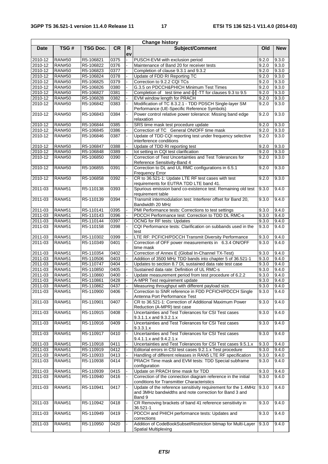|                    |                                |                        |              |          | <b>Change history</b>                                                                                                                                                  |                |                |
|--------------------|--------------------------------|------------------------|--------------|----------|------------------------------------------------------------------------------------------------------------------------------------------------------------------------|----------------|----------------|
| <b>Date</b>        | TSG#                           | <b>TSG Doc.</b>        | <b>CR</b>    | R.<br>ev | Subject/Comment                                                                                                                                                        | Old            | <b>New</b>     |
| 2010-12            | <b>RAN#50</b>                  | R5-106821              | 0375         |          | PUSCH-EVM with exclusion period                                                                                                                                        | 9.2.0          | 9.3.0          |
| 2010-12            | <b>RAN#50</b>                  | R5-106822              | 0376         |          | Maintenance of Band 20 for receiver tests                                                                                                                              | 9.2.0          | 9.3.0          |
| 2010-12            | <b>RAN#50</b>                  | R5-106823              | 0377         |          | Completion of clause 9.3.1 and 9.3.2                                                                                                                                   | 9.2.0          | 9.3.0          |
| 2010-12            | <b>RAN#50</b>                  | R5-106824              | 0378         |          | Update of FDD RI Reporting TC                                                                                                                                          | 9.2.0          | 9.3.0          |
| 2010-12            | <b>RAN#50</b>                  | R5-106825              | 0379         |          | Correction to 9.2.2 CQI TCs                                                                                                                                            | 9.2.0          | 9.3.0          |
| 2010-12            | <b>RAN#50</b>                  | R5-106826              | 0380         |          | G.3.5 on PDCCH&PHICH Minimum Test Times                                                                                                                                | 9.2.0          | 9.3.0          |
| 2010-12            | <b>RAN#50</b>                  | R5-106827              | 0381         |          | Completion of test time and $\frac{1}{1}$ -TT for clauses 9.3 to 9.5                                                                                                   | 9.2.0          | 9.3.0          |
| 2010-12            | <b>RAN#50</b>                  | R5-106828              | 0382         |          | EVM window length for PRACH                                                                                                                                            | 9.2.0          | 9.3.0          |
| 2010-12            | <b>RAN#50</b>                  | R5-106842              | 0383         |          | Modification of TC 8.3.2.1 - TDD PDSCH Single-layer SM<br>Performance (UE-Specific Reference Symbols)                                                                  | 9.2.0          | 9.3.0          |
| 2010-12            | <b>RAN#50</b>                  | R5-106843              | 0384         |          | Power control relative power tolerance: Missing band edge<br>relaxation                                                                                                | 9.2.0          | 9.3.0          |
| 2010-12            | <b>RAN#50</b>                  | R5-106844              | 0385         |          | SRS time mask test procedure update                                                                                                                                    | 9.2.0          | 9.3.0          |
| 2010-12            | <b>RAN#50</b>                  | R5-106845              | 0386         |          | Correction of TC General ON/OFF time mask                                                                                                                              | 9.2.0          | 9.3.0          |
| 2010-12            | <b>RAN#50</b>                  | R5-106846              | 0387         |          | Update of TDD CQI reporting test under frequency selective<br>interference conditions                                                                                  | 9.2.0          | 9.3.0          |
| 2010-12            | <b>RAN#50</b>                  | R5-106847              | 0388         |          | Update of TDD RI reporting test                                                                                                                                        | 9.2.0          | 9.3.0          |
| 2010-12            | <b>RAN#50</b>                  | R5-106848              | 0389         |          | lot setting in CQI test clarification                                                                                                                                  | 9.2.0          | 9.3.0          |
| 2010-12            | <b>RAN#50</b>                  | R5-106850              | 0390         |          | Correction of Test Uncertainties and Test Tolerances for<br>Reference Sensitivity-Band 4                                                                               | 9.2.0          | 9.3.0          |
| 2010-12            | <b>RAN#50</b>                  | R5-106855              | 0391         |          | Correction to DL and UL RMC configurations in 6.5.1<br><b>Frequency Error</b>                                                                                          | 9.2.0          | 9.3.0          |
| 2010-12            | <b>RAN#50</b>                  | R5-106858              | 0392         |          | CR to 36.521-1: Update LTE RF test cases with test<br>requirements for EUTRA TDD LTE band 41.                                                                          | 9.2.0          | 9.3.0          |
| 2011-03            | <b>RAN#51</b>                  | R5-110138              | 0393         |          | Spurious emission band co-existence test: Remaining old test<br>requirement table                                                                                      | 9.3.0          | 9.4.0          |
| 2011-03            | <b>RAN#51</b>                  | R5-110139              | 0394         |          | Transmit intermodulation test: Interferer offset for Band 20,                                                                                                          | 9.3.0          | 9.4.0          |
| 2011-03            | <b>RAN#51</b>                  | R5-110141              | 0395         |          | Bandwidth 20 MHz<br>PMI Performance tests: Corrections to test settings                                                                                                | 9.3.0          | 9.4.0          |
| 2011-03            | <b>RAN#51</b>                  | R5-110143              | 0396         |          | PDCCH Performance test: Correction to TDD DL RMC-s                                                                                                                     | 9.3.0          | 9.4.0          |
| 2011-03            | <b>RAN#51</b>                  | R5-110144              | 0397         |          | <b>OCNG</b> for RF tests: Updates                                                                                                                                      | 9.3.0          | 9.4.0          |
| 2011-03            | <b>RAN#51</b>                  | R5-110158              | 0398         |          | CQI Performance tests: Clarification on subbands used in the<br>test                                                                                                   | 9.3.0          | 9.4.0          |
| 2011-03            | <b>RAN#51</b>                  | R5-110302              | 0399         |          | LTE RF: PCFICH/PDCCH Transmit Diversity Performance                                                                                                                    | 9.3.0          | 9.4.0          |
| 2011-03            | <b>RAN#51</b>                  | R5-110349              | 0401         |          | Correction of OFF power measurements in 6.3.4 ON/OFF                                                                                                                   | 9.3.0          | 9.4.0          |
| 2011-03            | <b>RAN#51</b>                  | R5-110354              | 0402         |          | time mask<br>Correction of Annex E (Global In-Channel TX-Test)                                                                                                         | 9.3.0          | 9.4.0          |
| 2011-03            | <b>RAN#51</b>                  | R5-110506              | 0403         |          | Addition of 3500 MHz TDD bands into chapter 5 of 36.521-1                                                                                                              | 9.3.0          | 9.4.0          |
| 2011-03            | <b>RAN#51</b>                  | R5-110747              | 0404         |          | Updates to section 8.7 DL sustained data rate test case                                                                                                                | 9.3.0          | 9.4.0          |
| 2011-03            | <b>RAN#51</b>                  | R5-110850              | 0405         |          | Sustained data rate: Definition of UL RMC-s                                                                                                                            | 9.3.0          | 9.4.0          |
| 2011-03            | <b>RAN#51</b>                  | R5-110860              | 0400         |          | Update measurement period from test procedure of 6.2.2                                                                                                                 | 9.3.0          | 9.4.0          |
| 2011-03            | <b>RAN#51</b>                  | R5-110861              | 0428         |          | A-MPR Test requirement update                                                                                                                                          | 9.3.0          | 9.4.0          |
| 2011-03            | <b>RAN#51</b>                  | R5-110862              | 0437         |          | Measuring throughput with different payload size.                                                                                                                      | 9.3.0          | 9.4.0          |
| $2011 - 03$        | <b>RAN#51</b>                  | R5-110900              | 0406         |          | Correction to SNR reference in FDD PCFICH/PDCCH Single<br>Antenna Port Performance Test                                                                                | 9.3.0          | 9.4.0          |
| 2011-03            | <b>RAN#51</b>                  | R5-110901              | 0407         |          | CR to 36.521-1: Correction of Additional Maximum Power                                                                                                                 | 9.3.0          | 9.4.0          |
| 2011-03            | <b>RAN#51</b>                  | R5-110915              | 0408         |          | Reduction (A-MPR) test case<br>Uncertainties and Test Tolerances for CSI Test cases                                                                                    | 9.3.0          | 9.4.0          |
| 2011-03            | <b>RAN#51</b>                  | R5-110916              | 0409         |          | 9.3.1.1.x and 9.3.2.1.x<br>Uncertainties and Test Tolerances for CSI Test cases                                                                                        | 9.3.0          | 9.4.0          |
| 2011-03            | <b>RAN#51</b>                  | R5-110917              | 0410         |          | 9.3.3.1.x<br>Uncertainties and Test Tolerances for CSI Test cases                                                                                                      | 9.3.0          | 9.4.0          |
|                    |                                |                        |              |          | 9.4.1.1.x and 9.4.2.1.x                                                                                                                                                |                |                |
| 2011-03            | <b>RAN#51</b>                  | R5-110918              | 0411         |          | Uncertainties and Test Tolerances for CSI Test cases 9.5.1.x                                                                                                           | 9.3.0          | 9.4.0          |
| 2011-03            | <b>RAN#51</b>                  | R5-110919              | 0412         |          | Editorial errors in CSI test cases 9.2.1.x Test procedure                                                                                                              | 9.3.0          | 9.4.0          |
| 2011-03<br>2011-03 | <b>RAN#51</b><br><b>RAN#51</b> | R5-110933<br>R5-110938 | 0413<br>0414 |          | Handling of different releases in RAN5 LTE RF specification<br>PRACH Time mask and EVM tests: TDD Special subframe                                                     | 9.3.0<br>9.3.0 | 9.4.0<br>9.4.0 |
| 2011-03            | <b>RAN#51</b>                  | R5-110939              | 0415         |          | configuration<br>Update on PRACH time mask for TDD                                                                                                                     | 9.3.0          | 9.4.0          |
| 2011-03            | <b>RAN#51</b>                  | R5-110940              | 0416         |          | Correction of the connection diagram reference in the initial                                                                                                          | 9.3.0          | 9.4.0          |
| 2011-03            | <b>RAN#51</b>                  | R5-110941              | 0417         |          | conditions for Transmitter Characteristics<br>Update of the reference sensitivity requirement for the 1.4MHz<br>and 3MHz bandwidths and note correction for Band 3 and | 9.3.0          | 9.4.0          |
| 2011-03            | <b>RAN#51</b>                  | R5-110942              | 0418         |          | Band 9<br>CR Removing brackets of band 41 reference sensitivity in                                                                                                     | 9.3.0          | 9.4.0          |
| 2011-03            | <b>RAN#51</b>                  | R5-110949              | 0419         |          | 36.521-1<br>PDCCH and PHICH performance tests: Updates and                                                                                                             | 9.3.0          | 9.4.0          |
| 2011-03            | <b>RAN#51</b>                  | R5-110950              | 0420         |          | corrections<br>Addition of CodeBookSubsetRestriction bitmap for Multi-Layer<br><b>Spatial Multiplexing</b>                                                             | 9.3.0          | 9.4.0          |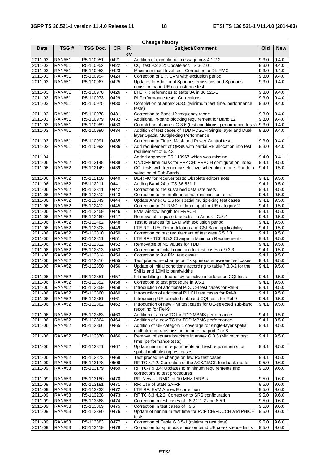| <b>Change history</b> |                                |                        |              |          |                                                                                                                 |                |                |  |  |  |
|-----------------------|--------------------------------|------------------------|--------------|----------|-----------------------------------------------------------------------------------------------------------------|----------------|----------------|--|--|--|
| <b>Date</b>           | TSG#                           | <b>TSG Doc.</b>        | <b>CR</b>    | R.<br>ev | Subject/Comment                                                                                                 | Old            | <b>New</b>     |  |  |  |
| 2011-03               | <b>RAN#51</b>                  | R5-110951              | 0421         |          | Addition of exceptional message in 8.4.1.2.2                                                                    | 9.3.0          | 9.4.0          |  |  |  |
| 2011-03               | <b>RAN#51</b>                  | R5-110952              | 0422         |          | CQI test 9.2.2.2: Update acc TS 36.101                                                                          | 9.3.0          | 9.4.0          |  |  |  |
| 2011-03               | <b>RAN#51</b>                  | R5-110953              | 0423         |          | Maximum input level test: Correction to DL-RMC                                                                  | 9.3.0          | 9.4.0          |  |  |  |
| 2011-03               | <b>RAN#51</b>                  | R5-110954              | 0424         |          | Correction of E.7, EVM with exclusion period                                                                    | 9.3.0          | 9.4.0          |  |  |  |
| 2011-03               | <b>RAN#51</b>                  | R5-110967              | 0425         |          | Updates to Additional Spurious emissions and Spurious<br>emission band UE co-existence test                     | 9.3.0          | 9.4.0          |  |  |  |
| 2011-03               | <b>RAN#51</b>                  | R5-110970              | 0426         |          | LTE RF: references to state 3A in 36.521-1                                                                      | 9.3.0          | 9.4.0          |  |  |  |
| 2011-03               | <b>RAN#51</b>                  | R5-110973              | 0429         |          | RI Performance tests: Corrections                                                                               | 9.3.0          | 9.4.0          |  |  |  |
| 2011-03               | <b>RAN#51</b>                  | R5-110975              | 0430         |          | Completion of annex G.3.5 (Minimum test time, performance<br>tests)                                             | 9.3.0          | 9.4.0          |  |  |  |
| 2011-03               | <b>RAN#51</b>                  | R5-110978              | 0431         |          | Correction to Band 12 frequency range                                                                           | 9.3.0          | 9.4.0          |  |  |  |
| 2011-03               | <b>RAN#51</b>                  | R5-110979              | 0432         |          | Additional in-band blocking requirement for Band 12                                                             | 9.3.0          | 9.4.0          |  |  |  |
| 2011-03               | <b>RAN#51</b>                  | R5-110989              | 0433         |          | Completion of annex G.3.6 (test conditions, performance tests)                                                  | 9.3.0          | 9.4.0          |  |  |  |
| 2011-03               | <b>RAN#51</b>                  | R5-110990              | 0434         |          | Addition of test cases of TDD PDSCH Single-layer and Dual-<br>layer Spatial Multiplexing Performance            | 9.3.0          | 9.4.0          |  |  |  |
| 2011-03               | <b>RAN#51</b>                  | R5-110991              | 0435         |          | Correction to Times Mask and Power Control tests                                                                | 9.3.0          | 9.4.0          |  |  |  |
| 2011-03               | <b>RAN#51</b>                  | R5-110992              | 0436         |          | Add requirement of QPSK with partial RB allocation into test<br>requirement of 6.2.3                            | 9.3.0          | 9.4.0          |  |  |  |
| 2011-04               |                                |                        |              |          | Added approved R5-110967 which was missing.                                                                     | 9.4.0          | 9.4.1          |  |  |  |
| 2011-06               | <b>RAN#52</b>                  | R5-112148              | 0438         |          | ON/OFF time mask for PRACH: PRACH configuration index                                                           | 9.4.1          | 9.5.0          |  |  |  |
| 2011-06               | <b>RAN#52</b>                  | R5-112149              | 0439         |          | CQI tests with frequency selective scheduling mode: Random<br>selection of Sub-Bands                            | 9.4.1          | 9.5.0          |  |  |  |
| 2011-06               | <b>RAN#52</b>                  | R5-112150              | 0440         |          | DL-RMC for receiver tests: Obsolete editors note                                                                | 9.4.1          | 9.5.0          |  |  |  |
| 2011-06               | <b>RAN#52</b>                  | R5-112211              | 0441         |          | Adding Band 24 to TS 36.521-1                                                                                   | 9.4.1          | 9.5.0          |  |  |  |
| 2011-06               | <b>RAN#52</b>                  | R5-112311              | 0442         |          | Correction to the sustained data rate tests                                                                     | 9.4.1          | 9.5.0          |  |  |  |
| 2011-06               | <b>RAN#52</b>                  | R5-112312              | 0443         |          | Correction to the multi-antenna transmission tests                                                              | 9.4.1          | 9.5.0          |  |  |  |
| 2011-06               | <b>RAN#52</b>                  | R5-112349              | 0444         |          | Update Annex G.3.6 for spatial multiplexing test cases                                                          | 9.4.1          | 9.5.0          |  |  |  |
| 2011-06               | <b>RAN#52</b>                  | R5-112412              | 0445         |          | Correction to DL RMC for Max input for UE category 2                                                            | 9.4.1          | 9.5.0          |  |  |  |
| 2011-06               | <b>RAN#52</b>                  | R5-112459              | 0446         |          | EVM window length for PRACH                                                                                     | 9.4.1          | 9.5.0          |  |  |  |
| 2011-06               | <b>RAN#52</b>                  | R5-112460              | 0447         |          | Removal of square brackets in Annex G.5.4                                                                       | 9.4.1          | 9.5.0          |  |  |  |
| 2011-06               | <b>RAN#52</b>                  | R5-112462              | 0448<br>0449 |          | Test tolerances for EVM with exclusion period                                                                   | 9.4.1<br>9.4.1 | 9.5.0<br>9.5.0 |  |  |  |
| 2011-06<br>2011-06    | <b>RAN#52</b><br><b>RAN#52</b> | R5-112808<br>R5-112810 | 0450         |          | LTE RF - UEs Demodulation and CSI Band applicability<br>Correction on test requirement of test case 6.5.2.3     | 9.4.1          | 9.5.0          |  |  |  |
| 2011-06               | <b>RAN#52</b>                  | R5-112811              | 0451         |          | LTE RF - TC6.3.5.2 Change in Minimum Requirements                                                               | 9.4.1          | 9.5.0          |  |  |  |
| 2011-06               | <b>RAN#52</b>                  | R5-112812              | 0452         |          | Removable of NS values for TDD                                                                                  | 9.4.1          | 9.5.0          |  |  |  |
| 2011-06               | <b>RAN#52</b>                  | R5-112813              | 0453         |          | Correction on initial condition for test cases of 9.3.3                                                         | 9.4.1          | 9.5.0          |  |  |  |
| 2011-06               | <b>RAN#52</b>                  | R5-112814              | 0454         |          | Correction to 9.4 PMI test cases                                                                                | 9.4.1          | 9.5.0          |  |  |  |
| 2011-06               | <b>RAN#52</b>                  | R5-112816              | 0455         |          | Test procedure change on Tx spurious emissions test cases                                                       | 9.4.1          | 9.5.0          |  |  |  |
| 2011-06               | <b>RAN#52</b>                  | R5-112850              | 0456         |          | Update of Initial conditions according to table 7.3.3-2 for the<br>5MHz and 10MHz bandwidths                    | 9.4.1          | 9.5.0          |  |  |  |
| 2011-06               | <b>RAN#52</b>                  | R5-112851              | 0457         |          | lot modelling in frequency-selective interference CQI tests                                                     | 9.4.1          | 9.5.0          |  |  |  |
| 2011-06               | <b>RAN#52</b>                  | R5-112852              | 0458         |          | Correction to test procedure in 9.5.1                                                                           | 9.4.1          | 9.5.0          |  |  |  |
| 2011-06               | <b>RAN#52</b>                  | R5-112859              | 0459         |          | Introduction of additional PDCCH test cases for Rel-9                                                           | 9.4.1          | 9.5.0          |  |  |  |
| 2011-06               | <b>RAN#52</b>                  | R5-112860              | 0460         |          | Introduction of additional PHICH test cases for Rel-9                                                           | 9.4.1          | 9.5.0          |  |  |  |
| 2011-06               | <b>RAN#52</b>                  | R5-112861              | 0461         |          | Introducing UE-selected subband CQI tests for Rel-9                                                             | 9.4.1          | 9.5.0          |  |  |  |
| $2011 - 06$           | <b>RAN#52</b>                  | R5-112862              | 0462         |          | Introduction of new PMI test cases for UE-selected sub-band<br>reporting for Rel-9                              | 9.4.1          | 9.5.0          |  |  |  |
| 2011-06               | <b>RAN#52</b>                  | R5-112863              | 0463         |          | Addition of a new TC for FDD MBMS performance                                                                   | 9.4.1          | 9.5.0          |  |  |  |
| 2011-06               | <b>RAN#52</b>                  | R5-112864              | 0464         |          | Addition of a new TC for TDD MBMS performance                                                                   | 9.4.1          | 9.5.0          |  |  |  |
| 2011-06               | <b>RAN#52</b>                  | R5-112866              | 0465         |          | Addition of UE category 1 coverage for single-layer spatial<br>multiplexing transmission on antenna port 7 or 8 | 9.4.1          | 9.5.0          |  |  |  |
| 2011-06               | <b>RAN#52</b>                  | R5-112870              | 0466         |          | Removal of square brackets in annex G.3.5 (Minimum test<br>time, performance tests)                             | 9.4.1          | 9.5.0          |  |  |  |
| 2011-06               | <b>RAN#52</b>                  | R5-112871              | 0467         |          | Update minimum requirements and test requirements for<br>spatial multiplexing test cases                        | 9.4.1          | 9.5.0          |  |  |  |
| 2011-06               | <b>RAN#52</b>                  | R5-112873              | 0468         |          | Test procedure change on few Rx test cases                                                                      | 9.4.1          | 9.5.0          |  |  |  |
| 2011-09               | <b>RAN#53</b>                  | R5-113178              | 0506         |          | RF TC 8.7.2: Correction of the ACK/NACK feedback mode                                                           | 9.5.0          | 9.6.0          |  |  |  |
| 2011-09               | <b>RAN#53</b>                  | R5-113179              | 0469         |          | RF TC-s 9.3.4: Updates to minimum requirements and<br>corrections to test procedures                            | 9.5.0          | 9.6.0          |  |  |  |
| 2011-09               | <b>RAN#53</b>                  | R5-113180              | 0470         |          | RF: New UL RMC for 10 MHz 15RB-s                                                                                | 9.5.0          | 9.6.0          |  |  |  |
| 2011-09               | <b>RAN#53</b>                  | R5-113181              | 0471         |          | RF: Use of State 3A-RF                                                                                          | 9.5.0          | 9.6.0          |  |  |  |
| 2011-09               | <b>RAN#53</b>                  | R5-113233              | 0472         |          | LTE RF: EVM Annex E correction                                                                                  | 9.5.0          | 9.6.0          |  |  |  |
| 2011-09               | <b>RAN#53</b>                  | R5-113238              | 0473         |          | RF TC 6.3.4.2.2: Correction to SRS configuration                                                                | 9.5.0          | 9.6.0          |  |  |  |
| 2011-09               | <b>RAN#53</b>                  | R5-113368              | 0474         |          | Correction in test cases of 8.2.2.1.2 and 8.5.1                                                                 | 9.5.0          | 9.6.0          |  |  |  |
| 2011-09               | <b>RAN#53</b>                  | R5-113369              | 0475         |          | Correction in test cases of 9.5                                                                                 | 9.5.0          | 9.6.0          |  |  |  |
| 2011-09               | <b>RAN#53</b>                  | R5-113380              | 0476         |          | Update of minimum test time for PCFICH/PDCCH and PHICH<br>tests                                                 | 9.5.0          | 9.6.0          |  |  |  |
| 2011-09               | <b>RAN#53</b>                  | R5-113383              | 0477         |          | Correction of Table G.3.5-1 (minimum test time)                                                                 | 9.5.0          | 9.6.0          |  |  |  |
| 2011-09               | <b>RAN#53</b>                  | R5-113419              | 0478         |          | Correction for spurious emission band UE co-existence limits                                                    | 9.5.0          | 9.6.0          |  |  |  |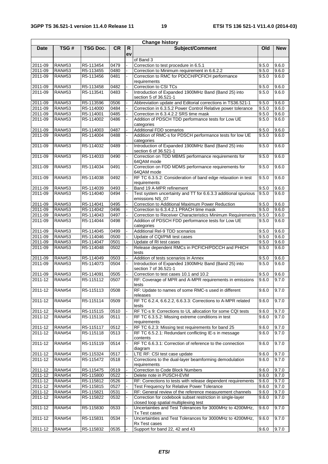|             | <b>Change history</b> |           |           |                    |                                                                                                     |       |            |  |  |  |  |  |
|-------------|-----------------------|-----------|-----------|--------------------|-----------------------------------------------------------------------------------------------------|-------|------------|--|--|--|--|--|
| <b>Date</b> | TSG#                  | TSG Doc.  | <b>CR</b> | $\mathsf{R}$<br>ev | Subject/Comment                                                                                     | Old   | <b>New</b> |  |  |  |  |  |
|             |                       |           |           |                    | of Band 3                                                                                           |       |            |  |  |  |  |  |
| 2011-09     | <b>RAN#53</b>         | R5-113454 | 0479      |                    | Correction to test procedure in 6.5.1                                                               | 9.5.0 | 9.6.0      |  |  |  |  |  |
| 2011-09     | <b>RAN#53</b>         | R5-113455 | 0480      |                    | Correction to Minimum requirement in 6.6.2.2                                                        | 9.5.0 | 9.6.0      |  |  |  |  |  |
| 2011-09     | <b>RAN#53</b>         | R5-113456 | 0481      |                    | Correction to RMC for PDCCH/PCFICH performance<br>requirements                                      | 9.5.0 | 9.6.0      |  |  |  |  |  |
| 2011-09     | <b>RAN#53</b>         | R5-113458 | 0482      |                    | Correction to CSI TCs                                                                               | 9.5.0 | 9.6.0      |  |  |  |  |  |
| 2011-09     | <b>RAN#53</b>         | R5-113541 | 0483      |                    | Introduction of Expanded 1900MHz Band (Band 25) into<br>section 5 of 36.521-1                       | 9.5.0 | 9.6.0      |  |  |  |  |  |
| 2011-09     | <b>RAN#53</b>         | R5-113596 | 0506      |                    | Abbreviation update and Editorial corrections in TS36.521-1                                         | 9.5.0 | 9.6.0      |  |  |  |  |  |
| 2011-09     | <b>RAN#53</b>         | R5-114000 | 0484      |                    | Correction in 6.3.5.2 Power Control Relative power tolerance                                        | 9.5.0 | 9.6.0      |  |  |  |  |  |
| 2011-09     | <b>RAN#53</b>         | R5-114001 | 0485      |                    | Correction in 6.3.4.2.2 SRS time mask                                                               | 9.5.0 | 9.6.0      |  |  |  |  |  |
| 2011-09     | <b>RAN#53</b>         | R5-114002 | 0486      |                    | Addition of PDSCH TDD performance tests for Low UE                                                  | 9.5.0 | 9.6.0      |  |  |  |  |  |
| 2011-09     | <b>RAN#53</b>         | R5-114003 | 0487      |                    | categories<br><b>Additional FDD scenarios</b>                                                       | 9.5.0 | 9.6.0      |  |  |  |  |  |
| 2011-09     | <b>RAN#53</b>         | R5-114004 | 0488      |                    | Addition of RMC-s for PDSCH performance tests for low UE                                            | 9.5.0 | 9.6.0      |  |  |  |  |  |
|             |                       |           |           |                    | categories                                                                                          |       |            |  |  |  |  |  |
| 2011-09     | <b>RAN#53</b>         | R5-114032 | 0489      |                    | Introduction of Expanded 1900MHz Band (Band 25) into<br>section 6 of 36.521-1                       | 9.5.0 | 9.6.0      |  |  |  |  |  |
| 2011-09     | <b>RAN#53</b>         | R5-114033 | 0490      |                    | Correction on TDD MBMS performance requirements for<br>64QAM mode                                   | 9.5.0 | 9.6.0      |  |  |  |  |  |
| 2011-09     | <b>RAN#53</b>         | R5-114034 | 0491      |                    | Correction on FDD MDMS performance requirements for<br>64QAM mode                                   | 9.5.0 | 9.6.0      |  |  |  |  |  |
| 2011-09     | <b>RAN#53</b>         | R5-114038 | 0492      |                    | RF TC 6.3.5.2: Consideration of band edge relaxation in test<br>requirements                        | 9.5.0 | 9.6.0      |  |  |  |  |  |
| 2011-09     | <b>RAN#53</b>         | R5-114039 | 0493      |                    | Band 19 A-MPR refinement                                                                            | 9.5.0 | 9.6.0      |  |  |  |  |  |
| $2011 - 09$ | <b>RAN#53</b>         | R5-114040 | 0494      |                    | Test system uncertainty and TT for 6.6.3.3 additional spurious<br>emissions NS_07                   | 9.5.0 | 9.6.0      |  |  |  |  |  |
| 2011-09     | <b>RAN#53</b>         | R5-114041 | 0495      |                    | Correction to Additional Maximum Power Reduction                                                    | 9.5.0 | 9.6.0      |  |  |  |  |  |
| 2011-09     | <b>RAN#53</b>         | R5-114042 | 0496      |                    | Correction to 6.3.4.2.1 PRACH time mask                                                             | 9.5.0 | 9.6.0      |  |  |  |  |  |
| 2011-09     | <b>RAN#53</b>         | R5-114043 | 0497      |                    | Correction to Receiver Characteristics Minimum Requirements                                         | 9.5.0 | 9.6.0      |  |  |  |  |  |
| 2011-09     | <b>RAN#53</b>         | R5-114044 | 0498      |                    | Addition of PDSCH FDD performance tests for Low UE<br>categories                                    | 9.5.0 | 9.6.0      |  |  |  |  |  |
| 2011-09     | <b>RAN#53</b>         | R5-114045 | 0499      |                    | Additional Rel-9 TDD scenarios                                                                      | 9.5.0 | 9.6.0      |  |  |  |  |  |
| 2011-09     | <b>RAN#53</b>         | R5-114046 | 0500      |                    | Update of CQI/PMI test cases                                                                        | 9.5.0 | 9.6.0      |  |  |  |  |  |
| 2011-09     | <b>RAN#53</b>         | R5-114047 | 0501      |                    | Update of RI test cases                                                                             | 9.5.0 | 9.6.0      |  |  |  |  |  |
| 2011-09     | <b>RAN#53</b>         | R5-114048 | 0502      |                    | Release dependent RMCs in PCFICH/PDCCH and PHICH<br>tests                                           | 9.5.0 | 9.6.0      |  |  |  |  |  |
| 2011-09     | <b>RAN#53</b>         | R5-114049 | 0503      |                    | Addition of tests scenarios in Annex                                                                | 9.5.0 | 9.6.0      |  |  |  |  |  |
| 2011-09     | <b>RAN#53</b>         | R5-114073 | 0504      |                    | Introduction of Expanded 1900MHz Band (Band 25) into<br>section 7 of 36.521-1                       | 9.5.0 | 9.6.0      |  |  |  |  |  |
| 2011-09     | <b>RAN#53</b>         | R5-114091 | 0505      |                    | Correction to test cases 10.1 and 10.2                                                              | 9.5.0 | 9.6.0      |  |  |  |  |  |
| $2011 - 12$ | <b>RAN#54</b>         | R5-115112 | 0507      |                    | RF: Coverage of MPR and A-MPR requirements in emissions<br>tests                                    | 9.6.0 | 9.7.0      |  |  |  |  |  |
| 2011-12     | <b>RAN#54</b>         | R5-115113 | 0508      |                    | RF: Update to names of some RMC-s used in different<br>releases                                     | 9.6.0 | 9.7.0      |  |  |  |  |  |
| 2011-12     | <b>RAN#54</b>         | R5-115114 | 0509      |                    | RF TC 6.2.4, 6.6.2.2, 6.6.3.3: Corrections to A-MPR related<br>tests                                | 9.6.0 | 9.7.0      |  |  |  |  |  |
| 2011-12     | <b>RAN#54</b>         | R5-115115 | 0510      |                    | RF TC-s 9: Corrections to UL allocation for some CQI tests                                          | 9.6.0 | 9.7.0      |  |  |  |  |  |
| 2011-12     | <b>RAN#54</b>         | R5-115116 | 0511      |                    | RF TC 6.3.5.2: Missing extreme conditions in test<br>requirements                                   | 9.6.0 | 9.7.0      |  |  |  |  |  |
| 2011-12     | <b>RAN#54</b>         | R5-115117 | 0512      |                    | RF TC 6.2.3: Missing test requirements for band 25                                                  | 9.6.0 | 9.7.0      |  |  |  |  |  |
| 2011-12     | <b>RAN#54</b>         | R5-115118 | 0513      |                    | RF TC 6.5.2.1: Redundant conflicting IE-s in message<br>contents                                    | 9.6.0 | 9.7.0      |  |  |  |  |  |
| 2011-12     | <b>RAN#54</b>         | R5-115119 | 0514      |                    | RF TC 6.6.3.1: Correction of reference to the connection<br>diagram                                 | 9.6.0 | 9.7.0      |  |  |  |  |  |
| 2011-12     | <b>RAN#54</b>         | R5-115324 | 0517      |                    | LTE RF: CSI test case update                                                                        | 9.6.0 | 9.7.0      |  |  |  |  |  |
| 2011-12     | <b>RAN#54</b>         | R5-115472 | 0518      |                    | Corrections to the dual-layer beamforming demodulation<br>requirements                              | 9.6.0 | 9.7.0      |  |  |  |  |  |
| 2011-12     | <b>RAN#54</b>         | R5-115475 | 0519      |                    | Correction to Code Block Numbers                                                                    | 9.6.0 | 9.7.0      |  |  |  |  |  |
| 2011-12     | <b>RAN#54</b>         | R5-115800 | 0522      |                    | Delete note in PUSCH-EVM                                                                            | 9.6.0 | 9.7.0      |  |  |  |  |  |
| 2011-12     | <b>RAN#54</b>         | R5-115812 | 0526      |                    | RF: Corrections to tests with release dependent requirements                                        | 9.6.0 | 9.7.0      |  |  |  |  |  |
| 2011-12     | <b>RAN#54</b>         | R5-115815 | 0527      |                    | Test Frequency for Relative Power Tolerance                                                         | 9.6.0 | 9.7.0      |  |  |  |  |  |
| $2011 - 12$ | <b>RAN#54</b>         | R5-115821 | 0531      |                    | RF: General review of the reference measurement channels                                            | 9.6.0 | 9.7.0      |  |  |  |  |  |
| 2011-12     | <b>RAN#54</b>         | R5-115822 | 0532      |                    | Correction for codebook subset restriction in single-layer<br>closed loop spatial multiplexing test | 9.6.0 | 9.7.0      |  |  |  |  |  |
| $2011 - 12$ | <b>RAN#54</b>         | R5-115830 | 0533      |                    | Uncertainties and Test Tolerances for 3000MHz to 4200MHz,<br>Tx Test cases                          | 9.6.0 | 9.7.0      |  |  |  |  |  |
| 2011-12     | <b>RAN#54</b>         | R5-115831 | 0534      |                    | Uncertainties and Test Tolerances for 3000MHz to 4200MHz,<br>Rx Test cases                          | 9.6.0 | 9.7.0      |  |  |  |  |  |
| $2011 - 12$ | <b>RAN#54</b>         | R5-115832 | 0535      |                    | Support for band 22, 42 and 43                                                                      | 9.6.0 | 9.7.0      |  |  |  |  |  |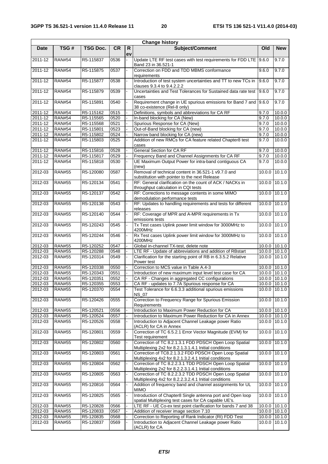L,

|             | <b>Change history</b> |                 |           |         |                                                                                                                    |               |               |  |  |  |
|-------------|-----------------------|-----------------|-----------|---------|--------------------------------------------------------------------------------------------------------------------|---------------|---------------|--|--|--|
| <b>Date</b> | TSG#                  | <b>TSG Doc.</b> | <b>CR</b> | R<br>ev | Subject/Comment                                                                                                    | Old           | <b>New</b>    |  |  |  |
| 2011-12     | <b>RAN#54</b>         | R5-115837       | 0536      |         | Update LTE RF test cases with test requirements for FDD LTE   9.6.0<br>Band 23 in 36.521-1                         |               | 9.7.0         |  |  |  |
| 2011-12     | <b>RAN#54</b>         | R5-115875       | 0537      |         | Correction on FDD and TDD MBMS conformance<br>requirements                                                         | 9.6.0         | 9.7.0         |  |  |  |
| 2011-12     | <b>RAN#54</b>         | R5-115877       | 0538      |         | Introduction of test system uncertainties and TT to new TCs in<br>clauses 9.3.4 to 9.4.2.2.2                       | 9.6.0         | 9.7.0         |  |  |  |
| 2011-12     | <b>RAN#54</b>         | R5-115879       | 0539      |         | Uncertainties and Test Tolerances for Sustained data rate test<br>cases                                            | 9.6.0         | 9.7.0         |  |  |  |
| 2011-12     | <b>RAN#54</b>         | R5-115891       | 0540      |         | Requirement change in UE spurious emissions for Band 7 and<br>38 co-existence (Rel-8 only)                         | 9.6.0         | 9.7.0         |  |  |  |
| 2011-12     | <b>RAN#54</b>         | R5-115162       | 0515      |         | Definitions, symbols and abbreviations for CA RF                                                                   | 9.7.0         | 10.0.0        |  |  |  |
| 2011-12     | <b>RAN#54</b>         | R5-115565       | 0520      |         | In-band blocking for CA (New)                                                                                      | 9.7.0         | 10.0.0        |  |  |  |
| 2011-12     | <b>RAN#54</b>         | R5-115568       | 0521      |         | Spurious Response for CA (New)                                                                                     | 9.7.0         | 10.0.0        |  |  |  |
| 2011-12     | <b>RAN#54</b>         | R5-115801       | 0523      |         | Out-of-Band blocking for CA (new)                                                                                  | 9.7.0         | 10.0.0        |  |  |  |
| 2011-12     | <b>RAN#54</b>         | R5-115802       | 0524      |         | Narrow band blocking for CA (new)                                                                                  | 9.7.0         | 10.0.0        |  |  |  |
| 2011-12     | <b>RAN#54</b>         | R5-115803       | 0525      |         | Addition of new RMCs for CA feature related Chapter8 test<br>cases                                                 | 9.7.0         | 10.0.0        |  |  |  |
| 2011-12     | <b>RAN#54</b>         | R5-115816       | 0528      |         | <b>General Section for CA RF</b>                                                                                   | 9.7.0         | 10.0.0        |  |  |  |
| 2011-12     | <b>RAN#54</b>         | R5-115817       | 0529      |         | Frequency Band and Channel Assignments for CA RF                                                                   | 9.7.0         | 10.0.0        |  |  |  |
| 2011-12     | <b>RAN#54</b>         | R5-115818       | 0530      |         | UE Maximum Output Power for intra-band contiguous CA<br>(new)                                                      | 9.7.0         | 10.0.0        |  |  |  |
| 2012-03     | <b>RAN#55</b>         | R5-120080       | 0587      |         | Removal of technical content in 36.521-1 v9.7.0 and<br>substitution with pointer to the next Release               | 10.00         | 10.1.0        |  |  |  |
| 2012-03     | <b>RAN#55</b>         | R5-120134       | 0541      |         | RF: General clarification on the count of ACK / NACKs in<br>throughput calculation in CQI tests                    | 10.0.0        | 10.1.0        |  |  |  |
| 2012-03     | <b>RAN#55</b>         | R5-120137       | 0542      |         | RF: Corrections to message contents in some MIMO<br>demodulation performance tests                                 | 10.0.0        | 10.1.0        |  |  |  |
| 2012-03     | <b>RAN#55</b>         | R5-120138       | 0543      |         | RF: Updates to handling requirements and tests for different<br>releases                                           | 10.0.0 10.1.0 |               |  |  |  |
| 2012-03     | <b>RAN#55</b>         | R5-120140       | 0544      |         | RF: Coverage of MPR and A-MPR requirements in Tx<br>emissions tests                                                | 10.0.0        | 10.1.0        |  |  |  |
| 2012-03     | <b>RAN#55</b>         | R5-120243       | 0545      |         | Tx Test cases Uplink power limit window for 3000MHz to<br>4200MHz                                                  | 10.0.0        | 10.1.0        |  |  |  |
| 2012-03     | <b>RAN#55</b>         | R5-120244       | 0546      |         | Rx Test cases Uplink power limit window for 3000MHz to<br>4200MHz                                                  | 10.0.0        | 10.1.0        |  |  |  |
| 2012-03     | <b>RAN#55</b>         | R5-120252       | 0547      |         | Global in-channel TX-test, delete note                                                                             |               | 10.0.0 10.1.0 |  |  |  |
| 2012-03     | <b>RAN#55</b>         | R5-120288       | 0548      |         | LTE RF - Update of abbreviations and addition of RBstart                                                           |               | 10.0.0 10.1.0 |  |  |  |
| 2012-03     | <b>RAN#55</b>         | R5-120314       | 0549      |         | Clarification for the starting point of RB in 6.3.5.2 Relative<br>Power test                                       | 10.0.0        | 10.1.0        |  |  |  |
| 2012-03     | <b>RAN#55</b>         | R5-120338       | 0550      |         | Correction to MCS value in Table A.4-3                                                                             |               | 10.0.0 10.1.0 |  |  |  |
| 2012-03     | <b>RAN#55</b>         | R5-120343       | 0551      |         | Introduction of new maximum input level test case for CA                                                           |               | 10.0.0 10.1.0 |  |  |  |
| 2012-03     | <b>RAN#55</b>         | R5-120351       | 0552      |         | CA RF - Changes in aggregated CC configurations                                                                    |               | 10.0.0 10.1.0 |  |  |  |
| 2012-03     | <b>RAN#55</b>         | R5-120355       | 0553      |         | CA RF - updates to 7.7A Spurious response for CA                                                                   |               | 10.0.0 10.1.0 |  |  |  |
| 2012-03     | <b>RAN#55</b>         | R5-120370       | 0554      |         | Test Tolerance for 6.6.3.3 additional spurious emissions<br><b>NS_07</b>                                           |               | 10.0.0 10.1.0 |  |  |  |
| 2012-03     | <b>RAN#55</b>         | R5-120426       | 0555      |         | Correction to Frequency Range for Spurious Emission<br>Requirements                                                | 10.0.0        | 10.1.0        |  |  |  |
| 2012-03     | <b>RAN#55</b>         | R5-120521       | 0556      |         | Introduction to Maximum Power Reduction for CA                                                                     |               | 10.0.0 10.1.0 |  |  |  |
| 2012-03     | <b>RAN#55</b>         | R5-120524       | 0557      |         | Introduction to Maximum Power Reduction for CA in Annex                                                            |               | 10.0.0 10.1.0 |  |  |  |
| 2012-03     | <b>RAN#55</b>         | R5-120526       | 0558      |         | Introduction to Adjacent Channel Leakage power Ratio<br>(ACLR) for CA in Annex                                     |               | 10.0.0 10.1.0 |  |  |  |
| 2012-03     | <b>RAN#55</b>         | R5-120801       | 0559      |         | Correction of TC 6.5.2.1 Error Vector Magnitude (EVM) for<br>Test requirement                                      | 10.0.0        | 10.1.0        |  |  |  |
| 2012-03     | <b>RAN#55</b>         | R5-120802       | 0560      |         | Correction of TC 8.2.1.3.1 FDD PDSCH Open Loop Spatial<br>Multiplexing 2x2 for 8.2.1.3.1.4.1 Initial conditions    | 10.0.0        | 10.1.0        |  |  |  |
| 2012-03     | <b>RAN#55</b>         | R5-120803       | 0561      |         | Correction of TC8.2.1.3.2 FDD PDSCH Open Loop Spatial<br>Multiplexing 4x2 for 8.2.1.3.2.4.1 Initial conditions     | 10.0.0        | 10.1.0        |  |  |  |
| 2012-03     | <b>RAN#55</b>         | R5-120804       | 0562      |         | Correction of TC 8.2.2.3.1 TDD PDSCH Open Loop Spatial<br>Multiplexing 2x2 for 8.2.2.3.1.4.1 Initial conditions    | 10.0.0        | 10.1.0        |  |  |  |
| 2012-03     | <b>RAN#55</b>         | R5-120805       | 0563      |         | Correction of TC 8.2.2.3.2 TDD PDSCH Open Loop Spatial<br>Multiplexing 4x2 for 8.2.2.3.2.4.1 Initial conditions    | 10.0.0        | 10.1.0        |  |  |  |
| 2012-03     | <b>RAN#55</b>         | R5-120816       | 0564      |         | Addition of frequency band and channel assignments for UL<br><b>MIMO</b>                                           | 10.0.0        | 10.1.0        |  |  |  |
| 2012-03     | <b>RAN#55</b>         | R5-120825       | 0565      |         | Introduction of Chapter8 Single antenna port and Open loop<br>spatial Multiplexing test cases for CA capable UE's. | 10.0.0        | 10.1.0        |  |  |  |
| 2012-03     | <b>RAN#55</b>         | R5-120828       | 0566      |         | LTE RF - UE Co-ex test point clarification for bands 7 and 38                                                      |               | 10.0.0 10.1.0 |  |  |  |
| 2012-03     | <b>RAN#55</b>         | R5-120833       | 0567      |         | Addition of receiver image section 7.10                                                                            |               | 10.0.0 10.1.0 |  |  |  |
| 2012-03     | <b>RAN#55</b>         | R5-120835       | 0568      |         | Correction to Reporting of Rank Indicator (RI) FDD Test                                                            |               | 10.0.0 10.1.0 |  |  |  |
| 2012-03     | <b>RAN#55</b>         | R5-120837       | 0569      |         | Introduction to Adjacent Channel Leakage power Ratio<br>(ACLR) for CA                                              | 10.0.0        | 10.1.0        |  |  |  |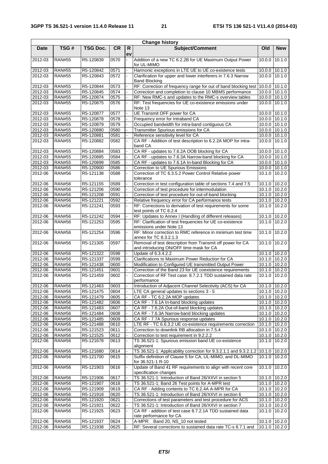| <b>Change history</b> |               |                 |           |         |                                                                                                           |               |               |  |  |
|-----------------------|---------------|-----------------|-----------|---------|-----------------------------------------------------------------------------------------------------------|---------------|---------------|--|--|
| <b>Date</b>           | TSG#          | <b>TSG Doc.</b> | <b>CR</b> | R<br>ev | Subject/Comment                                                                                           | Old           | <b>New</b>    |  |  |
| 2012-03               | <b>RAN#55</b> | R5-120839       | 0570      |         | Addition of a new TC 6.2.2B for UE Maximum Output Power<br>for UL-MIMO                                    | 10.0.0        | 10.1.0        |  |  |
| 2012-03               | <b>RAN#55</b> | R5-120842       | 0571      |         | Harmonic exceptions in LTE UE to UE co-existence tests                                                    |               | 10.0.0 10.1.0 |  |  |
| 2012-03               | <b>RAN#55</b> | R5-120843       | 0572      |         | Clarification for upper and lower interferers in 7.6.3 Narrow<br><b>Band Blocking</b>                     |               | 10.0.0 10.1.0 |  |  |
| 2012-03               | <b>RAN#55</b> | R5-120844       | 0573      |         | RF: Correction of frequency range for out of band blocking test                                           | 10.0.0        | 10.1.0        |  |  |
| 2012-03               | <b>RAN#55</b> | R5-120845       | 0574      |         | Correction and completion to clause 10 MBMS performance                                                   |               | 10.0.0 10.1.0 |  |  |
| 2012-03               | <b>RAN#55</b> | R5-120874       | 0575      |         | RF: New RMC-s and updates to the RMC-s overview tables                                                    |               | 10.0.0 10.1.0 |  |  |
| 2012-03               | <b>RAN#55</b> | R5-120875       | 0576      |         | RF: Test frequencies for UE co-existence emissions under<br>Note 13                                       | 10.0.0        | 10.1.0        |  |  |
| 2012-03               | <b>RAN#55</b> | R5-120877       | 0577      |         | UE Transmit OFF power for CA                                                                              | 10.0.0 10.1.0 |               |  |  |
| 2012-03               | <b>RAN#55</b> | R5-120878       | 0578      |         | Frequency error for Intraband CA                                                                          |               | 10.0.0 10.1.0 |  |  |
| 2012-03               | <b>RAN#55</b> | R5-120879       | 0579      |         | Occupied bandwidth for intra-band contiguous CA                                                           |               | 10.0.0 10.1.0 |  |  |
| 2012-03               | <b>RAN#55</b> | R5-120880       | 0580      |         | Transmitter Spurious emissions for CA                                                                     |               | 10.0.0 10.1.0 |  |  |
| 2012-03               | <b>RAN#55</b> | R5-120881       | 0581      |         | Reference sensitivity level for CA                                                                        |               | 10.0.0 10.1.0 |  |  |
| 2012-03               | <b>RAN#55</b> | R5-120882       | 0582      |         | CA RF - Addition of test description to 6.2.2A MOP for intra-<br>band CA                                  | 10.0.0        | 10.1.0        |  |  |
| 2012-03               | <b>RAN#55</b> | R5-120884       | 0583      |         | CA RF - updates to 7.6.2A OOB blocking for CA                                                             | 10.0.0 10.1.0 |               |  |  |
| 2012-03               | <b>RAN#55</b> | R5-120885       | 0584      |         | CA RF - updates to 7.6.3A Narrow-band blocking for CA                                                     |               | 10.0.0 10.1.0 |  |  |
| 2012-03               | <b>RAN#55</b> | R5-120899       | 0585      |         | CA RF - updates to 7.6.1A In-band Blocking for CA                                                         |               | 10.0.0 10.1.0 |  |  |
| 2012-03               | <b>RAN#55</b> | R5-120900       | 0586      |         | <b>Correction to UE Spurious Emissions</b>                                                                |               | 10.0.0 10.1.0 |  |  |
| 2012-06               | <b>RAN#56</b> | R5-121138       | 0588      |         | Correction of TC 6.3.5.2 Power Control Relative power<br>tolerance                                        | 10.1.0        | 10.2.0        |  |  |
| 2012-06               | <b>RAN#56</b> | R5-121155       | 0589      |         | Correction in test configuration table of sections 7.4 and 7.5                                            | 10.1.0        | 10.2.0        |  |  |
| 2012-06               | <b>RAN#56</b> | R5-121206       | 0590      |         | Correction of test procedure for intermodulation                                                          |               | 10.1.0 10.2.0 |  |  |
| 2012-06               | <b>RAN#56</b> | R5-121208       | 0591      |         | Correction of test procedure for out-of-band blocking                                                     |               | 10.1.0 10.2.0 |  |  |
| 2012-06               | <b>RAN#56</b> | R5-121221       | 0592      |         | Relative frequency error for CA performance tests                                                         | 10.1.0        | 10.2.0        |  |  |
| 2012-06               | <b>RAN#56</b> | R5-121241       | 0593      |         | RF: Corrections to derivation of test requirements for some<br>test points of TC 6.2.4                    | 10.1.0        | 10.2.0        |  |  |
| 2012-06               | <b>RAN#56</b> | R5-121242       | 0594      |         | RF: Updates to Annex I (Handling of different releases)                                                   | 10.1.0        | 10.2.0        |  |  |
| 2012-06               | <b>RAN#56</b> | R5-121253       | 0595      |         | RF: Clarification of test frequencies for UE co-existence<br>emissions under Note 13                      | 10.1.0        | 10.2.0        |  |  |
| 2012-06               | <b>RAN#56</b> | R5-121254       | 0596      |         | RF: Minor correction to RMC reference in minimum test time<br>annex for TC 8.3.2.1.3                      | 10.1.0        | 10.2.0        |  |  |
| 2012-06               | <b>RAN#56</b> | R5-121305       | 0597      |         | Removal of test description from Transmit off power for CA<br>and introducing ON/OFF time mask for CA     | 10.1.0        | 10.2.0        |  |  |
| 2012-06               | <b>RAN#56</b> | R5-121322       | 0598      |         | Update of 6.3.4.2.2                                                                                       | 10.1.0 10.2.0 |               |  |  |
| 2012-06               | <b>RAN#56</b> | R5-121337       | 0599      |         | Clarifications to Maximum Power Reduction for CA                                                          |               | 10.1.0 10.2.0 |  |  |
| 2012-06               | <b>RAN#56</b> | R5-121438       | 0600      |         | Modification to Configured UE transmitted Output Power                                                    |               | 10.1.0 10.2.0 |  |  |
| 2012-06               | <b>RAN#56</b> | R5-121451       | 0601      |         | Correction of the Band 23 for UE coexistence requirements                                                 | 10.1.0        | 10.2.0        |  |  |
| 2012-06               | <b>RAN#56</b> | R5-121459       | 0602      |         | Correction of RF Test case: 8.7.2.1 TDD sustained data rate<br>performance                                |               | 10.1.0 10.2.0 |  |  |
| 2012-06               | <b>RAN#56</b> | R5-121463       | 0603      |         | Introduction of Adjacent Channel Selectivity (ACS) for CA                                                 |               | 10.1.0 10.2.0 |  |  |
| 2012-06               | <b>RAN#56</b> | R5-121475       | 0604      |         | LTE CA general updates to sections 3 - 5                                                                  |               | 10.1.0 10.2.0 |  |  |
| 2012-06               | <b>RAN#56</b> | R5-121479       | 0605      |         | CA RF - TC 6.2.2A MOP updates                                                                             |               | 10.1.0 10.2.0 |  |  |
| 2012-06               | <b>RAN#56</b> | R5-121482       | 0606      |         | CA RF - 7.6.1A In-band blocking updates                                                                   |               | 10.1.0 10.2.0 |  |  |
| 2012-06               | <b>RAN#56</b> | R5-121483       | 0607      |         | CA RF - 7.6.2A Out-of-band blocking updates                                                               |               | 10.1.0 10.2.0 |  |  |
| 2012-06               | <b>RAN#56</b> | R5-121484       | 0608      |         | CA RF - 7.6.3A Narrow-band blocking updates                                                               |               | 10.1.0 10.2.0 |  |  |
| 2012-06               | <b>RAN#56</b> | R5-121485       | 0609      |         | CA RF - 7.7A Spurious response updates                                                                    |               | 10.1.0 10.2.0 |  |  |
| 2012-06               | <b>RAN#56</b> | R5-121488       | 0610      |         | LTE RF - TC 6.6.3.2 UE co-existence requirements correction                                               |               | 10.1.0 10.2.0 |  |  |
| 2012-06               | <b>RAN#56</b> | R5-121523       | 0611      |         | Correction to downlink RB allocation in 7.5.4                                                             |               | 10.1.0 10.2.0 |  |  |
| 2012-06               | <b>RAN#56</b> | R5-121525       | 0612      |         | Correction to test requirement in 9.2.2.2                                                                 | 10.1.0        | 10.2.0        |  |  |
| 2012-06               | <b>RAN#56</b> | R5-121678       | 0613      |         | TS 36.521-1: Spurious emission band UE co-existence<br>alignment                                          | 10.1.0        | 10.2.0        |  |  |
| 2012-06               | <b>RAN#56</b> | R5-121680       | 0614      |         | TS 36.521-1: Applicability correction for 9.3.2.1.1 and 9.3.2.1.2                                         | 10.1.0        | 10.2.0        |  |  |
| 2012-06               | <b>RAN#56</b> | R5-121700       | 0615      |         | Suffix definition of Clause 5 for CA, UL-MIMO, and DL-MIMO                                                | 10.1.0 10.2.0 |               |  |  |
| 2012-06               | <b>RAN#56</b> | R5-121903       | 0616      |         | for 36.521-1 R-10<br>Update of Band 41 RF requirements to align with recent core<br>specification changes | 10.1.0        | 10.2.0        |  |  |
| 2012-06               | <b>RAN#56</b> | R5-121906       | 0617      |         | TS 36.521-1: Introduction of Band 26/XXVI in section 5                                                    |               | 10.1.0 10.2.0 |  |  |
| 2012-06               | <b>RAN#56</b> | R5-121907       | 0618      |         | TS 36.521-1: Band 26 Test points for A-MPR test                                                           |               | 10.1.0 10.2.0 |  |  |
|                       |               |                 |           |         |                                                                                                           |               |               |  |  |
| 2012-06               | <b>RAN#56</b> | R5-121909       | 0619      |         | CA RF - Adding contents to TC 6.2.4A A-MPR for CA                                                         |               | 10.1.0 10.2.0 |  |  |
| 2012-06               | <b>RAN#56</b> | R5-121918       | 0620      |         | TS 36.521-1: Introduction of Band 26/XXVI in section 6                                                    |               | 10.1.0 10.2.0 |  |  |
| 2012-06               | <b>RAN#56</b> | R5-121920       | 0621      |         | Corrections of test parameters and test procedure for ACS                                                 |               | 10.1.0 10.2.0 |  |  |
| 2012-06               | <b>RAN#56</b> | R5-121921       | 0622      |         | TS 36.521-1: Introduction of Band 26/XXVI in section 7                                                    | 10.1.0        | 10.2.0        |  |  |
| 2012-06               | <b>RAN#56</b> | R5-121925       | 0623      |         | CA RF - addition of test case 8.7.2.1A TDD sustained data<br>rate performance for CA                      |               | 10.1.0 10.2.0 |  |  |
| 2012-06               | <b>RAN#56</b> | R5-121937       | 0624      |         | A-MPR: Band 20, NS_10 not tested                                                                          |               | 10.1.0 10.2.0 |  |  |
| 2012-06               | <b>RAN#56</b> | R5-121938       | 0625      |         | RF: Several corrections to sustained data rate TC-s 8.7.1 and                                             |               | 10.1.0 10.2.0 |  |  |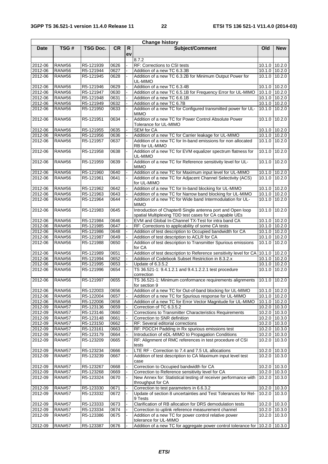| TSG#<br>R<br><b>Date</b><br>TSG Doc.<br>Old<br>ev<br>8.7.2<br><b>RAN#56</b><br>R5-121939<br>0626<br>RF: Corrections to CSI tests<br>10.1.0 10.2.0<br>2012-06<br>2012-06<br><b>RAN#56</b><br>R5-121944<br>0627<br>Addition of a new TC 6.3.3B<br>10.1.0 10.2.0<br>2012-06<br><b>RAN#56</b><br>R5-121945<br>Addition of a new TC 6.3.2B for Minimum Output Power for<br>10.1.0 10.2.0<br>0628<br>UL-MIMO<br><b>RAN#56</b><br>Addition of a new TC 6.3.4B<br>2012-06<br>R5-121946<br>0629<br>10.1.0 10.2.0<br><b>RAN#56</b><br>R5-121947<br>0630<br>Addition of a new TC 6.5.1B for Frequency Error for UL-MIMO<br>10.1.0 10.2.0<br>2012-06<br>$10.1.0$ 10.2.0<br>2012-06<br><b>RAN#56</b><br>R5-121948<br>0631<br>Addition of a new TC 6.6.1B<br>0632<br>Addition of a new TC 6.7B<br>2012-06<br><b>RAN#56</b><br>R5-121949<br>10.1.0 10.2.0<br>Addition of a new TC for Configured transmitted power for UL-<br>2012-06<br><b>RAN#56</b><br>R5-121950<br>0633<br>10.1.0 10.2.0<br><b>MIMO</b><br>Addition of a new TC for Power Control Absolute Power<br><b>RAN#56</b><br>R5-121951<br>0634<br>10.1.0 10.2.0<br>2012-06<br>Tolerance for UL-MIMO<br><b>RAN#56</b><br>2012-06<br>R5-121955<br>0635<br><b>SEM for CA</b><br>10.1.0 10.2.0<br><b>RAN#56</b><br>R5-121956<br>0636<br>Addition of a new TC for Carrier leakage for UL-MIMO<br>10.1.0 10.2.0<br>2012-06<br>Addition of a new TC for In-band emissions for non allocated<br>2012-06<br><b>RAN#56</b><br>R5-121957<br>$10.1.0$ 10.2.0<br>0637<br>RB for UL-MIMO<br>Addition of a new TC for EVM equalizer spectrum flatness for<br>10.1.0<br>10.2.0<br><b>RAN#56</b><br>R5-121958<br>0638<br>2012-06<br>UL-MIMO<br>Addition of a new TC for Reference sensitivity level for UL-<br><b>RAN#56</b><br>10.1.0<br>2012-06<br>R5-121959<br>0639<br><b>MIMO</b><br><b>RAN#56</b><br>Addition of a new TC for Maximum input level for UL-MIMO<br>2012-06<br>R5-121960<br>0640<br>10.1.0 10.2.0<br>Addition of a new TC for Adjacent Channel Selectivity (ACS)<br>2012-06<br><b>RAN#56</b><br>R5-121961<br>0641<br>10.1.0 10.2.0<br>for UL-MIMO<br>Addition of a new TC for In-band blocking for UL-MIMO<br>10.1.0 10.2.0<br>2012-06<br><b>RAN#56</b><br>R5-121962<br>0642<br>Addition of a new TC for Narrow band blocking for UL-MIMO<br>2012-06<br><b>RAN#56</b><br>R5-121963<br>0643<br>$\overline{10.1.0}$ 10.2.0<br>Addition of a new TC for Wide band Intermodulation for UL-<br>2012-06<br><b>RAN#56</b><br>R5-121964<br>0644<br>10.1.0 10.2.0<br><b>MIMO</b><br>Introduction of Chapter8 Single antenna port and Open loop<br>10.1.0<br>2012-06<br><b>RAN#56</b><br>R5-121983<br>0645<br>10.2.0<br>÷.<br>spatial Multiplexing TDD test cases for CA capable UEs<br><b>RAN#56</b><br>EVM and Global In-Channel TX-Test for intra band CA<br>10.1.0 10.2.0<br>2012-06<br>R5-121984<br>0646<br>2012-06<br><b>RAN#56</b><br>R5-121985<br>0647<br>RF: Corrections to applicability of some CA tests<br>10.1.0 10.2.0<br><b>RAN#56</b><br>Addition of test description to Occupied bandwidth for CA<br>2012-06<br>R5-121986<br>0648<br>10.1.0 10.2.0<br>Addition of test description to ACLR for CA<br>$10.1.0$ $10.2.0$<br>2012-06<br><b>RAN#56</b><br>R5-121987<br>0649<br>Addition of test description to Transmitter Spurious emissions<br>2012-06<br><b>RAN#56</b><br>R5-121988<br>0650<br>10.1.0 10.2.0<br>for CA<br>2012-06<br><b>RAN#56</b><br>0651<br>Addition of test description to Reference sensitivity level for CA<br>10.1.0 10.2.0<br>R5-121989<br>Addition of Codebook Subset Restriction in 8.3.2.x<br>0652<br>2012-06<br><b>RAN#56</b><br>R5-121994<br>10.1.0 10.2.0<br>2012-06<br><b>RAN#56</b><br>R5-121995<br>0653<br>Update of 6.3.5.2<br>10.1.0 10.2.0<br>TS 36.521-1: 9.4.1.2.1 and 9.4.1.2.2.1 test procedure<br>2012-06<br><b>RAN#56</b><br>R5-121996<br>0654<br>10.1.0 10.2.0<br>correction<br><b>RAN#56</b><br>0655<br>10.1.0<br>10.2.0<br>2012-06<br>R5-121997<br>TS 36.521-1: Minimum conformance requirements alignments<br>for section 9<br><b>RAN#56</b><br>Addition of a new TC for Out-of-band blocking for UL-MIMO<br>2012-06<br>R5-122003<br>0656<br>10.1.0 10.2.0<br>2012-06<br><b>RAN#56</b><br>R5-122004<br>Addition of a new TC for Spurious response for UL-MIMO<br>0657<br>10.1.0 10.2.0<br>Addition of a new TC for Error Vector Magnitude for UL-MIMO<br>2012-06<br><b>RAN#56</b><br>R5-122006<br>0658<br>$10.1.0$ 10.2.0<br>2012-09<br><b>RAN#57</b><br>R5-123136<br>10.2.0 10.3.0<br>0659<br>Correction of TC 6.3.5.2<br>2012-09<br><b>RAN#57</b><br>R5-123146<br>0660<br>Corrections to Transmitter Characteristics Requirements<br>$\overline{10.2.0}$ 10.3.0<br>Correction to SNR definition<br>2012-09<br><b>RAN#57</b><br>R5-123148<br>0661<br>$10.2.0$ 10.3.0<br>2012-09<br><b>RAN#57</b><br>R5-123150<br>0662<br>RF: Several editorial corrections<br>10.2.0 10.3.0<br>2012-09<br><b>RAN#57</b><br>R5-123161<br>RF: PDCCH Padding in Rx spurious emissions test<br>$10.2.0$ 10.3.0<br>0663<br>2012-09<br><b>RAN#57</b><br>R5-123179<br>Introduction of eDL-MIMO to Propagation Conditions<br>0664<br>10.2.0 10.3.0<br>2012-09<br>R5-123209<br>RF: Alignment of RMC references in test procedure of CSI<br><b>RAN#57</b><br>0665<br>10.2.0 10.3.0<br>tests<br>LTE RF - Correction to 7.4 and 7.5 UL allocations<br>10.2.0 10.3.0<br>2012-09<br><b>RAN#57</b><br>R5-123234<br>0666<br>2012-09<br><b>RAN#57</b><br>R5-123239<br>0667<br>Addition of test description to CA Maximum input level test<br>10.2.0 10.3.0<br>case<br>Correction to Occupied bandwidth for CA<br>2012-09<br>R5-123267<br>10.2.0 10.3.0<br><b>RAN#57</b><br>0668<br>Correction to Reference sensitivity level for CA<br>2012-09<br><b>RAN#57</b><br>R5-123268<br>0669<br>$\overline{10.2.0}$ 10.3.0<br>2012-09<br><b>RAN#57</b><br>R5-123324<br>New Annex for: Statistical testing of receiver performance with<br>0670<br>10.2.0 10.3.0<br>throughput for CA<br>2012-09<br><b>RAN#57</b><br>R5-123330<br>0671<br>Correction to test parameters in 6.6.3.2<br>$10.2.0$ 10.3.0<br><b>RAN#57</b><br>R5-123332<br>0672<br>Update of section 8 uncertainties and Test Tolerances for Rel-<br>2012-09<br>10.2.0 10.3.0<br>9 Tests<br>Clarification of RB allocation for DRS demodulation tests<br>2012-09<br><b>RAN#57</b><br>R5-123333<br>0673<br>10.2.0 10.3.0<br>2012-09<br><b>RAN#57</b><br>R5-123334<br>Correction to uplink reference measurement channel<br>10.2.0 10.3.0<br>0674<br>2012-09<br><b>RAN#57</b><br>R5-123386<br>0675<br>Addition of a new TC for power control relative power<br>10.2.0 10.3.0<br>tolerance for UL-MIMO<br>Addition of a new TC for aggregate power control tolerance for<br>10.2.0 10.3.0<br>2012-09<br><b>RAN#57</b><br>R5-123387<br>0676 | <b>Change history</b> |  |           |  |                 |  |            |  |  |  |  |
|-------------------------------------------------------------------------------------------------------------------------------------------------------------------------------------------------------------------------------------------------------------------------------------------------------------------------------------------------------------------------------------------------------------------------------------------------------------------------------------------------------------------------------------------------------------------------------------------------------------------------------------------------------------------------------------------------------------------------------------------------------------------------------------------------------------------------------------------------------------------------------------------------------------------------------------------------------------------------------------------------------------------------------------------------------------------------------------------------------------------------------------------------------------------------------------------------------------------------------------------------------------------------------------------------------------------------------------------------------------------------------------------------------------------------------------------------------------------------------------------------------------------------------------------------------------------------------------------------------------------------------------------------------------------------------------------------------------------------------------------------------------------------------------------------------------------------------------------------------------------------------------------------------------------------------------------------------------------------------------------------------------------------------------------------------------------------------------------------------------------------------------------------------------------------------------------------------------------------------------------------------------------------------------------------------------------------------------------------------------------------------------------------------------------------------------------------------------------------------------------------------------------------------------------------------------------------------------------------------------------------------------------------------------------------------------------------------------------------------------------------------------------------------------------------------------------------------------------------------------------------------------------------------------------------------------------------------------------------------------------------------------------------------------------------------------------------------------------------------------------------------------------------------------------------------------------------------------------------------------------------------------------------------------------------------------------------------------------------------------------------------------------------------------------------------------------------------------------------------------------------------------------------------------------------------------------------------------------------------------------------------------------------------------------------------------------------------------------------------------------------------------------------------------------------------------------------------------------------------------------------------------------------------------------------------------------------------------------------------------------------------------------------------------------------------------------------------------------------------------------------------------------------------------------------------------------------------------------------------------------------------------------------------------------------------------------------------------------------------------------------------------------------------------------------------------------------------------------------------------------------------------------------------------------------------------------------------------------------------------------------------------------------------------------------------------------------------------------------------------------------------------------------------------------------------------------------------------------------------------------------------------------------------------------------------------------------------------------------------------------------------------------------------------------------------------------------------------------------------------------------------------------------------------------------------------------------------------------------------------------------------------------------------------------------------------------------------------------------------------------------------------------------------------------------------------------------------------------------------------------------------------------------------------------------------------------------------------------------------------------------------------------------------------------------------------------------------------------------------------------------------------------------------------------------------------------------------------------------------------------------------------------------------------------------------------------------------------------------------------------------------------------------------------------------------------------------------------------------------------------------------------------------------------------------------------------------------------------------------------------------------------------------------------------------------------------------------------------------------------------------------------------------------------------------------------------------------------------------------------------------------------------------------------------------------------------------------------------------------------------------------------------------------------------------------------------------------------------------------------------------------------|-----------------------|--|-----------|--|-----------------|--|------------|--|--|--|--|
|                                                                                                                                                                                                                                                                                                                                                                                                                                                                                                                                                                                                                                                                                                                                                                                                                                                                                                                                                                                                                                                                                                                                                                                                                                                                                                                                                                                                                                                                                                                                                                                                                                                                                                                                                                                                                                                                                                                                                                                                                                                                                                                                                                                                                                                                                                                                                                                                                                                                                                                                                                                                                                                                                                                                                                                                                                                                                                                                                                                                                                                                                                                                                                                                                                                                                                                                                                                                                                                                                                                                                                                                                                                                                                                                                                                                                                                                                                                                                                                                                                                                                                                                                                                                                                                                                                                                                                                                                                                                                                                                                                                                                                                                                                                                                                                                                                                                                                                                                                                                                                                                                                                                                                                                                                                                                                                                                                                                                                                                                                                                                                                                                                                                                                                                                                                                                                                                                                                                                                                                                                                                                                                                                                                                                                                                                                                                                                                                                                                                                                                                                                                                                                                                                                                                                             |                       |  | <b>CR</b> |  | Subject/Comment |  | <b>New</b> |  |  |  |  |
|                                                                                                                                                                                                                                                                                                                                                                                                                                                                                                                                                                                                                                                                                                                                                                                                                                                                                                                                                                                                                                                                                                                                                                                                                                                                                                                                                                                                                                                                                                                                                                                                                                                                                                                                                                                                                                                                                                                                                                                                                                                                                                                                                                                                                                                                                                                                                                                                                                                                                                                                                                                                                                                                                                                                                                                                                                                                                                                                                                                                                                                                                                                                                                                                                                                                                                                                                                                                                                                                                                                                                                                                                                                                                                                                                                                                                                                                                                                                                                                                                                                                                                                                                                                                                                                                                                                                                                                                                                                                                                                                                                                                                                                                                                                                                                                                                                                                                                                                                                                                                                                                                                                                                                                                                                                                                                                                                                                                                                                                                                                                                                                                                                                                                                                                                                                                                                                                                                                                                                                                                                                                                                                                                                                                                                                                                                                                                                                                                                                                                                                                                                                                                                                                                                                                                             |                       |  |           |  |                 |  |            |  |  |  |  |
|                                                                                                                                                                                                                                                                                                                                                                                                                                                                                                                                                                                                                                                                                                                                                                                                                                                                                                                                                                                                                                                                                                                                                                                                                                                                                                                                                                                                                                                                                                                                                                                                                                                                                                                                                                                                                                                                                                                                                                                                                                                                                                                                                                                                                                                                                                                                                                                                                                                                                                                                                                                                                                                                                                                                                                                                                                                                                                                                                                                                                                                                                                                                                                                                                                                                                                                                                                                                                                                                                                                                                                                                                                                                                                                                                                                                                                                                                                                                                                                                                                                                                                                                                                                                                                                                                                                                                                                                                                                                                                                                                                                                                                                                                                                                                                                                                                                                                                                                                                                                                                                                                                                                                                                                                                                                                                                                                                                                                                                                                                                                                                                                                                                                                                                                                                                                                                                                                                                                                                                                                                                                                                                                                                                                                                                                                                                                                                                                                                                                                                                                                                                                                                                                                                                                                             |                       |  |           |  |                 |  |            |  |  |  |  |
|                                                                                                                                                                                                                                                                                                                                                                                                                                                                                                                                                                                                                                                                                                                                                                                                                                                                                                                                                                                                                                                                                                                                                                                                                                                                                                                                                                                                                                                                                                                                                                                                                                                                                                                                                                                                                                                                                                                                                                                                                                                                                                                                                                                                                                                                                                                                                                                                                                                                                                                                                                                                                                                                                                                                                                                                                                                                                                                                                                                                                                                                                                                                                                                                                                                                                                                                                                                                                                                                                                                                                                                                                                                                                                                                                                                                                                                                                                                                                                                                                                                                                                                                                                                                                                                                                                                                                                                                                                                                                                                                                                                                                                                                                                                                                                                                                                                                                                                                                                                                                                                                                                                                                                                                                                                                                                                                                                                                                                                                                                                                                                                                                                                                                                                                                                                                                                                                                                                                                                                                                                                                                                                                                                                                                                                                                                                                                                                                                                                                                                                                                                                                                                                                                                                                                             |                       |  |           |  |                 |  |            |  |  |  |  |
|                                                                                                                                                                                                                                                                                                                                                                                                                                                                                                                                                                                                                                                                                                                                                                                                                                                                                                                                                                                                                                                                                                                                                                                                                                                                                                                                                                                                                                                                                                                                                                                                                                                                                                                                                                                                                                                                                                                                                                                                                                                                                                                                                                                                                                                                                                                                                                                                                                                                                                                                                                                                                                                                                                                                                                                                                                                                                                                                                                                                                                                                                                                                                                                                                                                                                                                                                                                                                                                                                                                                                                                                                                                                                                                                                                                                                                                                                                                                                                                                                                                                                                                                                                                                                                                                                                                                                                                                                                                                                                                                                                                                                                                                                                                                                                                                                                                                                                                                                                                                                                                                                                                                                                                                                                                                                                                                                                                                                                                                                                                                                                                                                                                                                                                                                                                                                                                                                                                                                                                                                                                                                                                                                                                                                                                                                                                                                                                                                                                                                                                                                                                                                                                                                                                                                             |                       |  |           |  |                 |  |            |  |  |  |  |
|                                                                                                                                                                                                                                                                                                                                                                                                                                                                                                                                                                                                                                                                                                                                                                                                                                                                                                                                                                                                                                                                                                                                                                                                                                                                                                                                                                                                                                                                                                                                                                                                                                                                                                                                                                                                                                                                                                                                                                                                                                                                                                                                                                                                                                                                                                                                                                                                                                                                                                                                                                                                                                                                                                                                                                                                                                                                                                                                                                                                                                                                                                                                                                                                                                                                                                                                                                                                                                                                                                                                                                                                                                                                                                                                                                                                                                                                                                                                                                                                                                                                                                                                                                                                                                                                                                                                                                                                                                                                                                                                                                                                                                                                                                                                                                                                                                                                                                                                                                                                                                                                                                                                                                                                                                                                                                                                                                                                                                                                                                                                                                                                                                                                                                                                                                                                                                                                                                                                                                                                                                                                                                                                                                                                                                                                                                                                                                                                                                                                                                                                                                                                                                                                                                                                                             |                       |  |           |  |                 |  |            |  |  |  |  |
|                                                                                                                                                                                                                                                                                                                                                                                                                                                                                                                                                                                                                                                                                                                                                                                                                                                                                                                                                                                                                                                                                                                                                                                                                                                                                                                                                                                                                                                                                                                                                                                                                                                                                                                                                                                                                                                                                                                                                                                                                                                                                                                                                                                                                                                                                                                                                                                                                                                                                                                                                                                                                                                                                                                                                                                                                                                                                                                                                                                                                                                                                                                                                                                                                                                                                                                                                                                                                                                                                                                                                                                                                                                                                                                                                                                                                                                                                                                                                                                                                                                                                                                                                                                                                                                                                                                                                                                                                                                                                                                                                                                                                                                                                                                                                                                                                                                                                                                                                                                                                                                                                                                                                                                                                                                                                                                                                                                                                                                                                                                                                                                                                                                                                                                                                                                                                                                                                                                                                                                                                                                                                                                                                                                                                                                                                                                                                                                                                                                                                                                                                                                                                                                                                                                                                             |                       |  |           |  |                 |  |            |  |  |  |  |
|                                                                                                                                                                                                                                                                                                                                                                                                                                                                                                                                                                                                                                                                                                                                                                                                                                                                                                                                                                                                                                                                                                                                                                                                                                                                                                                                                                                                                                                                                                                                                                                                                                                                                                                                                                                                                                                                                                                                                                                                                                                                                                                                                                                                                                                                                                                                                                                                                                                                                                                                                                                                                                                                                                                                                                                                                                                                                                                                                                                                                                                                                                                                                                                                                                                                                                                                                                                                                                                                                                                                                                                                                                                                                                                                                                                                                                                                                                                                                                                                                                                                                                                                                                                                                                                                                                                                                                                                                                                                                                                                                                                                                                                                                                                                                                                                                                                                                                                                                                                                                                                                                                                                                                                                                                                                                                                                                                                                                                                                                                                                                                                                                                                                                                                                                                                                                                                                                                                                                                                                                                                                                                                                                                                                                                                                                                                                                                                                                                                                                                                                                                                                                                                                                                                                                             |                       |  |           |  |                 |  |            |  |  |  |  |
|                                                                                                                                                                                                                                                                                                                                                                                                                                                                                                                                                                                                                                                                                                                                                                                                                                                                                                                                                                                                                                                                                                                                                                                                                                                                                                                                                                                                                                                                                                                                                                                                                                                                                                                                                                                                                                                                                                                                                                                                                                                                                                                                                                                                                                                                                                                                                                                                                                                                                                                                                                                                                                                                                                                                                                                                                                                                                                                                                                                                                                                                                                                                                                                                                                                                                                                                                                                                                                                                                                                                                                                                                                                                                                                                                                                                                                                                                                                                                                                                                                                                                                                                                                                                                                                                                                                                                                                                                                                                                                                                                                                                                                                                                                                                                                                                                                                                                                                                                                                                                                                                                                                                                                                                                                                                                                                                                                                                                                                                                                                                                                                                                                                                                                                                                                                                                                                                                                                                                                                                                                                                                                                                                                                                                                                                                                                                                                                                                                                                                                                                                                                                                                                                                                                                                             |                       |  |           |  |                 |  |            |  |  |  |  |
|                                                                                                                                                                                                                                                                                                                                                                                                                                                                                                                                                                                                                                                                                                                                                                                                                                                                                                                                                                                                                                                                                                                                                                                                                                                                                                                                                                                                                                                                                                                                                                                                                                                                                                                                                                                                                                                                                                                                                                                                                                                                                                                                                                                                                                                                                                                                                                                                                                                                                                                                                                                                                                                                                                                                                                                                                                                                                                                                                                                                                                                                                                                                                                                                                                                                                                                                                                                                                                                                                                                                                                                                                                                                                                                                                                                                                                                                                                                                                                                                                                                                                                                                                                                                                                                                                                                                                                                                                                                                                                                                                                                                                                                                                                                                                                                                                                                                                                                                                                                                                                                                                                                                                                                                                                                                                                                                                                                                                                                                                                                                                                                                                                                                                                                                                                                                                                                                                                                                                                                                                                                                                                                                                                                                                                                                                                                                                                                                                                                                                                                                                                                                                                                                                                                                                             |                       |  |           |  |                 |  |            |  |  |  |  |
|                                                                                                                                                                                                                                                                                                                                                                                                                                                                                                                                                                                                                                                                                                                                                                                                                                                                                                                                                                                                                                                                                                                                                                                                                                                                                                                                                                                                                                                                                                                                                                                                                                                                                                                                                                                                                                                                                                                                                                                                                                                                                                                                                                                                                                                                                                                                                                                                                                                                                                                                                                                                                                                                                                                                                                                                                                                                                                                                                                                                                                                                                                                                                                                                                                                                                                                                                                                                                                                                                                                                                                                                                                                                                                                                                                                                                                                                                                                                                                                                                                                                                                                                                                                                                                                                                                                                                                                                                                                                                                                                                                                                                                                                                                                                                                                                                                                                                                                                                                                                                                                                                                                                                                                                                                                                                                                                                                                                                                                                                                                                                                                                                                                                                                                                                                                                                                                                                                                                                                                                                                                                                                                                                                                                                                                                                                                                                                                                                                                                                                                                                                                                                                                                                                                                                             |                       |  |           |  |                 |  |            |  |  |  |  |
|                                                                                                                                                                                                                                                                                                                                                                                                                                                                                                                                                                                                                                                                                                                                                                                                                                                                                                                                                                                                                                                                                                                                                                                                                                                                                                                                                                                                                                                                                                                                                                                                                                                                                                                                                                                                                                                                                                                                                                                                                                                                                                                                                                                                                                                                                                                                                                                                                                                                                                                                                                                                                                                                                                                                                                                                                                                                                                                                                                                                                                                                                                                                                                                                                                                                                                                                                                                                                                                                                                                                                                                                                                                                                                                                                                                                                                                                                                                                                                                                                                                                                                                                                                                                                                                                                                                                                                                                                                                                                                                                                                                                                                                                                                                                                                                                                                                                                                                                                                                                                                                                                                                                                                                                                                                                                                                                                                                                                                                                                                                                                                                                                                                                                                                                                                                                                                                                                                                                                                                                                                                                                                                                                                                                                                                                                                                                                                                                                                                                                                                                                                                                                                                                                                                                                             |                       |  |           |  |                 |  |            |  |  |  |  |
|                                                                                                                                                                                                                                                                                                                                                                                                                                                                                                                                                                                                                                                                                                                                                                                                                                                                                                                                                                                                                                                                                                                                                                                                                                                                                                                                                                                                                                                                                                                                                                                                                                                                                                                                                                                                                                                                                                                                                                                                                                                                                                                                                                                                                                                                                                                                                                                                                                                                                                                                                                                                                                                                                                                                                                                                                                                                                                                                                                                                                                                                                                                                                                                                                                                                                                                                                                                                                                                                                                                                                                                                                                                                                                                                                                                                                                                                                                                                                                                                                                                                                                                                                                                                                                                                                                                                                                                                                                                                                                                                                                                                                                                                                                                                                                                                                                                                                                                                                                                                                                                                                                                                                                                                                                                                                                                                                                                                                                                                                                                                                                                                                                                                                                                                                                                                                                                                                                                                                                                                                                                                                                                                                                                                                                                                                                                                                                                                                                                                                                                                                                                                                                                                                                                                                             |                       |  |           |  |                 |  |            |  |  |  |  |
|                                                                                                                                                                                                                                                                                                                                                                                                                                                                                                                                                                                                                                                                                                                                                                                                                                                                                                                                                                                                                                                                                                                                                                                                                                                                                                                                                                                                                                                                                                                                                                                                                                                                                                                                                                                                                                                                                                                                                                                                                                                                                                                                                                                                                                                                                                                                                                                                                                                                                                                                                                                                                                                                                                                                                                                                                                                                                                                                                                                                                                                                                                                                                                                                                                                                                                                                                                                                                                                                                                                                                                                                                                                                                                                                                                                                                                                                                                                                                                                                                                                                                                                                                                                                                                                                                                                                                                                                                                                                                                                                                                                                                                                                                                                                                                                                                                                                                                                                                                                                                                                                                                                                                                                                                                                                                                                                                                                                                                                                                                                                                                                                                                                                                                                                                                                                                                                                                                                                                                                                                                                                                                                                                                                                                                                                                                                                                                                                                                                                                                                                                                                                                                                                                                                                                             |                       |  |           |  |                 |  |            |  |  |  |  |
|                                                                                                                                                                                                                                                                                                                                                                                                                                                                                                                                                                                                                                                                                                                                                                                                                                                                                                                                                                                                                                                                                                                                                                                                                                                                                                                                                                                                                                                                                                                                                                                                                                                                                                                                                                                                                                                                                                                                                                                                                                                                                                                                                                                                                                                                                                                                                                                                                                                                                                                                                                                                                                                                                                                                                                                                                                                                                                                                                                                                                                                                                                                                                                                                                                                                                                                                                                                                                                                                                                                                                                                                                                                                                                                                                                                                                                                                                                                                                                                                                                                                                                                                                                                                                                                                                                                                                                                                                                                                                                                                                                                                                                                                                                                                                                                                                                                                                                                                                                                                                                                                                                                                                                                                                                                                                                                                                                                                                                                                                                                                                                                                                                                                                                                                                                                                                                                                                                                                                                                                                                                                                                                                                                                                                                                                                                                                                                                                                                                                                                                                                                                                                                                                                                                                                             |                       |  |           |  |                 |  |            |  |  |  |  |
|                                                                                                                                                                                                                                                                                                                                                                                                                                                                                                                                                                                                                                                                                                                                                                                                                                                                                                                                                                                                                                                                                                                                                                                                                                                                                                                                                                                                                                                                                                                                                                                                                                                                                                                                                                                                                                                                                                                                                                                                                                                                                                                                                                                                                                                                                                                                                                                                                                                                                                                                                                                                                                                                                                                                                                                                                                                                                                                                                                                                                                                                                                                                                                                                                                                                                                                                                                                                                                                                                                                                                                                                                                                                                                                                                                                                                                                                                                                                                                                                                                                                                                                                                                                                                                                                                                                                                                                                                                                                                                                                                                                                                                                                                                                                                                                                                                                                                                                                                                                                                                                                                                                                                                                                                                                                                                                                                                                                                                                                                                                                                                                                                                                                                                                                                                                                                                                                                                                                                                                                                                                                                                                                                                                                                                                                                                                                                                                                                                                                                                                                                                                                                                                                                                                                                             |                       |  |           |  |                 |  |            |  |  |  |  |
|                                                                                                                                                                                                                                                                                                                                                                                                                                                                                                                                                                                                                                                                                                                                                                                                                                                                                                                                                                                                                                                                                                                                                                                                                                                                                                                                                                                                                                                                                                                                                                                                                                                                                                                                                                                                                                                                                                                                                                                                                                                                                                                                                                                                                                                                                                                                                                                                                                                                                                                                                                                                                                                                                                                                                                                                                                                                                                                                                                                                                                                                                                                                                                                                                                                                                                                                                                                                                                                                                                                                                                                                                                                                                                                                                                                                                                                                                                                                                                                                                                                                                                                                                                                                                                                                                                                                                                                                                                                                                                                                                                                                                                                                                                                                                                                                                                                                                                                                                                                                                                                                                                                                                                                                                                                                                                                                                                                                                                                                                                                                                                                                                                                                                                                                                                                                                                                                                                                                                                                                                                                                                                                                                                                                                                                                                                                                                                                                                                                                                                                                                                                                                                                                                                                                                             |                       |  |           |  |                 |  |            |  |  |  |  |
|                                                                                                                                                                                                                                                                                                                                                                                                                                                                                                                                                                                                                                                                                                                                                                                                                                                                                                                                                                                                                                                                                                                                                                                                                                                                                                                                                                                                                                                                                                                                                                                                                                                                                                                                                                                                                                                                                                                                                                                                                                                                                                                                                                                                                                                                                                                                                                                                                                                                                                                                                                                                                                                                                                                                                                                                                                                                                                                                                                                                                                                                                                                                                                                                                                                                                                                                                                                                                                                                                                                                                                                                                                                                                                                                                                                                                                                                                                                                                                                                                                                                                                                                                                                                                                                                                                                                                                                                                                                                                                                                                                                                                                                                                                                                                                                                                                                                                                                                                                                                                                                                                                                                                                                                                                                                                                                                                                                                                                                                                                                                                                                                                                                                                                                                                                                                                                                                                                                                                                                                                                                                                                                                                                                                                                                                                                                                                                                                                                                                                                                                                                                                                                                                                                                                                             |                       |  |           |  |                 |  |            |  |  |  |  |
|                                                                                                                                                                                                                                                                                                                                                                                                                                                                                                                                                                                                                                                                                                                                                                                                                                                                                                                                                                                                                                                                                                                                                                                                                                                                                                                                                                                                                                                                                                                                                                                                                                                                                                                                                                                                                                                                                                                                                                                                                                                                                                                                                                                                                                                                                                                                                                                                                                                                                                                                                                                                                                                                                                                                                                                                                                                                                                                                                                                                                                                                                                                                                                                                                                                                                                                                                                                                                                                                                                                                                                                                                                                                                                                                                                                                                                                                                                                                                                                                                                                                                                                                                                                                                                                                                                                                                                                                                                                                                                                                                                                                                                                                                                                                                                                                                                                                                                                                                                                                                                                                                                                                                                                                                                                                                                                                                                                                                                                                                                                                                                                                                                                                                                                                                                                                                                                                                                                                                                                                                                                                                                                                                                                                                                                                                                                                                                                                                                                                                                                                                                                                                                                                                                                                                             |                       |  |           |  |                 |  |            |  |  |  |  |
|                                                                                                                                                                                                                                                                                                                                                                                                                                                                                                                                                                                                                                                                                                                                                                                                                                                                                                                                                                                                                                                                                                                                                                                                                                                                                                                                                                                                                                                                                                                                                                                                                                                                                                                                                                                                                                                                                                                                                                                                                                                                                                                                                                                                                                                                                                                                                                                                                                                                                                                                                                                                                                                                                                                                                                                                                                                                                                                                                                                                                                                                                                                                                                                                                                                                                                                                                                                                                                                                                                                                                                                                                                                                                                                                                                                                                                                                                                                                                                                                                                                                                                                                                                                                                                                                                                                                                                                                                                                                                                                                                                                                                                                                                                                                                                                                                                                                                                                                                                                                                                                                                                                                                                                                                                                                                                                                                                                                                                                                                                                                                                                                                                                                                                                                                                                                                                                                                                                                                                                                                                                                                                                                                                                                                                                                                                                                                                                                                                                                                                                                                                                                                                                                                                                                                             |                       |  |           |  |                 |  | 10.2.0     |  |  |  |  |
|                                                                                                                                                                                                                                                                                                                                                                                                                                                                                                                                                                                                                                                                                                                                                                                                                                                                                                                                                                                                                                                                                                                                                                                                                                                                                                                                                                                                                                                                                                                                                                                                                                                                                                                                                                                                                                                                                                                                                                                                                                                                                                                                                                                                                                                                                                                                                                                                                                                                                                                                                                                                                                                                                                                                                                                                                                                                                                                                                                                                                                                                                                                                                                                                                                                                                                                                                                                                                                                                                                                                                                                                                                                                                                                                                                                                                                                                                                                                                                                                                                                                                                                                                                                                                                                                                                                                                                                                                                                                                                                                                                                                                                                                                                                                                                                                                                                                                                                                                                                                                                                                                                                                                                                                                                                                                                                                                                                                                                                                                                                                                                                                                                                                                                                                                                                                                                                                                                                                                                                                                                                                                                                                                                                                                                                                                                                                                                                                                                                                                                                                                                                                                                                                                                                                                             |                       |  |           |  |                 |  |            |  |  |  |  |
|                                                                                                                                                                                                                                                                                                                                                                                                                                                                                                                                                                                                                                                                                                                                                                                                                                                                                                                                                                                                                                                                                                                                                                                                                                                                                                                                                                                                                                                                                                                                                                                                                                                                                                                                                                                                                                                                                                                                                                                                                                                                                                                                                                                                                                                                                                                                                                                                                                                                                                                                                                                                                                                                                                                                                                                                                                                                                                                                                                                                                                                                                                                                                                                                                                                                                                                                                                                                                                                                                                                                                                                                                                                                                                                                                                                                                                                                                                                                                                                                                                                                                                                                                                                                                                                                                                                                                                                                                                                                                                                                                                                                                                                                                                                                                                                                                                                                                                                                                                                                                                                                                                                                                                                                                                                                                                                                                                                                                                                                                                                                                                                                                                                                                                                                                                                                                                                                                                                                                                                                                                                                                                                                                                                                                                                                                                                                                                                                                                                                                                                                                                                                                                                                                                                                                             |                       |  |           |  |                 |  |            |  |  |  |  |
|                                                                                                                                                                                                                                                                                                                                                                                                                                                                                                                                                                                                                                                                                                                                                                                                                                                                                                                                                                                                                                                                                                                                                                                                                                                                                                                                                                                                                                                                                                                                                                                                                                                                                                                                                                                                                                                                                                                                                                                                                                                                                                                                                                                                                                                                                                                                                                                                                                                                                                                                                                                                                                                                                                                                                                                                                                                                                                                                                                                                                                                                                                                                                                                                                                                                                                                                                                                                                                                                                                                                                                                                                                                                                                                                                                                                                                                                                                                                                                                                                                                                                                                                                                                                                                                                                                                                                                                                                                                                                                                                                                                                                                                                                                                                                                                                                                                                                                                                                                                                                                                                                                                                                                                                                                                                                                                                                                                                                                                                                                                                                                                                                                                                                                                                                                                                                                                                                                                                                                                                                                                                                                                                                                                                                                                                                                                                                                                                                                                                                                                                                                                                                                                                                                                                                             |                       |  |           |  |                 |  |            |  |  |  |  |
|                                                                                                                                                                                                                                                                                                                                                                                                                                                                                                                                                                                                                                                                                                                                                                                                                                                                                                                                                                                                                                                                                                                                                                                                                                                                                                                                                                                                                                                                                                                                                                                                                                                                                                                                                                                                                                                                                                                                                                                                                                                                                                                                                                                                                                                                                                                                                                                                                                                                                                                                                                                                                                                                                                                                                                                                                                                                                                                                                                                                                                                                                                                                                                                                                                                                                                                                                                                                                                                                                                                                                                                                                                                                                                                                                                                                                                                                                                                                                                                                                                                                                                                                                                                                                                                                                                                                                                                                                                                                                                                                                                                                                                                                                                                                                                                                                                                                                                                                                                                                                                                                                                                                                                                                                                                                                                                                                                                                                                                                                                                                                                                                                                                                                                                                                                                                                                                                                                                                                                                                                                                                                                                                                                                                                                                                                                                                                                                                                                                                                                                                                                                                                                                                                                                                                             |                       |  |           |  |                 |  |            |  |  |  |  |
|                                                                                                                                                                                                                                                                                                                                                                                                                                                                                                                                                                                                                                                                                                                                                                                                                                                                                                                                                                                                                                                                                                                                                                                                                                                                                                                                                                                                                                                                                                                                                                                                                                                                                                                                                                                                                                                                                                                                                                                                                                                                                                                                                                                                                                                                                                                                                                                                                                                                                                                                                                                                                                                                                                                                                                                                                                                                                                                                                                                                                                                                                                                                                                                                                                                                                                                                                                                                                                                                                                                                                                                                                                                                                                                                                                                                                                                                                                                                                                                                                                                                                                                                                                                                                                                                                                                                                                                                                                                                                                                                                                                                                                                                                                                                                                                                                                                                                                                                                                                                                                                                                                                                                                                                                                                                                                                                                                                                                                                                                                                                                                                                                                                                                                                                                                                                                                                                                                                                                                                                                                                                                                                                                                                                                                                                                                                                                                                                                                                                                                                                                                                                                                                                                                                                                             |                       |  |           |  |                 |  |            |  |  |  |  |
|                                                                                                                                                                                                                                                                                                                                                                                                                                                                                                                                                                                                                                                                                                                                                                                                                                                                                                                                                                                                                                                                                                                                                                                                                                                                                                                                                                                                                                                                                                                                                                                                                                                                                                                                                                                                                                                                                                                                                                                                                                                                                                                                                                                                                                                                                                                                                                                                                                                                                                                                                                                                                                                                                                                                                                                                                                                                                                                                                                                                                                                                                                                                                                                                                                                                                                                                                                                                                                                                                                                                                                                                                                                                                                                                                                                                                                                                                                                                                                                                                                                                                                                                                                                                                                                                                                                                                                                                                                                                                                                                                                                                                                                                                                                                                                                                                                                                                                                                                                                                                                                                                                                                                                                                                                                                                                                                                                                                                                                                                                                                                                                                                                                                                                                                                                                                                                                                                                                                                                                                                                                                                                                                                                                                                                                                                                                                                                                                                                                                                                                                                                                                                                                                                                                                                             |                       |  |           |  |                 |  |            |  |  |  |  |
|                                                                                                                                                                                                                                                                                                                                                                                                                                                                                                                                                                                                                                                                                                                                                                                                                                                                                                                                                                                                                                                                                                                                                                                                                                                                                                                                                                                                                                                                                                                                                                                                                                                                                                                                                                                                                                                                                                                                                                                                                                                                                                                                                                                                                                                                                                                                                                                                                                                                                                                                                                                                                                                                                                                                                                                                                                                                                                                                                                                                                                                                                                                                                                                                                                                                                                                                                                                                                                                                                                                                                                                                                                                                                                                                                                                                                                                                                                                                                                                                                                                                                                                                                                                                                                                                                                                                                                                                                                                                                                                                                                                                                                                                                                                                                                                                                                                                                                                                                                                                                                                                                                                                                                                                                                                                                                                                                                                                                                                                                                                                                                                                                                                                                                                                                                                                                                                                                                                                                                                                                                                                                                                                                                                                                                                                                                                                                                                                                                                                                                                                                                                                                                                                                                                                                             |                       |  |           |  |                 |  |            |  |  |  |  |
|                                                                                                                                                                                                                                                                                                                                                                                                                                                                                                                                                                                                                                                                                                                                                                                                                                                                                                                                                                                                                                                                                                                                                                                                                                                                                                                                                                                                                                                                                                                                                                                                                                                                                                                                                                                                                                                                                                                                                                                                                                                                                                                                                                                                                                                                                                                                                                                                                                                                                                                                                                                                                                                                                                                                                                                                                                                                                                                                                                                                                                                                                                                                                                                                                                                                                                                                                                                                                                                                                                                                                                                                                                                                                                                                                                                                                                                                                                                                                                                                                                                                                                                                                                                                                                                                                                                                                                                                                                                                                                                                                                                                                                                                                                                                                                                                                                                                                                                                                                                                                                                                                                                                                                                                                                                                                                                                                                                                                                                                                                                                                                                                                                                                                                                                                                                                                                                                                                                                                                                                                                                                                                                                                                                                                                                                                                                                                                                                                                                                                                                                                                                                                                                                                                                                                             |                       |  |           |  |                 |  |            |  |  |  |  |
|                                                                                                                                                                                                                                                                                                                                                                                                                                                                                                                                                                                                                                                                                                                                                                                                                                                                                                                                                                                                                                                                                                                                                                                                                                                                                                                                                                                                                                                                                                                                                                                                                                                                                                                                                                                                                                                                                                                                                                                                                                                                                                                                                                                                                                                                                                                                                                                                                                                                                                                                                                                                                                                                                                                                                                                                                                                                                                                                                                                                                                                                                                                                                                                                                                                                                                                                                                                                                                                                                                                                                                                                                                                                                                                                                                                                                                                                                                                                                                                                                                                                                                                                                                                                                                                                                                                                                                                                                                                                                                                                                                                                                                                                                                                                                                                                                                                                                                                                                                                                                                                                                                                                                                                                                                                                                                                                                                                                                                                                                                                                                                                                                                                                                                                                                                                                                                                                                                                                                                                                                                                                                                                                                                                                                                                                                                                                                                                                                                                                                                                                                                                                                                                                                                                                                             |                       |  |           |  |                 |  |            |  |  |  |  |
|                                                                                                                                                                                                                                                                                                                                                                                                                                                                                                                                                                                                                                                                                                                                                                                                                                                                                                                                                                                                                                                                                                                                                                                                                                                                                                                                                                                                                                                                                                                                                                                                                                                                                                                                                                                                                                                                                                                                                                                                                                                                                                                                                                                                                                                                                                                                                                                                                                                                                                                                                                                                                                                                                                                                                                                                                                                                                                                                                                                                                                                                                                                                                                                                                                                                                                                                                                                                                                                                                                                                                                                                                                                                                                                                                                                                                                                                                                                                                                                                                                                                                                                                                                                                                                                                                                                                                                                                                                                                                                                                                                                                                                                                                                                                                                                                                                                                                                                                                                                                                                                                                                                                                                                                                                                                                                                                                                                                                                                                                                                                                                                                                                                                                                                                                                                                                                                                                                                                                                                                                                                                                                                                                                                                                                                                                                                                                                                                                                                                                                                                                                                                                                                                                                                                                             |                       |  |           |  |                 |  |            |  |  |  |  |
|                                                                                                                                                                                                                                                                                                                                                                                                                                                                                                                                                                                                                                                                                                                                                                                                                                                                                                                                                                                                                                                                                                                                                                                                                                                                                                                                                                                                                                                                                                                                                                                                                                                                                                                                                                                                                                                                                                                                                                                                                                                                                                                                                                                                                                                                                                                                                                                                                                                                                                                                                                                                                                                                                                                                                                                                                                                                                                                                                                                                                                                                                                                                                                                                                                                                                                                                                                                                                                                                                                                                                                                                                                                                                                                                                                                                                                                                                                                                                                                                                                                                                                                                                                                                                                                                                                                                                                                                                                                                                                                                                                                                                                                                                                                                                                                                                                                                                                                                                                                                                                                                                                                                                                                                                                                                                                                                                                                                                                                                                                                                                                                                                                                                                                                                                                                                                                                                                                                                                                                                                                                                                                                                                                                                                                                                                                                                                                                                                                                                                                                                                                                                                                                                                                                                                             |                       |  |           |  |                 |  |            |  |  |  |  |
|                                                                                                                                                                                                                                                                                                                                                                                                                                                                                                                                                                                                                                                                                                                                                                                                                                                                                                                                                                                                                                                                                                                                                                                                                                                                                                                                                                                                                                                                                                                                                                                                                                                                                                                                                                                                                                                                                                                                                                                                                                                                                                                                                                                                                                                                                                                                                                                                                                                                                                                                                                                                                                                                                                                                                                                                                                                                                                                                                                                                                                                                                                                                                                                                                                                                                                                                                                                                                                                                                                                                                                                                                                                                                                                                                                                                                                                                                                                                                                                                                                                                                                                                                                                                                                                                                                                                                                                                                                                                                                                                                                                                                                                                                                                                                                                                                                                                                                                                                                                                                                                                                                                                                                                                                                                                                                                                                                                                                                                                                                                                                                                                                                                                                                                                                                                                                                                                                                                                                                                                                                                                                                                                                                                                                                                                                                                                                                                                                                                                                                                                                                                                                                                                                                                                                             |                       |  |           |  |                 |  |            |  |  |  |  |
|                                                                                                                                                                                                                                                                                                                                                                                                                                                                                                                                                                                                                                                                                                                                                                                                                                                                                                                                                                                                                                                                                                                                                                                                                                                                                                                                                                                                                                                                                                                                                                                                                                                                                                                                                                                                                                                                                                                                                                                                                                                                                                                                                                                                                                                                                                                                                                                                                                                                                                                                                                                                                                                                                                                                                                                                                                                                                                                                                                                                                                                                                                                                                                                                                                                                                                                                                                                                                                                                                                                                                                                                                                                                                                                                                                                                                                                                                                                                                                                                                                                                                                                                                                                                                                                                                                                                                                                                                                                                                                                                                                                                                                                                                                                                                                                                                                                                                                                                                                                                                                                                                                                                                                                                                                                                                                                                                                                                                                                                                                                                                                                                                                                                                                                                                                                                                                                                                                                                                                                                                                                                                                                                                                                                                                                                                                                                                                                                                                                                                                                                                                                                                                                                                                                                                             |                       |  |           |  |                 |  |            |  |  |  |  |
|                                                                                                                                                                                                                                                                                                                                                                                                                                                                                                                                                                                                                                                                                                                                                                                                                                                                                                                                                                                                                                                                                                                                                                                                                                                                                                                                                                                                                                                                                                                                                                                                                                                                                                                                                                                                                                                                                                                                                                                                                                                                                                                                                                                                                                                                                                                                                                                                                                                                                                                                                                                                                                                                                                                                                                                                                                                                                                                                                                                                                                                                                                                                                                                                                                                                                                                                                                                                                                                                                                                                                                                                                                                                                                                                                                                                                                                                                                                                                                                                                                                                                                                                                                                                                                                                                                                                                                                                                                                                                                                                                                                                                                                                                                                                                                                                                                                                                                                                                                                                                                                                                                                                                                                                                                                                                                                                                                                                                                                                                                                                                                                                                                                                                                                                                                                                                                                                                                                                                                                                                                                                                                                                                                                                                                                                                                                                                                                                                                                                                                                                                                                                                                                                                                                                                             |                       |  |           |  |                 |  |            |  |  |  |  |
|                                                                                                                                                                                                                                                                                                                                                                                                                                                                                                                                                                                                                                                                                                                                                                                                                                                                                                                                                                                                                                                                                                                                                                                                                                                                                                                                                                                                                                                                                                                                                                                                                                                                                                                                                                                                                                                                                                                                                                                                                                                                                                                                                                                                                                                                                                                                                                                                                                                                                                                                                                                                                                                                                                                                                                                                                                                                                                                                                                                                                                                                                                                                                                                                                                                                                                                                                                                                                                                                                                                                                                                                                                                                                                                                                                                                                                                                                                                                                                                                                                                                                                                                                                                                                                                                                                                                                                                                                                                                                                                                                                                                                                                                                                                                                                                                                                                                                                                                                                                                                                                                                                                                                                                                                                                                                                                                                                                                                                                                                                                                                                                                                                                                                                                                                                                                                                                                                                                                                                                                                                                                                                                                                                                                                                                                                                                                                                                                                                                                                                                                                                                                                                                                                                                                                             |                       |  |           |  |                 |  |            |  |  |  |  |
|                                                                                                                                                                                                                                                                                                                                                                                                                                                                                                                                                                                                                                                                                                                                                                                                                                                                                                                                                                                                                                                                                                                                                                                                                                                                                                                                                                                                                                                                                                                                                                                                                                                                                                                                                                                                                                                                                                                                                                                                                                                                                                                                                                                                                                                                                                                                                                                                                                                                                                                                                                                                                                                                                                                                                                                                                                                                                                                                                                                                                                                                                                                                                                                                                                                                                                                                                                                                                                                                                                                                                                                                                                                                                                                                                                                                                                                                                                                                                                                                                                                                                                                                                                                                                                                                                                                                                                                                                                                                                                                                                                                                                                                                                                                                                                                                                                                                                                                                                                                                                                                                                                                                                                                                                                                                                                                                                                                                                                                                                                                                                                                                                                                                                                                                                                                                                                                                                                                                                                                                                                                                                                                                                                                                                                                                                                                                                                                                                                                                                                                                                                                                                                                                                                                                                             |                       |  |           |  |                 |  |            |  |  |  |  |
|                                                                                                                                                                                                                                                                                                                                                                                                                                                                                                                                                                                                                                                                                                                                                                                                                                                                                                                                                                                                                                                                                                                                                                                                                                                                                                                                                                                                                                                                                                                                                                                                                                                                                                                                                                                                                                                                                                                                                                                                                                                                                                                                                                                                                                                                                                                                                                                                                                                                                                                                                                                                                                                                                                                                                                                                                                                                                                                                                                                                                                                                                                                                                                                                                                                                                                                                                                                                                                                                                                                                                                                                                                                                                                                                                                                                                                                                                                                                                                                                                                                                                                                                                                                                                                                                                                                                                                                                                                                                                                                                                                                                                                                                                                                                                                                                                                                                                                                                                                                                                                                                                                                                                                                                                                                                                                                                                                                                                                                                                                                                                                                                                                                                                                                                                                                                                                                                                                                                                                                                                                                                                                                                                                                                                                                                                                                                                                                                                                                                                                                                                                                                                                                                                                                                                             |                       |  |           |  |                 |  |            |  |  |  |  |
|                                                                                                                                                                                                                                                                                                                                                                                                                                                                                                                                                                                                                                                                                                                                                                                                                                                                                                                                                                                                                                                                                                                                                                                                                                                                                                                                                                                                                                                                                                                                                                                                                                                                                                                                                                                                                                                                                                                                                                                                                                                                                                                                                                                                                                                                                                                                                                                                                                                                                                                                                                                                                                                                                                                                                                                                                                                                                                                                                                                                                                                                                                                                                                                                                                                                                                                                                                                                                                                                                                                                                                                                                                                                                                                                                                                                                                                                                                                                                                                                                                                                                                                                                                                                                                                                                                                                                                                                                                                                                                                                                                                                                                                                                                                                                                                                                                                                                                                                                                                                                                                                                                                                                                                                                                                                                                                                                                                                                                                                                                                                                                                                                                                                                                                                                                                                                                                                                                                                                                                                                                                                                                                                                                                                                                                                                                                                                                                                                                                                                                                                                                                                                                                                                                                                                             |                       |  |           |  |                 |  |            |  |  |  |  |
|                                                                                                                                                                                                                                                                                                                                                                                                                                                                                                                                                                                                                                                                                                                                                                                                                                                                                                                                                                                                                                                                                                                                                                                                                                                                                                                                                                                                                                                                                                                                                                                                                                                                                                                                                                                                                                                                                                                                                                                                                                                                                                                                                                                                                                                                                                                                                                                                                                                                                                                                                                                                                                                                                                                                                                                                                                                                                                                                                                                                                                                                                                                                                                                                                                                                                                                                                                                                                                                                                                                                                                                                                                                                                                                                                                                                                                                                                                                                                                                                                                                                                                                                                                                                                                                                                                                                                                                                                                                                                                                                                                                                                                                                                                                                                                                                                                                                                                                                                                                                                                                                                                                                                                                                                                                                                                                                                                                                                                                                                                                                                                                                                                                                                                                                                                                                                                                                                                                                                                                                                                                                                                                                                                                                                                                                                                                                                                                                                                                                                                                                                                                                                                                                                                                                                             |                       |  |           |  |                 |  |            |  |  |  |  |
|                                                                                                                                                                                                                                                                                                                                                                                                                                                                                                                                                                                                                                                                                                                                                                                                                                                                                                                                                                                                                                                                                                                                                                                                                                                                                                                                                                                                                                                                                                                                                                                                                                                                                                                                                                                                                                                                                                                                                                                                                                                                                                                                                                                                                                                                                                                                                                                                                                                                                                                                                                                                                                                                                                                                                                                                                                                                                                                                                                                                                                                                                                                                                                                                                                                                                                                                                                                                                                                                                                                                                                                                                                                                                                                                                                                                                                                                                                                                                                                                                                                                                                                                                                                                                                                                                                                                                                                                                                                                                                                                                                                                                                                                                                                                                                                                                                                                                                                                                                                                                                                                                                                                                                                                                                                                                                                                                                                                                                                                                                                                                                                                                                                                                                                                                                                                                                                                                                                                                                                                                                                                                                                                                                                                                                                                                                                                                                                                                                                                                                                                                                                                                                                                                                                                                             |                       |  |           |  |                 |  |            |  |  |  |  |
|                                                                                                                                                                                                                                                                                                                                                                                                                                                                                                                                                                                                                                                                                                                                                                                                                                                                                                                                                                                                                                                                                                                                                                                                                                                                                                                                                                                                                                                                                                                                                                                                                                                                                                                                                                                                                                                                                                                                                                                                                                                                                                                                                                                                                                                                                                                                                                                                                                                                                                                                                                                                                                                                                                                                                                                                                                                                                                                                                                                                                                                                                                                                                                                                                                                                                                                                                                                                                                                                                                                                                                                                                                                                                                                                                                                                                                                                                                                                                                                                                                                                                                                                                                                                                                                                                                                                                                                                                                                                                                                                                                                                                                                                                                                                                                                                                                                                                                                                                                                                                                                                                                                                                                                                                                                                                                                                                                                                                                                                                                                                                                                                                                                                                                                                                                                                                                                                                                                                                                                                                                                                                                                                                                                                                                                                                                                                                                                                                                                                                                                                                                                                                                                                                                                                                             |                       |  |           |  |                 |  |            |  |  |  |  |
|                                                                                                                                                                                                                                                                                                                                                                                                                                                                                                                                                                                                                                                                                                                                                                                                                                                                                                                                                                                                                                                                                                                                                                                                                                                                                                                                                                                                                                                                                                                                                                                                                                                                                                                                                                                                                                                                                                                                                                                                                                                                                                                                                                                                                                                                                                                                                                                                                                                                                                                                                                                                                                                                                                                                                                                                                                                                                                                                                                                                                                                                                                                                                                                                                                                                                                                                                                                                                                                                                                                                                                                                                                                                                                                                                                                                                                                                                                                                                                                                                                                                                                                                                                                                                                                                                                                                                                                                                                                                                                                                                                                                                                                                                                                                                                                                                                                                                                                                                                                                                                                                                                                                                                                                                                                                                                                                                                                                                                                                                                                                                                                                                                                                                                                                                                                                                                                                                                                                                                                                                                                                                                                                                                                                                                                                                                                                                                                                                                                                                                                                                                                                                                                                                                                                                             |                       |  |           |  |                 |  |            |  |  |  |  |
|                                                                                                                                                                                                                                                                                                                                                                                                                                                                                                                                                                                                                                                                                                                                                                                                                                                                                                                                                                                                                                                                                                                                                                                                                                                                                                                                                                                                                                                                                                                                                                                                                                                                                                                                                                                                                                                                                                                                                                                                                                                                                                                                                                                                                                                                                                                                                                                                                                                                                                                                                                                                                                                                                                                                                                                                                                                                                                                                                                                                                                                                                                                                                                                                                                                                                                                                                                                                                                                                                                                                                                                                                                                                                                                                                                                                                                                                                                                                                                                                                                                                                                                                                                                                                                                                                                                                                                                                                                                                                                                                                                                                                                                                                                                                                                                                                                                                                                                                                                                                                                                                                                                                                                                                                                                                                                                                                                                                                                                                                                                                                                                                                                                                                                                                                                                                                                                                                                                                                                                                                                                                                                                                                                                                                                                                                                                                                                                                                                                                                                                                                                                                                                                                                                                                                             |                       |  |           |  |                 |  |            |  |  |  |  |
|                                                                                                                                                                                                                                                                                                                                                                                                                                                                                                                                                                                                                                                                                                                                                                                                                                                                                                                                                                                                                                                                                                                                                                                                                                                                                                                                                                                                                                                                                                                                                                                                                                                                                                                                                                                                                                                                                                                                                                                                                                                                                                                                                                                                                                                                                                                                                                                                                                                                                                                                                                                                                                                                                                                                                                                                                                                                                                                                                                                                                                                                                                                                                                                                                                                                                                                                                                                                                                                                                                                                                                                                                                                                                                                                                                                                                                                                                                                                                                                                                                                                                                                                                                                                                                                                                                                                                                                                                                                                                                                                                                                                                                                                                                                                                                                                                                                                                                                                                                                                                                                                                                                                                                                                                                                                                                                                                                                                                                                                                                                                                                                                                                                                                                                                                                                                                                                                                                                                                                                                                                                                                                                                                                                                                                                                                                                                                                                                                                                                                                                                                                                                                                                                                                                                                             |                       |  |           |  |                 |  |            |  |  |  |  |
|                                                                                                                                                                                                                                                                                                                                                                                                                                                                                                                                                                                                                                                                                                                                                                                                                                                                                                                                                                                                                                                                                                                                                                                                                                                                                                                                                                                                                                                                                                                                                                                                                                                                                                                                                                                                                                                                                                                                                                                                                                                                                                                                                                                                                                                                                                                                                                                                                                                                                                                                                                                                                                                                                                                                                                                                                                                                                                                                                                                                                                                                                                                                                                                                                                                                                                                                                                                                                                                                                                                                                                                                                                                                                                                                                                                                                                                                                                                                                                                                                                                                                                                                                                                                                                                                                                                                                                                                                                                                                                                                                                                                                                                                                                                                                                                                                                                                                                                                                                                                                                                                                                                                                                                                                                                                                                                                                                                                                                                                                                                                                                                                                                                                                                                                                                                                                                                                                                                                                                                                                                                                                                                                                                                                                                                                                                                                                                                                                                                                                                                                                                                                                                                                                                                                                             |                       |  |           |  |                 |  |            |  |  |  |  |
|                                                                                                                                                                                                                                                                                                                                                                                                                                                                                                                                                                                                                                                                                                                                                                                                                                                                                                                                                                                                                                                                                                                                                                                                                                                                                                                                                                                                                                                                                                                                                                                                                                                                                                                                                                                                                                                                                                                                                                                                                                                                                                                                                                                                                                                                                                                                                                                                                                                                                                                                                                                                                                                                                                                                                                                                                                                                                                                                                                                                                                                                                                                                                                                                                                                                                                                                                                                                                                                                                                                                                                                                                                                                                                                                                                                                                                                                                                                                                                                                                                                                                                                                                                                                                                                                                                                                                                                                                                                                                                                                                                                                                                                                                                                                                                                                                                                                                                                                                                                                                                                                                                                                                                                                                                                                                                                                                                                                                                                                                                                                                                                                                                                                                                                                                                                                                                                                                                                                                                                                                                                                                                                                                                                                                                                                                                                                                                                                                                                                                                                                                                                                                                                                                                                                                             |                       |  |           |  |                 |  |            |  |  |  |  |
|                                                                                                                                                                                                                                                                                                                                                                                                                                                                                                                                                                                                                                                                                                                                                                                                                                                                                                                                                                                                                                                                                                                                                                                                                                                                                                                                                                                                                                                                                                                                                                                                                                                                                                                                                                                                                                                                                                                                                                                                                                                                                                                                                                                                                                                                                                                                                                                                                                                                                                                                                                                                                                                                                                                                                                                                                                                                                                                                                                                                                                                                                                                                                                                                                                                                                                                                                                                                                                                                                                                                                                                                                                                                                                                                                                                                                                                                                                                                                                                                                                                                                                                                                                                                                                                                                                                                                                                                                                                                                                                                                                                                                                                                                                                                                                                                                                                                                                                                                                                                                                                                                                                                                                                                                                                                                                                                                                                                                                                                                                                                                                                                                                                                                                                                                                                                                                                                                                                                                                                                                                                                                                                                                                                                                                                                                                                                                                                                                                                                                                                                                                                                                                                                                                                                                             |                       |  |           |  |                 |  |            |  |  |  |  |
|                                                                                                                                                                                                                                                                                                                                                                                                                                                                                                                                                                                                                                                                                                                                                                                                                                                                                                                                                                                                                                                                                                                                                                                                                                                                                                                                                                                                                                                                                                                                                                                                                                                                                                                                                                                                                                                                                                                                                                                                                                                                                                                                                                                                                                                                                                                                                                                                                                                                                                                                                                                                                                                                                                                                                                                                                                                                                                                                                                                                                                                                                                                                                                                                                                                                                                                                                                                                                                                                                                                                                                                                                                                                                                                                                                                                                                                                                                                                                                                                                                                                                                                                                                                                                                                                                                                                                                                                                                                                                                                                                                                                                                                                                                                                                                                                                                                                                                                                                                                                                                                                                                                                                                                                                                                                                                                                                                                                                                                                                                                                                                                                                                                                                                                                                                                                                                                                                                                                                                                                                                                                                                                                                                                                                                                                                                                                                                                                                                                                                                                                                                                                                                                                                                                                                             |                       |  |           |  |                 |  |            |  |  |  |  |
|                                                                                                                                                                                                                                                                                                                                                                                                                                                                                                                                                                                                                                                                                                                                                                                                                                                                                                                                                                                                                                                                                                                                                                                                                                                                                                                                                                                                                                                                                                                                                                                                                                                                                                                                                                                                                                                                                                                                                                                                                                                                                                                                                                                                                                                                                                                                                                                                                                                                                                                                                                                                                                                                                                                                                                                                                                                                                                                                                                                                                                                                                                                                                                                                                                                                                                                                                                                                                                                                                                                                                                                                                                                                                                                                                                                                                                                                                                                                                                                                                                                                                                                                                                                                                                                                                                                                                                                                                                                                                                                                                                                                                                                                                                                                                                                                                                                                                                                                                                                                                                                                                                                                                                                                                                                                                                                                                                                                                                                                                                                                                                                                                                                                                                                                                                                                                                                                                                                                                                                                                                                                                                                                                                                                                                                                                                                                                                                                                                                                                                                                                                                                                                                                                                                                                             |                       |  |           |  |                 |  |            |  |  |  |  |
|                                                                                                                                                                                                                                                                                                                                                                                                                                                                                                                                                                                                                                                                                                                                                                                                                                                                                                                                                                                                                                                                                                                                                                                                                                                                                                                                                                                                                                                                                                                                                                                                                                                                                                                                                                                                                                                                                                                                                                                                                                                                                                                                                                                                                                                                                                                                                                                                                                                                                                                                                                                                                                                                                                                                                                                                                                                                                                                                                                                                                                                                                                                                                                                                                                                                                                                                                                                                                                                                                                                                                                                                                                                                                                                                                                                                                                                                                                                                                                                                                                                                                                                                                                                                                                                                                                                                                                                                                                                                                                                                                                                                                                                                                                                                                                                                                                                                                                                                                                                                                                                                                                                                                                                                                                                                                                                                                                                                                                                                                                                                                                                                                                                                                                                                                                                                                                                                                                                                                                                                                                                                                                                                                                                                                                                                                                                                                                                                                                                                                                                                                                                                                                                                                                                                                             |                       |  |           |  |                 |  |            |  |  |  |  |
|                                                                                                                                                                                                                                                                                                                                                                                                                                                                                                                                                                                                                                                                                                                                                                                                                                                                                                                                                                                                                                                                                                                                                                                                                                                                                                                                                                                                                                                                                                                                                                                                                                                                                                                                                                                                                                                                                                                                                                                                                                                                                                                                                                                                                                                                                                                                                                                                                                                                                                                                                                                                                                                                                                                                                                                                                                                                                                                                                                                                                                                                                                                                                                                                                                                                                                                                                                                                                                                                                                                                                                                                                                                                                                                                                                                                                                                                                                                                                                                                                                                                                                                                                                                                                                                                                                                                                                                                                                                                                                                                                                                                                                                                                                                                                                                                                                                                                                                                                                                                                                                                                                                                                                                                                                                                                                                                                                                                                                                                                                                                                                                                                                                                                                                                                                                                                                                                                                                                                                                                                                                                                                                                                                                                                                                                                                                                                                                                                                                                                                                                                                                                                                                                                                                                                             |                       |  |           |  |                 |  |            |  |  |  |  |
|                                                                                                                                                                                                                                                                                                                                                                                                                                                                                                                                                                                                                                                                                                                                                                                                                                                                                                                                                                                                                                                                                                                                                                                                                                                                                                                                                                                                                                                                                                                                                                                                                                                                                                                                                                                                                                                                                                                                                                                                                                                                                                                                                                                                                                                                                                                                                                                                                                                                                                                                                                                                                                                                                                                                                                                                                                                                                                                                                                                                                                                                                                                                                                                                                                                                                                                                                                                                                                                                                                                                                                                                                                                                                                                                                                                                                                                                                                                                                                                                                                                                                                                                                                                                                                                                                                                                                                                                                                                                                                                                                                                                                                                                                                                                                                                                                                                                                                                                                                                                                                                                                                                                                                                                                                                                                                                                                                                                                                                                                                                                                                                                                                                                                                                                                                                                                                                                                                                                                                                                                                                                                                                                                                                                                                                                                                                                                                                                                                                                                                                                                                                                                                                                                                                                                             |                       |  |           |  |                 |  |            |  |  |  |  |
|                                                                                                                                                                                                                                                                                                                                                                                                                                                                                                                                                                                                                                                                                                                                                                                                                                                                                                                                                                                                                                                                                                                                                                                                                                                                                                                                                                                                                                                                                                                                                                                                                                                                                                                                                                                                                                                                                                                                                                                                                                                                                                                                                                                                                                                                                                                                                                                                                                                                                                                                                                                                                                                                                                                                                                                                                                                                                                                                                                                                                                                                                                                                                                                                                                                                                                                                                                                                                                                                                                                                                                                                                                                                                                                                                                                                                                                                                                                                                                                                                                                                                                                                                                                                                                                                                                                                                                                                                                                                                                                                                                                                                                                                                                                                                                                                                                                                                                                                                                                                                                                                                                                                                                                                                                                                                                                                                                                                                                                                                                                                                                                                                                                                                                                                                                                                                                                                                                                                                                                                                                                                                                                                                                                                                                                                                                                                                                                                                                                                                                                                                                                                                                                                                                                                                             |                       |  |           |  |                 |  |            |  |  |  |  |
|                                                                                                                                                                                                                                                                                                                                                                                                                                                                                                                                                                                                                                                                                                                                                                                                                                                                                                                                                                                                                                                                                                                                                                                                                                                                                                                                                                                                                                                                                                                                                                                                                                                                                                                                                                                                                                                                                                                                                                                                                                                                                                                                                                                                                                                                                                                                                                                                                                                                                                                                                                                                                                                                                                                                                                                                                                                                                                                                                                                                                                                                                                                                                                                                                                                                                                                                                                                                                                                                                                                                                                                                                                                                                                                                                                                                                                                                                                                                                                                                                                                                                                                                                                                                                                                                                                                                                                                                                                                                                                                                                                                                                                                                                                                                                                                                                                                                                                                                                                                                                                                                                                                                                                                                                                                                                                                                                                                                                                                                                                                                                                                                                                                                                                                                                                                                                                                                                                                                                                                                                                                                                                                                                                                                                                                                                                                                                                                                                                                                                                                                                                                                                                                                                                                                                             |                       |  |           |  |                 |  |            |  |  |  |  |
|                                                                                                                                                                                                                                                                                                                                                                                                                                                                                                                                                                                                                                                                                                                                                                                                                                                                                                                                                                                                                                                                                                                                                                                                                                                                                                                                                                                                                                                                                                                                                                                                                                                                                                                                                                                                                                                                                                                                                                                                                                                                                                                                                                                                                                                                                                                                                                                                                                                                                                                                                                                                                                                                                                                                                                                                                                                                                                                                                                                                                                                                                                                                                                                                                                                                                                                                                                                                                                                                                                                                                                                                                                                                                                                                                                                                                                                                                                                                                                                                                                                                                                                                                                                                                                                                                                                                                                                                                                                                                                                                                                                                                                                                                                                                                                                                                                                                                                                                                                                                                                                                                                                                                                                                                                                                                                                                                                                                                                                                                                                                                                                                                                                                                                                                                                                                                                                                                                                                                                                                                                                                                                                                                                                                                                                                                                                                                                                                                                                                                                                                                                                                                                                                                                                                                             |                       |  |           |  |                 |  |            |  |  |  |  |
|                                                                                                                                                                                                                                                                                                                                                                                                                                                                                                                                                                                                                                                                                                                                                                                                                                                                                                                                                                                                                                                                                                                                                                                                                                                                                                                                                                                                                                                                                                                                                                                                                                                                                                                                                                                                                                                                                                                                                                                                                                                                                                                                                                                                                                                                                                                                                                                                                                                                                                                                                                                                                                                                                                                                                                                                                                                                                                                                                                                                                                                                                                                                                                                                                                                                                                                                                                                                                                                                                                                                                                                                                                                                                                                                                                                                                                                                                                                                                                                                                                                                                                                                                                                                                                                                                                                                                                                                                                                                                                                                                                                                                                                                                                                                                                                                                                                                                                                                                                                                                                                                                                                                                                                                                                                                                                                                                                                                                                                                                                                                                                                                                                                                                                                                                                                                                                                                                                                                                                                                                                                                                                                                                                                                                                                                                                                                                                                                                                                                                                                                                                                                                                                                                                                                                             |                       |  |           |  |                 |  |            |  |  |  |  |
|                                                                                                                                                                                                                                                                                                                                                                                                                                                                                                                                                                                                                                                                                                                                                                                                                                                                                                                                                                                                                                                                                                                                                                                                                                                                                                                                                                                                                                                                                                                                                                                                                                                                                                                                                                                                                                                                                                                                                                                                                                                                                                                                                                                                                                                                                                                                                                                                                                                                                                                                                                                                                                                                                                                                                                                                                                                                                                                                                                                                                                                                                                                                                                                                                                                                                                                                                                                                                                                                                                                                                                                                                                                                                                                                                                                                                                                                                                                                                                                                                                                                                                                                                                                                                                                                                                                                                                                                                                                                                                                                                                                                                                                                                                                                                                                                                                                                                                                                                                                                                                                                                                                                                                                                                                                                                                                                                                                                                                                                                                                                                                                                                                                                                                                                                                                                                                                                                                                                                                                                                                                                                                                                                                                                                                                                                                                                                                                                                                                                                                                                                                                                                                                                                                                                                             |                       |  |           |  |                 |  |            |  |  |  |  |
|                                                                                                                                                                                                                                                                                                                                                                                                                                                                                                                                                                                                                                                                                                                                                                                                                                                                                                                                                                                                                                                                                                                                                                                                                                                                                                                                                                                                                                                                                                                                                                                                                                                                                                                                                                                                                                                                                                                                                                                                                                                                                                                                                                                                                                                                                                                                                                                                                                                                                                                                                                                                                                                                                                                                                                                                                                                                                                                                                                                                                                                                                                                                                                                                                                                                                                                                                                                                                                                                                                                                                                                                                                                                                                                                                                                                                                                                                                                                                                                                                                                                                                                                                                                                                                                                                                                                                                                                                                                                                                                                                                                                                                                                                                                                                                                                                                                                                                                                                                                                                                                                                                                                                                                                                                                                                                                                                                                                                                                                                                                                                                                                                                                                                                                                                                                                                                                                                                                                                                                                                                                                                                                                                                                                                                                                                                                                                                                                                                                                                                                                                                                                                                                                                                                                                             |                       |  |           |  |                 |  |            |  |  |  |  |
|                                                                                                                                                                                                                                                                                                                                                                                                                                                                                                                                                                                                                                                                                                                                                                                                                                                                                                                                                                                                                                                                                                                                                                                                                                                                                                                                                                                                                                                                                                                                                                                                                                                                                                                                                                                                                                                                                                                                                                                                                                                                                                                                                                                                                                                                                                                                                                                                                                                                                                                                                                                                                                                                                                                                                                                                                                                                                                                                                                                                                                                                                                                                                                                                                                                                                                                                                                                                                                                                                                                                                                                                                                                                                                                                                                                                                                                                                                                                                                                                                                                                                                                                                                                                                                                                                                                                                                                                                                                                                                                                                                                                                                                                                                                                                                                                                                                                                                                                                                                                                                                                                                                                                                                                                                                                                                                                                                                                                                                                                                                                                                                                                                                                                                                                                                                                                                                                                                                                                                                                                                                                                                                                                                                                                                                                                                                                                                                                                                                                                                                                                                                                                                                                                                                                                             |                       |  |           |  |                 |  |            |  |  |  |  |
|                                                                                                                                                                                                                                                                                                                                                                                                                                                                                                                                                                                                                                                                                                                                                                                                                                                                                                                                                                                                                                                                                                                                                                                                                                                                                                                                                                                                                                                                                                                                                                                                                                                                                                                                                                                                                                                                                                                                                                                                                                                                                                                                                                                                                                                                                                                                                                                                                                                                                                                                                                                                                                                                                                                                                                                                                                                                                                                                                                                                                                                                                                                                                                                                                                                                                                                                                                                                                                                                                                                                                                                                                                                                                                                                                                                                                                                                                                                                                                                                                                                                                                                                                                                                                                                                                                                                                                                                                                                                                                                                                                                                                                                                                                                                                                                                                                                                                                                                                                                                                                                                                                                                                                                                                                                                                                                                                                                                                                                                                                                                                                                                                                                                                                                                                                                                                                                                                                                                                                                                                                                                                                                                                                                                                                                                                                                                                                                                                                                                                                                                                                                                                                                                                                                                                             |                       |  |           |  |                 |  |            |  |  |  |  |
|                                                                                                                                                                                                                                                                                                                                                                                                                                                                                                                                                                                                                                                                                                                                                                                                                                                                                                                                                                                                                                                                                                                                                                                                                                                                                                                                                                                                                                                                                                                                                                                                                                                                                                                                                                                                                                                                                                                                                                                                                                                                                                                                                                                                                                                                                                                                                                                                                                                                                                                                                                                                                                                                                                                                                                                                                                                                                                                                                                                                                                                                                                                                                                                                                                                                                                                                                                                                                                                                                                                                                                                                                                                                                                                                                                                                                                                                                                                                                                                                                                                                                                                                                                                                                                                                                                                                                                                                                                                                                                                                                                                                                                                                                                                                                                                                                                                                                                                                                                                                                                                                                                                                                                                                                                                                                                                                                                                                                                                                                                                                                                                                                                                                                                                                                                                                                                                                                                                                                                                                                                                                                                                                                                                                                                                                                                                                                                                                                                                                                                                                                                                                                                                                                                                                                             |                       |  |           |  |                 |  |            |  |  |  |  |
|                                                                                                                                                                                                                                                                                                                                                                                                                                                                                                                                                                                                                                                                                                                                                                                                                                                                                                                                                                                                                                                                                                                                                                                                                                                                                                                                                                                                                                                                                                                                                                                                                                                                                                                                                                                                                                                                                                                                                                                                                                                                                                                                                                                                                                                                                                                                                                                                                                                                                                                                                                                                                                                                                                                                                                                                                                                                                                                                                                                                                                                                                                                                                                                                                                                                                                                                                                                                                                                                                                                                                                                                                                                                                                                                                                                                                                                                                                                                                                                                                                                                                                                                                                                                                                                                                                                                                                                                                                                                                                                                                                                                                                                                                                                                                                                                                                                                                                                                                                                                                                                                                                                                                                                                                                                                                                                                                                                                                                                                                                                                                                                                                                                                                                                                                                                                                                                                                                                                                                                                                                                                                                                                                                                                                                                                                                                                                                                                                                                                                                                                                                                                                                                                                                                                                             |                       |  |           |  |                 |  |            |  |  |  |  |
|                                                                                                                                                                                                                                                                                                                                                                                                                                                                                                                                                                                                                                                                                                                                                                                                                                                                                                                                                                                                                                                                                                                                                                                                                                                                                                                                                                                                                                                                                                                                                                                                                                                                                                                                                                                                                                                                                                                                                                                                                                                                                                                                                                                                                                                                                                                                                                                                                                                                                                                                                                                                                                                                                                                                                                                                                                                                                                                                                                                                                                                                                                                                                                                                                                                                                                                                                                                                                                                                                                                                                                                                                                                                                                                                                                                                                                                                                                                                                                                                                                                                                                                                                                                                                                                                                                                                                                                                                                                                                                                                                                                                                                                                                                                                                                                                                                                                                                                                                                                                                                                                                                                                                                                                                                                                                                                                                                                                                                                                                                                                                                                                                                                                                                                                                                                                                                                                                                                                                                                                                                                                                                                                                                                                                                                                                                                                                                                                                                                                                                                                                                                                                                                                                                                                                             |                       |  |           |  |                 |  |            |  |  |  |  |
|                                                                                                                                                                                                                                                                                                                                                                                                                                                                                                                                                                                                                                                                                                                                                                                                                                                                                                                                                                                                                                                                                                                                                                                                                                                                                                                                                                                                                                                                                                                                                                                                                                                                                                                                                                                                                                                                                                                                                                                                                                                                                                                                                                                                                                                                                                                                                                                                                                                                                                                                                                                                                                                                                                                                                                                                                                                                                                                                                                                                                                                                                                                                                                                                                                                                                                                                                                                                                                                                                                                                                                                                                                                                                                                                                                                                                                                                                                                                                                                                                                                                                                                                                                                                                                                                                                                                                                                                                                                                                                                                                                                                                                                                                                                                                                                                                                                                                                                                                                                                                                                                                                                                                                                                                                                                                                                                                                                                                                                                                                                                                                                                                                                                                                                                                                                                                                                                                                                                                                                                                                                                                                                                                                                                                                                                                                                                                                                                                                                                                                                                                                                                                                                                                                                                                             |                       |  |           |  |                 |  |            |  |  |  |  |
|                                                                                                                                                                                                                                                                                                                                                                                                                                                                                                                                                                                                                                                                                                                                                                                                                                                                                                                                                                                                                                                                                                                                                                                                                                                                                                                                                                                                                                                                                                                                                                                                                                                                                                                                                                                                                                                                                                                                                                                                                                                                                                                                                                                                                                                                                                                                                                                                                                                                                                                                                                                                                                                                                                                                                                                                                                                                                                                                                                                                                                                                                                                                                                                                                                                                                                                                                                                                                                                                                                                                                                                                                                                                                                                                                                                                                                                                                                                                                                                                                                                                                                                                                                                                                                                                                                                                                                                                                                                                                                                                                                                                                                                                                                                                                                                                                                                                                                                                                                                                                                                                                                                                                                                                                                                                                                                                                                                                                                                                                                                                                                                                                                                                                                                                                                                                                                                                                                                                                                                                                                                                                                                                                                                                                                                                                                                                                                                                                                                                                                                                                                                                                                                                                                                                                             |                       |  |           |  |                 |  |            |  |  |  |  |
|                                                                                                                                                                                                                                                                                                                                                                                                                                                                                                                                                                                                                                                                                                                                                                                                                                                                                                                                                                                                                                                                                                                                                                                                                                                                                                                                                                                                                                                                                                                                                                                                                                                                                                                                                                                                                                                                                                                                                                                                                                                                                                                                                                                                                                                                                                                                                                                                                                                                                                                                                                                                                                                                                                                                                                                                                                                                                                                                                                                                                                                                                                                                                                                                                                                                                                                                                                                                                                                                                                                                                                                                                                                                                                                                                                                                                                                                                                                                                                                                                                                                                                                                                                                                                                                                                                                                                                                                                                                                                                                                                                                                                                                                                                                                                                                                                                                                                                                                                                                                                                                                                                                                                                                                                                                                                                                                                                                                                                                                                                                                                                                                                                                                                                                                                                                                                                                                                                                                                                                                                                                                                                                                                                                                                                                                                                                                                                                                                                                                                                                                                                                                                                                                                                                                                             |                       |  |           |  |                 |  |            |  |  |  |  |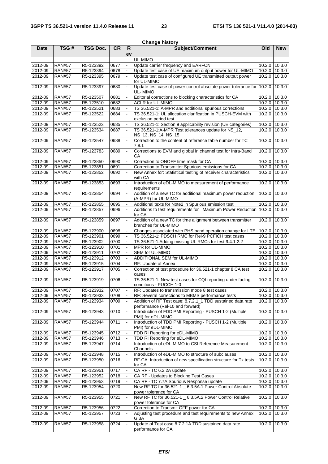|             |               |                 |           |          | <b>Change history</b>                                                                       |               |                              |
|-------------|---------------|-----------------|-----------|----------|---------------------------------------------------------------------------------------------|---------------|------------------------------|
| <b>Date</b> | TSG#          | <b>TSG Doc.</b> | <b>CR</b> | R.<br>ev | Subject/Comment                                                                             | Old           | <b>New</b>                   |
|             |               |                 |           |          | UL-MIMO                                                                                     |               |                              |
| 2012-09     | <b>RAN#57</b> | R5-123392       | 0677      |          | Update carrier frequency and EARFCN                                                         |               | 10.2.0 10.3.0                |
| 2012-09     | <b>RAN#57</b> | R5-123394       | 0678      |          | Update test case of UE maximum output power for UL-MIMO                                     |               | 10.2.0 10.3.0                |
| 2012-09     | <b>RAN#57</b> | R5-123395       | 0679      |          | Update test case of configured UE transmitted output power<br>for UL-MIMO                   |               | 10.2.0 10.3.0                |
| 2012-09     | <b>RAN#57</b> | R5-123397       | 0680      |          | Update test case of power control absolute power tolerance for 10.2.0<br>UL-MIMO            |               | 10.3.0                       |
| 2012-09     | <b>RAN#57</b> | R5-123507       | 0681      |          | Editorial corrections to blocking characteristics for CA                                    |               | 10.2.0 10.3.0                |
| 2012-09     | <b>RAN#57</b> | R5-123510       | 0682      |          | <b>ACLR for UL-MIMO</b>                                                                     |               | 10.2.0 10.3.0                |
| 2012-09     | <b>RAN#57</b> | R5-123521       | 0683      |          | TS 36.521-1: A-MPR and additional spurious corrections                                      |               | 10.2.0 10.3.0                |
| 2012-09     | <b>RAN#57</b> | R5-123522       | 0684      |          | TS 36.521-1: UL allocation clarification in PUSCH-EVM with<br>exclusion period test         | 10.2.0        | 10.3.0                       |
| 2012-09     | <b>RAN#57</b> | R5-123523       | 0685      |          | TS 36.521-1: Section 9 applicability revision (UE categories)                               |               | 10.2.0 10.3.0                |
| 2012-09     | <b>RAN#57</b> | R5-123534       | 0687      |          | TS 36.521-1:A-MPR Test tolerances update for NS_12,<br>NS_13, NS_14, NS_15                  |               | 10.2.0 10.3.0                |
| 2012-09     | <b>RAN#57</b> | R5-123547       | 0688      |          | Correction to the content of reference table number for TC<br>7.8.1                         | 10.2.0        | 10.3.0                       |
| 2012-09     | <b>RAN#57</b> | R5-123783       | 0689      |          | Corrections to EVM and global in channel test for Intra-Band<br>CА                          | 10.2.0        | 10.3.0                       |
| 2012-09     | <b>RAN#57</b> | R5-123850       | 0690      |          | Correction to ONOFF time mask for CA                                                        | 10.2.0        | 10.3.0                       |
| 2012-09     | <b>RAN#57</b> | R5-123851       | 0691      |          | Correction to Transmitter Spurious emissions for CA                                         |               | 10.2.0 10.3.0                |
| 2012-09     | <b>RAN#57</b> | R5-123852       | 0692      |          | New Annex for: Statistical testing of receiver characteristics<br>with CA                   |               | 10.2.0 10.3.0                |
| 2012-09     | <b>RAN#57</b> | R5-123853       | 0693      |          | Introduction of eDL-MIMO to measurement of performance<br>requirements                      | 10.2.0        | 10.3.0                       |
| 2012-09     | <b>RAN#57</b> | R5-123854       | 0694      |          | Addition of a new TC for additional maximum power reduction<br>(A-MPR) for UL-MIMO          | 10.2.0        | 10.3.0                       |
| 2012-09     | <b>RAN#57</b> | R5-123855       | 0695      |          | Additional texts for Note2 in Spurious emission test                                        |               | 10.2.0 10.3.0                |
| 2012-09     | <b>RAN#57</b> | R5-123857       | 0696      |          | Additions to test requirements for Maximum Power Reduction 10.2.0<br>for CA                 |               | 10.3.0                       |
| 2012-09     | <b>RAN#57</b> | R5-123859       | 0697      |          | Addition of a new TC for time alignment between transmitter<br>branches for UL-MIMO         | 10.2.0        | 10.3.0                       |
| 2012-09     | <b>RAN#57</b> | R5-123900       | 0698      |          | Changes associated with PHS band operation change for LTE                                   | 10.2.0 10.3.0 |                              |
| 2012-09     | <b>RAN#57</b> | R5-123901       | 0699      |          | TS 36.521-1: PDSCH RMC for Rel-9 PCFICH test cases                                          |               | 10.2.0 10.3.0                |
| 2012-09     | <b>RAN#57</b> | R5-123902       | 0700      |          | TS 36.521-1:Adding missing UL RMCs for test 9.4.1.2.2                                       |               | 10.2.0 10.3.0                |
| 2012-09     | <b>RAN#57</b> | R5-123910       | 0701      |          | MPR for UL-MIMO                                                                             |               | 10.2.0 10.3.0                |
| 2012-09     | <b>RAN#57</b> | R5-123911       | 0702      |          | SEM for UL-MIMO                                                                             |               | 10.2.0 10.3.0                |
| 2012-09     | <b>RAN#57</b> | R5-123912       | 0703      |          | ADDITIONAL SEM for UL-MIMO                                                                  |               | 10.2.0 10.3.0                |
| 2012-09     | <b>RAN#57</b> | R5-123915       | 0704      |          | RF: Update of Annex I                                                                       |               | 10.2.0 10.3.0                |
| 2012-09     | <b>RAN#57</b> | R5-123917       | 0705      |          | Correction of test procedure for 36.521-1 chapter 8 CA test<br>cases                        | 10.2.0        | 10.3.0                       |
| 2012-09     | <b>RAN#57</b> | R5-123919       | 0706      |          | TS 36.521-1: New test cases for CQI reporting under fading<br>conditions - PUCCH 1-0        | 10.2.0        | 10.3.0                       |
| 2012-09     | <b>RAN#57</b> | R5-123932       | 0707      |          | RF: Updates to transmission mode 8 test cases                                               |               | $10.2.0$ $10.\overline{3.0}$ |
| 2012-09     | <b>RAN#57</b> | R5-123933       | 0708      |          | RF: Several corrections to MBMS performance tests                                           |               | 10.2.0 10.3.0                |
| 2012-09     | <b>RAN#57</b> | R5-123934       | 0709      |          | Addition of RF Test case: 8.7.2.1_1 TDD sustained data rate                                 |               | 10.2.0 10.3.0                |
| 2012-09     | <b>RAN#57</b> | R5-123943       | 0710      |          | performance (Rel-10 and forward)<br>Introduction of FDD PMI Reporting - PUSCH 1-2 (Multiple | 10.2.0        | 10.3.0                       |
| 2012-09     | <b>RAN#57</b> | R5-123944       | 0711      |          | PMI) for eDL-MIMO<br>Introduction of TDD PMI Reporting - PUSCH 1-2 (Multiple                | 10.2.0        | 10.3.0                       |
| 2012-09     | <b>RAN#57</b> | R5-123945       | 0712      |          | PMI) for eDL-MIMO<br>FDD RI Reporting for eDL-MIMO                                          |               | 10.2.0 10.3.0                |
| 2012-09     | <b>RAN#57</b> | R5-123946       | 0713      |          | TDD RI Reporting for eDL-MIMO                                                               |               | 10.2.0 10.3.0                |
| 2012-09     | <b>RAN#57</b> | R5-123947       | 0714      |          | Introduction of eDL-MIMO to CSI Reference Measurement<br>Channels                           |               | 10.2.0 10.3.0                |
| 2012-09     | <b>RAN#57</b> | R5-123948       | 0715      |          | Introduction of eDL-MIMO to structure of subclauses                                         |               | 10.2.0 10.3.0                |
| 2012-09     | <b>RAN#57</b> | R5-123950       | 0716      |          | RF-CA: Introduction of new specification structure for Tx tests<br>for CA                   |               | 10.2.0 10.3.0                |
| 2012-09     | <b>RAN#57</b> | R5-123951       | 0717      |          | CA RF - TC 6.2.2A update                                                                    |               | 10.2.0 10.3.0                |
| 2012-09     | <b>RAN#57</b> | R5-123952       | 0718      |          | CA RF - Updates to Blocking Test Cases                                                      |               | 10.2.0 10.3.0                |
| 2012-09     | <b>RAN#57</b> | R5-123953       | 0719      |          | CA RF - TC 7.7A Spurious Response update                                                    |               | 10.2.0 10.3.0                |
| 2012-09     | <b>RAN#57</b> | R5-123954       | 0720      |          | New RF TC for 36.521-1 _ 6.3.5A.1 Power Control Absolute<br>power tolerance for CA          | 10.2.0        | 10.3.0                       |
| 2012-09     | <b>RAN#57</b> | R5-123955       | 0721      |          | New RF TC for 36.521-1 _ 6.3.5A.2 Power Control Relative<br>power tolerance for CA          | 10.2.0        | 10.3.0                       |
| 2012-09     | <b>RAN#57</b> | R5-123956       | 0722      |          | Correction to Transmit OFF power for CA                                                     |               | 10.2.0 10.3.0                |
| 2012-09     | <b>RAN#57</b> | R5-123957       | 0723      |          | Adjusting test procedure and test requirements to new Annex<br>G.3A                         |               | $10.2.0$ 10.3.0              |
| 2012-09     | <b>RAN#57</b> | R5-123958       | 0724      |          | Update of Test case 8.7.2.1A TDD sustained data rate<br>performance for CA                  | 10.2.0        | 10.3.0                       |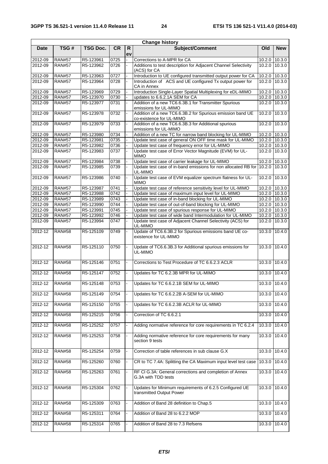| <b>Change history</b> |               |                 |           |          |                                                                                        |               |               |  |  |
|-----------------------|---------------|-----------------|-----------|----------|----------------------------------------------------------------------------------------|---------------|---------------|--|--|
| <b>Date</b>           | TSG#          | <b>TSG Doc.</b> | <b>CR</b> | R.<br>ev | Subject/Comment                                                                        | Old           | <b>New</b>    |  |  |
| 2012-09               | <b>RAN#57</b> | R5-123961       | 0725      |          | Corrections to A-MPR for CA                                                            | 10.2.0        | 10.3.0        |  |  |
| 2012-09               | <b>RAN#57</b> | R5-123962       | 0726      |          | Additions to test description for Adjacent Channel Selectivity<br>(ACS) for CA         | 10.2.0        | 10.3.0        |  |  |
| 2012-09               | <b>RAN#57</b> | R5-123963       | 0727      |          | Introduction to UE configured transmitted output power for CA                          | 10.2.0        | 10.3.0        |  |  |
| 2012-09               | <b>RAN#57</b> | R5-123964       | 0728      |          | Introduction of ACS and UE configured Tx output power for<br>CA in Annex               | 10.2.0        | 10.3.0        |  |  |
| 2012-09               | <b>RAN#57</b> | R5-123969       | 0729      |          | Introduction Single-Layer Spatial Multiplexing for eDL-MIMO                            | 10.2.0        | 10.3.0        |  |  |
| 2012-09               | <b>RAN#57</b> | R5-123970       | 0730      |          | updates to 6.6.2.1A SEM for CA                                                         | 10.2.0        | 10.3.0        |  |  |
| 2012-09               | <b>RAN#57</b> | R5-123977       | 0731      |          | Addition of a new TC6.6.3B.1 for Transmitter Spurious<br>emissions for UL-MIMO         | 10.2.0        | 10.3.0        |  |  |
| 2012-09               | <b>RAN#57</b> | R5-123978       | 0732      |          | Addition of a new TC6.6.3B.2 for Spurious emission band UE<br>co-existence for UL-MIMO | 10.2.0        | 10.3.0        |  |  |
| 2012-09               | <b>RAN#57</b> | R5-123979       | 0733      |          | Addition of a new TC6.6.3B.3 for Additional spurious<br>emissions for UL-MIMO          | 10.2.0        | 10.3.0        |  |  |
| 2012-09               | <b>RAN#57</b> | R5-123980       | 0734      |          | Addition of a new TC for narrow band blocking for UL-MIMO                              | 10.2.0        | 10.3.0        |  |  |
| 2012-09               | <b>RAN#57</b> | R5-123981       | 0735      |          | Update test case of general ON OFF time mask for UL-MIMO                               | 10.2.0        | 10.3.0        |  |  |
| 2012-09               | <b>RAN#57</b> | R5-123982       | 0736      |          | Update test case of frequency error for UL-MIMO                                        |               | 10.2.0 10.3.0 |  |  |
| 2012-09               | <b>RAN#57</b> | R5-123983       | 0737      |          | Update test case of Error Vector Magnitude (EVM) for UL-<br><b>MIMO</b>                | 10.2.0        | 10.3.0        |  |  |
| 2012-09               | <b>RAN#57</b> | R5-123984       | 0738      |          | Update test case of carrier leakage for UL-MIMO                                        | 10.2.0        | 10.3.0        |  |  |
| 2012-09               | <b>RAN#57</b> | R5-123985       | 0739      |          | Update test case of in-band emissions for non allocated RB for                         | 10.2.0        | 10.3.0        |  |  |
| 2012-09               | <b>RAN#57</b> | R5-123986       | 0740      |          | UL-MIMO<br>Update test case of EVM equalizer spectrum flatness for UL-                 | 10.2.0        | 10.3.0        |  |  |
| 2012-09               | <b>RAN#57</b> | R5-123987       | 0741      |          | <b>MIMO</b><br>Update test case of reference sensitivity level for UL-MIMO             | 10.2.0        | 10.3.0        |  |  |
| 2012-09               | <b>RAN#57</b> | R5-123988       | 0742      |          | Update test case of maximum input level for UL-MIMO                                    | 10.2.0 10.3.0 |               |  |  |
| 2012-09               | <b>RAN#57</b> | R5-123989       | 0743      |          | Update test case of in-band blocking for UL-MIMO                                       | 10.2.0 10.3.0 |               |  |  |
| 2012-09               | <b>RAN#57</b> | R5-123990       | 0744      |          | Update test case of out-of-band blocking for UL-MIMO                                   | 10.2.0 10.3.0 |               |  |  |
| 2012-09               | <b>RAN#57</b> | R5-123991       | 0745      |          | Update test case of spurious response for UL-MIMO                                      |               | 10.2.0 10.3.0 |  |  |
| 2012-09               | <b>RAN#57</b> | R5-123992       | 0746      |          | Update test case of wide band Intermodulation for UL-MIMO                              |               | 10.2.0 10.3.0 |  |  |
| 2012-09               | <b>RAN#57</b> | R5-123994       | 0747      |          | Update test case of Adjacent Channel Selectivity (ACS) for<br>UL-MIMO                  | 10.2.0        | 10.3.0        |  |  |
| 2012-12               | <b>RAN#58</b> | R5-125109       | 0749      |          | Update of TC6.6.3B.2 for Spurious emissions band UE co-<br>existence for UL-MIMO       | 10.3.0        | 10.4.0        |  |  |
| 2012-12               | <b>RAN#58</b> | R5-125110       | 0750      |          | Update of TC6.6.3B.3 for Additional spurious emissions for<br>UL-MIMO                  | 10.3.0        | 10.4.0        |  |  |
| 2012-12               | <b>RAN#58</b> | R5-125146       | 0751      |          | Corrections to Test Procedure of TC 6.6.2.3 ACLR                                       | 10.3.0        | 10.4.0        |  |  |
| $2012 - 12$           | <b>RAN#58</b> | R5-125147       | 0752      |          | Updates for TC 6.2.3B MPR for UL-MIMO                                                  | 10.3.0        | 10.4.0        |  |  |
| 2012-12               | <b>RAN#58</b> | R5-125148       | 0753      |          | Updates for TC 6.6.2.1B SEM for UL-MIMO                                                | 10.3.0 10.4.0 |               |  |  |
| $2012 - 12$           | <b>RAN#58</b> | R5-125149       | 0754      |          | Updates for TC 6.6.2.2B A-SEM for UL-MIMO                                              | 10.3.0        | 10.4.0        |  |  |
| 2012-12               | <b>RAN#58</b> | R5-125150       | 0755      |          | Updates for TC 6.6.2.3B ACLR for UL-MIMO                                               | 10.3.0        | 10.4.0        |  |  |
| 2012-12               | <b>RAN#58</b> | R5-125215       | 0756      |          | Correction of TC 6.6.2.1                                                               | 10.3.0        | 10.4.0        |  |  |
| 2012-12               | <b>RAN#58</b> | R5-125252       | 0757      |          | Adding normative reference for core requirements in TC 6.2.4                           | 10.3.0        | 10.4.0        |  |  |
| 2012-12               | <b>RAN#58</b> | R5-125253       | 0758      |          | Adding normative reference for core requirements for many<br>section 9 tests           | 10.3.0        | 10.4.0        |  |  |
| 2012-12               | <b>RAN#58</b> | R5-125254       | 0759      |          | Correction of table references in sub clause G.X                                       | 10.3.0 10.4.0 |               |  |  |
| $2012 - 12$           | <b>RAN#58</b> | R5-125260       | 0760      |          | CR to TC 7.4A: Splitting the CA Maximum input level test case                          | 10.3.0        | 10.4.0        |  |  |
| 2012-12               | <b>RAN#58</b> | R5-125263       | 0761      |          | RF CI G.3A: General corrections and completion of Annex<br>G.3A with TDD tests         | 10.3.0        | 10.4.0        |  |  |
| 2012-12               | <b>RAN#58</b> | R5-125304       | 0762      |          | Updates for Minimum requirements of 6.2.5 Configured UE<br>transmitted Output Power    | 10.3.0        | 10.4.0        |  |  |
| 2012-12               | <b>RAN#58</b> | R5-125309       | 0763      |          | Addition of Band 28 definition to Chap.5                                               | 10.3.0        | 10.4.0        |  |  |
| 2012-12               | <b>RAN#58</b> | R5-125311       | 0764      |          | Addition of Band 28 to 6.2.2 MOP                                                       | 10.3.0        | 10.4.0        |  |  |
| 2012-12               | <b>RAN#58</b> | R5-125314       | 0765      |          | Addition of Band 28 to 7.3 Refsens                                                     | 10.3.0        | 10.4.0        |  |  |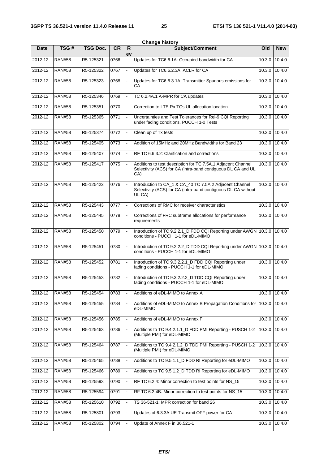| <b>Change history</b> |               |                 |           |                |                                                                                                                                     |                     |               |  |  |  |  |
|-----------------------|---------------|-----------------|-----------|----------------|-------------------------------------------------------------------------------------------------------------------------------------|---------------------|---------------|--|--|--|--|
| Date                  | TSG#          | <b>TSG Doc.</b> | <b>CR</b> | R.<br>ev       | <b>Subject/Comment</b>                                                                                                              | Old                 | <b>New</b>    |  |  |  |  |
| 2012-12               | <b>RAN#58</b> | R5-125321       | 0766      | ÷.             | Updates for TC6.6.1A: Occupied bandwidth for CA                                                                                     | 10.3.0              | 10.4.0        |  |  |  |  |
| 2012-12               | <b>RAN#58</b> | R5-125322       | 0767      |                | Updates for TC6.6.2.3A: ACLR for CA                                                                                                 | 10.3.0              | 10.4.0        |  |  |  |  |
| $2012 - 12$           | <b>RAN#58</b> | R5-125323       | 0768      |                | Updates for TC6.6.3.1A: Transmitter Spurious emissions for<br>СA                                                                    | 10.3.0              | 10.4.0        |  |  |  |  |
| 2012-12               | <b>RAN#58</b> | R5-125346       | 0769      |                | TC 6.2.4A.1 A-MPR for CA updates                                                                                                    |                     | 10.3.0 10.4.0 |  |  |  |  |
| 2012-12               | <b>RAN#58</b> | R5-125351       | 0770      |                | Correction to LTE Rx TCs UL allocation location                                                                                     | 10.3.0              | 10.4.0        |  |  |  |  |
| 2012-12               | <b>RAN#58</b> | R5-125365       | 0771      |                | Uncertainties and Test Tolerances for Rel-9 CQI Reporting<br>under fading conditions, PUCCH 1-0 Tests                               |                     | 10.3.0 10.4.0 |  |  |  |  |
| 2012-12               | <b>RAN#58</b> | R5-125374       | 0772      |                | Clean up of Tx tests                                                                                                                |                     | 10.3.0 10.4.0 |  |  |  |  |
| 2012-12               | <b>RAN#58</b> | R5-125405       | 0773      |                | Addition of 15MHz and 20MHz Bandwidths for Band 23                                                                                  | $10.3.\overline{0}$ | 10.4.0        |  |  |  |  |
| 2012-12               | <b>RAN#58</b> | R5-125407       | 0774      |                | RF TC 6.6.3.2: Clarification and corrections                                                                                        | 10.3.0              | 10.4.0        |  |  |  |  |
| $2012 - 12$           | <b>RAN#58</b> | R5-125417       | 0775      |                | Additions to test description for TC 7.5A.1 Adjacent Channel<br>Selectivity (ACS) for CA (intra-band contiguous DL CA and UL<br>CA) |                     | 10.3.0 10.4.0 |  |  |  |  |
| 2012-12               | <b>RAN#58</b> | R5-125422       | 0776      |                | Introduction to CA_1 & CA_40 TC 7.5A.2 Adjacent Channel<br>Selectivity (ACS) for CA (intra-band contiguous DL CA without<br>UL CA)  | 10.3.0 10.4.0       |               |  |  |  |  |
| 2012-12               | <b>RAN#58</b> | R5-125443       | 0777      |                | Corrections of RMC for receiver characteristics                                                                                     |                     | 10.3.0 10.4.0 |  |  |  |  |
| 2012-12               | <b>RAN#58</b> | R5-125445       | 0778      |                | Corrections of FRC subframe allocations for performance<br>requirements                                                             |                     | 10.3.0 10.4.0 |  |  |  |  |
| 2012-12               | <b>RAN#58</b> | R5-125450       | 0779      |                | Introduction of TC 9.2.2.1_D FDD CQI Reporting under AWGN 10.3.0 10.4.0<br>conditions - PUCCH 1-1 for eDL-MIMO                      |                     |               |  |  |  |  |
| 2012-12               | <b>RAN#58</b> | R5-125451       | 0780      | $\blacksquare$ | Introduction of TC 9.2.2.2_D TDD CQI Reporting under AWGN 10.3.0 10.4.0<br>conditions - PUCCH 1-1 for eDL-MIMO                      |                     |               |  |  |  |  |
| 2012-12               | <b>RAN#58</b> | R5-125452       | 0781      |                | Introduction of TC 9.3.2.2.1 D FDD CQI Reporting under<br>fading conditions - PUCCH 1-1 for eDL-MIMO                                | 10.3.0              | 10.4.0        |  |  |  |  |
| 2012-12               | <b>RAN#58</b> | R5-125453       | 0782      |                | Introduction of TC 9.3.2.2.2_D TDD CQI Reporting under<br>fading conditions - PUCCH 1-1 for eDL-MIMO                                | 10.3.0              | 10.4.0        |  |  |  |  |
| 2012-12               | <b>RAN#58</b> | R5-125454       | 0783      |                | Additions of eDL-MIMO to Annex A                                                                                                    |                     | 10.3.0 10.4.0 |  |  |  |  |
| 2012-12               | <b>RAN#58</b> | R5-125455       | 0784      |                | Additions of eDL-MIMO to Annex B Propagation Conditions for 10.3.0<br>eDL-MIMO                                                      |                     | 10.4.0        |  |  |  |  |
| 2012-12               | <b>RAN#58</b> | R5-125456       | 0785      |                | Additions of eDL-MIMO to Annex F                                                                                                    | 10.3.0              | 10.4.0        |  |  |  |  |
| 2012-12               | <b>RAN#58</b> | R5-125463       | 0786      |                | Additions to TC 9.4.2.1.1_D FDD PMI Reporting - PUSCH 1-2<br>(Multiple PMI) for eDL-MIMO                                            | 10.3.0              | 10.4.0        |  |  |  |  |
| 2012-12               | <b>RAN#58</b> | R5-125464       | 0787      |                | Additions to TC 9.4.2.1.2_D TDD PMI Reporting - PUSCH 1-2<br>(Multiple PMI) for eDL-MIMO                                            | 10.3.0              | 10.4.0        |  |  |  |  |
| 2012-12               | <b>RAN#58</b> | R5-125465       | 0788      |                | Additions to TC 9.5.1.1_D FDD RI Reporting for eDL-MIMO                                                                             | 10.3.0              | 10.4.0        |  |  |  |  |
| 2012-12               | <b>RAN#58</b> | R5-125466       | 0789      |                | Additions to TC 9.5.1.2_D TDD RI Reporting for eDL-MIMO                                                                             | 10.3.0              | 10.4.0        |  |  |  |  |
| 2012-12               | <b>RAN#58</b> | R5-125593       | 0790      |                | RF TC 6.2.4: Minor correction to test points for NS_15                                                                              | 10.3.0              | 10.4.0        |  |  |  |  |
| 2012-12               | <b>RAN#58</b> | R5-125594       | 0791      |                | RF TC 6.2.4B: Minor correction to test points for NS_15                                                                             | 10.3.0              | 10.4.0        |  |  |  |  |
| 2012-12               | <b>RAN#58</b> | R5-125610       | 0792      |                | TS 36-521-1: MPR correction for band 26                                                                                             |                     | 10.3.0 10.4.0 |  |  |  |  |
| 2012-12               | <b>RAN#58</b> | R5-125801       | 0793      |                | Updates of 6.3.3A UE Transmit OFF power for CA                                                                                      | 10.3.0              | 10.4.0        |  |  |  |  |
| 2012-12               | <b>RAN#58</b> | R5-125802       | 0794      |                | Update of Annex F in 36.521-1                                                                                                       | 10.3.0              | 10.4.0        |  |  |  |  |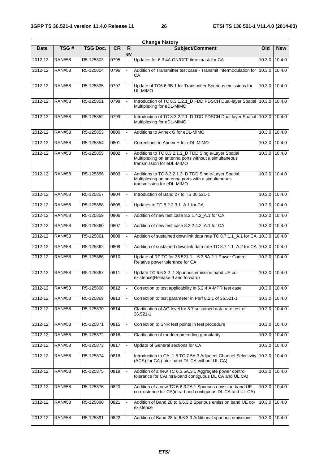| <b>Change history</b> |               |                 |           |          |                                                                                                                                           |               |                   |  |  |  |
|-----------------------|---------------|-----------------|-----------|----------|-------------------------------------------------------------------------------------------------------------------------------------------|---------------|-------------------|--|--|--|
| Date                  | TSG#          | <b>TSG Doc.</b> | <b>CR</b> | R.<br>ev | Subject/Comment                                                                                                                           | Old           | <b>New</b>        |  |  |  |
| 2012-12               | <b>RAN#58</b> | R5-125803       | 0795      |          | Updates for 6.3.4A ON/OFF time mask for CA                                                                                                | 10.3.0        | 10.4.0            |  |  |  |
| 2012-12               | <b>RAN#58</b> | R5-125804       | 0796      |          | Addition of Transmitter test case - Transmit intermodulation for<br>CА                                                                    | 10.3.0        | 10.4.0            |  |  |  |
| 2012-12               | <b>RAN#58</b> | R5-125835       | 0797      |          | Update of TC6.6.3B.1 for Transmitter Spurious emissions for<br>UL-MIMO                                                                    | 10.3.0 10.4.0 |                   |  |  |  |
| 2012-12               | <b>RAN#58</b> | R5-125851       | 0798      |          | Introduction of TC 8.3.1.2.1_D FDD PDSCH Dual-layer Spatial 10.3.0<br>Multiplexing for eDL-MIMO                                           |               | 10.4.0            |  |  |  |
| 2012-12               | <b>RAN#58</b> | R5-125852       | 0799      |          | Introduction of TC 8.3.2.2.1_D TDD PDSCH Dual-layer Spatial 10.3.0<br>Multiplexing for eDL-MIMO                                           |               | 10.4.0            |  |  |  |
| 2012-12               | <b>RAN#58</b> | R5-125853       | 0800      |          | Additions to Annex G for eDL-MIMO                                                                                                         | 10.3.0        | 10.4.0            |  |  |  |
| 2012-12               | <b>RAN#58</b> | R5-125854       | 0801      |          | Corrections to Annex H for eDL-MIMO                                                                                                       |               | 10.3.0 10.4.0     |  |  |  |
| 2012-12               | <b>RAN#58</b> | R5-125855       | 0802      |          | Additions to TC 8.3.2.1.2_D TDD Single-Layer Spatial<br>Multiplexing on antenna ports without a simultaneous<br>transmission for eDL-MIMO | 10.3.0        | 10.4.0            |  |  |  |
| 2012-12               | <b>RAN#58</b> | R5-125856       | 0803      |          | Additions to TC 8.3.2.1.3_D TDD Single-Layer Spatial<br>Multiplexing on antenna ports with a simultaneous<br>transmission for eDL-MIMO    | 10.3.0        | 10.4.0            |  |  |  |
| 2012-12               | <b>RAN#58</b> | R5-125857       | 0804      |          | Introduction of Band 27 to TS 36.521-1                                                                                                    | 10.3.0        | 10.4.0            |  |  |  |
| 2012-12               | <b>RAN#58</b> | R5-125858       | 0805      |          | Updates to TC 8.2.2.3.1_A.1 for CA                                                                                                        | 10.3.0        | 10.4.0            |  |  |  |
| 2012-12               | <b>RAN#58</b> | R5-125859       | 0806      |          | Addition of new test case 8.2.1.4.2_A.1 for CA                                                                                            |               | $10.3.0$ $10.4.0$ |  |  |  |
| 2012-12               | <b>RAN#58</b> | R5-125860       | 0807      |          | Addition of new test case 8.2.2.4.2_A.1 for CA                                                                                            | 10.3.0        | 10.4.0            |  |  |  |
| 2012-12               | <b>RAN#58</b> | R5-125861       | 0808      |          | Addition of sustained downlink data rate TC 8.7.1.1_A.1 for CA 10.3.0                                                                     |               | 10.4.0            |  |  |  |
| $2012 - 12$           | <b>RAN#58</b> | R5-125862       | 0809      |          | Addition of sustained downlink data rate TC 8.7.1.1_A.2 for CA 10.3.0                                                                     |               | 10.4.0            |  |  |  |
| 2012-12               | <b>RAN#58</b> | R5-125866       | 0810      |          | Update of RF TC for 36.521-1 _ 6.3.5A.2.1 Power Control<br>Relative power tolerance for CA                                                | 10.3.0        | 10.4.0            |  |  |  |
| 2012-12               | <b>RAN#58</b> | R5-125867       | 0811      |          | Update TC 6.6.3.2_1 Spurious emission band UE co-<br>existence(Release 9 and forward)                                                     | 10.3.0        | 10.4.0            |  |  |  |
| $2012 - 12$           | <b>RAN#58</b> | R5-125868       | 0812      |          | Correction to test applicability in 6.2.4 A-MPR test case                                                                                 |               | 10.3.0 10.4.0     |  |  |  |
| 2012-12               | <b>RAN#58</b> | R5-125869       | 0813      |          | Correction to test parameter in Perf 8.2.1 of 36.521-1                                                                                    | 10.3.0        | 10.4.0            |  |  |  |
| 2012-12               | <b>RAN#58</b> | R5-125870       | 0814      |          | Clarification of AG level for 8.7 sustained data rate test of<br>36.521-1                                                                 | 10.3.0        | 10.4.0            |  |  |  |
| 2012-12               | <b>RAN#58</b> | R5-125871       | 0815      |          | Correction to SNR test points in test procedure                                                                                           |               | 10.3.0 10.4.0     |  |  |  |
| 2012-12               | <b>RAN#58</b> | R5-125872       | 0816      |          | Clarification of random precoding granularity                                                                                             | 10.3.0        | 10.4.0            |  |  |  |
| 2012-12               | <b>RAN#58</b> | R5-125873       | 0817      |          | Update of General sections for CA                                                                                                         | 10.3.0        | 10.4.0            |  |  |  |
| 2012-12               | <b>RAN#58</b> | R5-125874       | 0818      |          | Introduction to CA_1-5 TC 7.5A.3 Adjacent Channel Selectivity<br>(ACS) for CA (inter-band DL CA without UL CA)                            | 10.3.0        | 10.4.0            |  |  |  |
| 2012-12               | <b>RAN#58</b> | R5-125875       | 0819      |          | Addition of a new TC 6.3.5A.3.1 Aggregate power control<br>tolerance for CA(intra-band contiguous DL CA and UL CA)                        | 10.3.0        | 10.4.0            |  |  |  |
| 2012-12               | <b>RAN#58</b> | R5-125876       | 0820      |          | Addition of a new TC 6.6.3.2A.1 Spurious emission band UE<br>co-existence for CA(intra-band contiguous DL CA and UL CA)                   |               | 10.3.0 10.4.0     |  |  |  |
| $2012 - 12$           | <b>RAN#58</b> | R5-125890       | 0821      |          | Addition of Band 28 to 6.6.3.2 Spurious emission band UE co-<br>existence                                                                 |               | 10.3.0 10.4.0     |  |  |  |
| 2012-12               | <b>RAN#58</b> | R5-125891       | 0822      |          | Addition of Band 28 to 6.6.3.3 Additional spurious emissions                                                                              |               | 10.3.0 10.4.0     |  |  |  |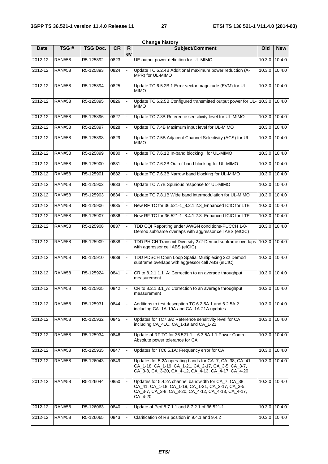|             |               |                 |           |          | <b>Change history</b>                                                                                                                                                         |               |               |
|-------------|---------------|-----------------|-----------|----------|-------------------------------------------------------------------------------------------------------------------------------------------------------------------------------|---------------|---------------|
| <b>Date</b> | TSG#          | <b>TSG Doc.</b> | <b>CR</b> | R.<br>ev | Subject/Comment                                                                                                                                                               | Old           | <b>New</b>    |
| 2012-12     | <b>RAN#58</b> | R5-125892       | 0823      |          | UE output power definition for UL-MIMO                                                                                                                                        | 10.3.0        | 10.4.0        |
| 2012-12     | <b>RAN#58</b> | R5-125893       | 0824      |          | Update TC 6.2.4B Additional maximum power reduction (A-<br>MPR) for UL-MIMO                                                                                                   | 10.3.0        | 10.4.0        |
| 2012-12     | <b>RAN#58</b> | R5-125894       | 0825      |          | Update TC 6.5.2B.1 Error vector magnitude (EVM) for UL-<br><b>MIMO</b>                                                                                                        | 10.3.0        | 10.4.0        |
| 2012-12     | <b>RAN#58</b> | R5-125895       | 0826      |          | Update TC 6.2.5B Configured transmitted output power for UL-<br><b>MIMO</b>                                                                                                   | 10.3.0        | 10.4.0        |
| 2012-12     | <b>RAN#58</b> | R5-125896       | 0827      |          | Update TC 7.3B Reference sensitivity level for UL-MIMO                                                                                                                        | 10.3.0        | 10.4.0        |
| 2012-12     | <b>RAN#58</b> | R5-125897       | 0828      |          | Update TC 7.4B Maximum input level for UL-MIMO                                                                                                                                | 10.3.0        | 10.4.0        |
| 2012-12     | <b>RAN#58</b> | R5-125898       | 0829      |          | Update TC 7.5B Adjacent Channel Selectivity (ACS) for UL-<br><b>MIMO</b>                                                                                                      | 10.3.0 10.4.0 |               |
| 2012-12     | <b>RAN#58</b> | R5-125899       | 0830      |          | Update TC 7.6.1B In-band blocking<br>for UL-MIMO                                                                                                                              | 10.3.0        | 10.4.0        |
| 2012-12     | <b>RAN#58</b> | R5-125900       | 0831      |          | Update TC 7.6.2B Out-of-band blocking for UL-MIMO                                                                                                                             | 10.3.0        | 10.4.0        |
| 2012-12     | <b>RAN#58</b> | R5-125901       | 0832      |          | Update TC 7.6.3B Narrow band blocking for UL-MIMO                                                                                                                             | 10.3.0        | 10.4.0        |
| 2012-12     | <b>RAN#58</b> | R5-125902       | 0833      |          | Update TC 7.7B Spurious response for UL-MIMO                                                                                                                                  | 10.3.0        | 10.4.0        |
| 2012-12     | <b>RAN#58</b> | R5-125903       | 0834      |          | Update TC 7.8.1B Wide band intermodulation for UL-MIMO                                                                                                                        | 10.3.0        | 10.4.0        |
| 2012-12     | <b>RAN#58</b> | R5-125906       | 0835      |          | New RF TC for 36.521-1 8.2.1.2.3 Enhanced ICIC for LTE                                                                                                                        | 10.3.0        | 10.4.0        |
| 2012-12     | <b>RAN#58</b> | R5-125907       | 0836      |          | New RF TC for 36.521-1_8.4.1.2.3_Enhanced ICIC for LTE                                                                                                                        | 10.3.0        | 10.4.0        |
| 2012-12     | <b>RAN#58</b> | R5-125908       | 0837      |          | TDD CQI Reporting under AWGN conditions-PUCCH 1-0-<br>Demod subframe overlaps with aggressor cell ABS (eICIC)                                                                 | 10.3.0        | 10.4.0        |
| 2012-12     | <b>RAN#58</b> | R5-125909       | 0838      |          | TDD PHICH Transmit Diversity 2x2-Demod subframe overlaps<br>with aggressor cell ABS (eICIC)                                                                                   | 10.3.0 10.4.0 |               |
| 2012-12     | <b>RAN#58</b> | R5-125910       | 0839      |          | TDD PDSCH Open Loop Spatial Multiplexing 2x2 Demod<br>subframe overlaps with aggressor cell ABS (eICIC)                                                                       | 10.3.0        | 10.4.0        |
| 2012-12     | <b>RAN#58</b> | R5-125924       | 0841      |          | CR to 8.2.1.1.1_A: Correction to an average throughput<br>measurement                                                                                                         | 10.3.0        | 10.4.0        |
| 2012-12     | <b>RAN#58</b> | R5-125925       | 0842      |          | CR to 8.2.1.3.1_A: Correction to an average throughput<br>measurement                                                                                                         |               | 10.3.0 10.4.0 |
| 2012-12     | <b>RAN#58</b> | R5-125931       | 0844      |          | Additions to test description TC 6.2.5A.1 and 6.2.5A.2<br>including CA 1A-19A and CA 1A-21A updates                                                                           | 10.3.0 10.4.0 |               |
| 2012-12     | <b>RAN#58</b> | R5-125932       | 0845      |          | Updates for TC7.3A: Reference sensitivity level for CA<br>including CA_41C, CA_1-19 and CA_1-21                                                                               | 10.3.0        | 10.4.0        |
| 2012-12     | <b>RAN#58</b> | R5-125934       | 0846      |          | Update of RF TC for 36.521-1 _ 6.3.5A.1.1 Power Control<br>Absolute power tolerance for CA                                                                                    | 10.3.0        | 10.4.0        |
| 2012-12     | <b>RAN#58</b> | R5-125935       | 0847      |          | Updates for TC6.5.1A: Frequency error for CA                                                                                                                                  | 10.3.0 10.4.0 |               |
| 2012-12     | <b>RAN#58</b> | R5-126043       | 0849      |          | Updates for 5.2A operating bands for CA_7, CA_38, CA_41,<br>CA_1-18, CA_1-19, CA_1-21, CA_2-17, CA_3-5, CA_3-7,<br>CA_3-8, CA_3-20, CA_4-12, CA_4-13, CA_4-17, CA_4-20        |               | 10.3.0 10.4.0 |
| 2012-12     | <b>RAN#58</b> | R5-126044       | 0850      |          | Updates for 5.4.2A channel bandwidth for CA_7, CA_38,<br>CA_41, CA_1-18, CA_1-19, CA_1-21, CA_2-17, CA_3-5,<br>CA_3-7, CA_3-8, CA_3-20, CA_4-12, CA_4-13, CA_4-17,<br>CA_4-20 | 10.3.0        | 10.4.0        |
| 2012-12     | <b>RAN#58</b> | R5-126063       | 0840      |          | Update of Perf 8.7.1.1 and 8.7.2.1 of 36.521-1                                                                                                                                | 10.3.0        | 10.4.0        |
| 2012-12     | <b>RAN#58</b> | R5-126065       | 0843      |          | Clarification of RB position in 9.4.1 and 9.4.2                                                                                                                               | 10.3.0 10.4.0 |               |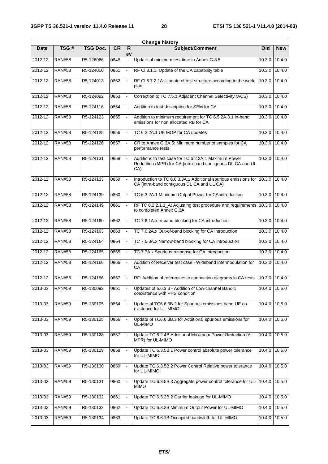| <b>Change history</b> |               |                 |           |         |                                                                                                                           |               |                 |  |  |  |
|-----------------------|---------------|-----------------|-----------|---------|---------------------------------------------------------------------------------------------------------------------------|---------------|-----------------|--|--|--|
| <b>Date</b>           | TSG#          | <b>TSG Doc.</b> | <b>CR</b> | R<br>ev | <b>Subject/Comment</b>                                                                                                    | Old           | <b>New</b>      |  |  |  |
| 2012-12               | <b>RAN#58</b> | R5-126066       | 0848      |         | Update of minimum test time in Annex G.3.5                                                                                | 10.3.0        | 10.4.0          |  |  |  |
| 2012-12               | <b>RAN#58</b> | R5-124010       | 0851      |         | RF CI 8.1.1: Update of the CA capability table                                                                            | 10.3.0        | 10.4.0          |  |  |  |
| 2012-12               | <b>RAN#58</b> | R5-124013       | 0852      |         | RF CI 8.7.2.1A: Update of test structure according to the work<br>plan                                                    | 10.3.0        | 10.4.0          |  |  |  |
| 2012-12               | <b>RAN#58</b> | R5-124082       | 0853      |         | Correction to TC 7.5.1 Adjacent Channel Selectivity (ACS)                                                                 |               | 10.3.0 10.4.0   |  |  |  |
| 2012-12               | <b>RAN#58</b> | R5-124116       | 0854      |         | Addition to test description for SEM for CA                                                                               | 10.3.0        | 10.4.0          |  |  |  |
| 2012-12               | <b>RAN#58</b> | R5-124123       | 0855      |         | Addition to minimum requirement for TC 6.5.2A.3.1 in-band<br>emissions for non allocated RB for CA                        | 10.3.0        | 10.4.0          |  |  |  |
| 2012-12               | <b>RAN#58</b> | R5-124125       | 0856      |         | TC 6.2.2A.1 UE MOP for CA updates                                                                                         | 10.3.0        | 10.4.0          |  |  |  |
| 2012-12               | <b>RAN#58</b> | R5-124126       | 0857      |         | CR to Annex G.3A.5: Minimum number of samples for CA<br>performance tests                                                 | 10.3.0        | 10.4.0          |  |  |  |
| 2012-12               | <b>RAN#58</b> | R5-124131       | 0858      |         | Additions to test case for TC 6.2.3A.1 Maximum Power<br>Reduction (MPR) for CA (intra-band contiguous DL CA and UL<br>CA) |               | 10.3.0 10.4.0   |  |  |  |
| 2012-12               | <b>RAN#58</b> | R5-124133       | 0859      |         | Introduction to TC 6.6.3.3A.1 Additional spurious emissions for<br>CA (intra-band contiguous DL CA and UL CA)             | 10.3.0        | 10.4.0          |  |  |  |
| 2012-12               | <b>RAN#58</b> | R5-124139       | 0860      |         | TC 6.3.2A.1 Minimum Output Power for CA introduction                                                                      | 10.3.0        | 10.4.0          |  |  |  |
| $2012 - 12$           | <b>RAN#58</b> | R5-124149       | 0861      |         | RF TC 8.2.2.1.1_A: Adjusting test procedure and requirements<br>to completed Annex G.3A                                   | 10.3.0        | 10.4.0          |  |  |  |
| 2012-12               | <b>RAN#58</b> | R5-124160       | 0862      |         | TC 7.6.1A.x In-band blocking for CA introduction                                                                          | 10.3.0        | 10.4.0          |  |  |  |
| 2012-12               | <b>RAN#58</b> | R5-124163       | 0863      |         | TC 7.6.2A.x Out-of-band blocking for CA introduction                                                                      | 10.3.0        | 10.4.0          |  |  |  |
| 2012-12               | <b>RAN#58</b> | R5-124164       | 0864      |         | TC 7.6.3A.x Narrow-band blocking for CA introduction                                                                      | 10.3.0        | 10.4.0          |  |  |  |
| $2012 - 12$           | <b>RAN#58</b> | R5-124165       | 0865      |         | TC 7.7A.x Spurious response for CA introduction                                                                           | 10.3.0        | 10.4.0          |  |  |  |
| 2012-12               | <b>RAN#58</b> | R5-124166       | 0866      |         | Addition of Receiver test case - Wideband intermodulation for<br>СA                                                       | 10.3.0        | 10.4.0          |  |  |  |
| 2012-12               | <b>RAN#58</b> | R5-124186       | 0867      |         | RF: Addition of references to connection diagrams in CA tests                                                             | 10.3.0        | 10.4.0          |  |  |  |
| 2013-03               | <b>RAN#59</b> | R5-130092       | 0851      |         | Updates of 6.6.3.3 - Addition of Low-channel Band 1<br>coexistence with PHS condition                                     |               | 10.4.0   10.5.0 |  |  |  |
| 2013-03               | <b>RAN#59</b> | R5-130105       | 0854      |         | Update of TC6.6.3B.2 for Spurious emissions band UE co-<br>existence for UL-MIMO                                          |               | 10.4.0 10.5.0   |  |  |  |
| 2013-03               | <b>RAN#59</b> | R5-130125       | 0856      |         | Update of TC6.6.3B.3 for Additional spurious emissions for<br>UL-MIMO                                                     | 10.4.0        | 10.5.0          |  |  |  |
| 2013-03               | <b>RAN#59</b> | R5-130128       | 0857      |         | Update TC 6.2.4B Additional Maximum Power Reduction (A-<br>MPR) for UL-MIMO                                               | 10.4.0        | 10.5.0          |  |  |  |
| 2013-03               | <b>RAN#59</b> | R5-130129       | 0858      |         | Update TC 6.3.5B.1 Power control absolute power tolerance<br>for UL-MIMO                                                  | 10.4.0        | $\sqrt{10.5.0}$ |  |  |  |
| 2013-03               | <b>RAN#59</b> | R5-130130       | 0859      |         | Update TC 6.3.5B.2 Power Control Relative power tolerance<br>for UL-MIMO                                                  | 10.4.0        | 10.5.0          |  |  |  |
| 2013-03               | <b>RAN#59</b> | R5-130131       | 0860      |         | Update TC 6.3.5B.3 Aggregate power control tolerance for UL-<br><b>MIMO</b>                                               | 10.4.0 10.5.0 |                 |  |  |  |
| 2013-03               | <b>RAN#59</b> | R5-130132       | 0861      |         | Update TC 6.5.2B.2 Carrier leakage for UL-MIMO                                                                            |               | 10.4.0 10.5.0   |  |  |  |
| 2013-03               | <b>RAN#59</b> | R5-130133       | 0862      |         | Update TC 6.3.2B Minimum Output Power for UL-MIMO                                                                         | 10.4.0        | 10.5.0          |  |  |  |
| 2013-03               | <b>RAN#59</b> | R5-130134       | 0863      |         | Update TC 6.6.1B Occupied bandwidth for UL-MIMO                                                                           | 10.4.0        | 10.5.0          |  |  |  |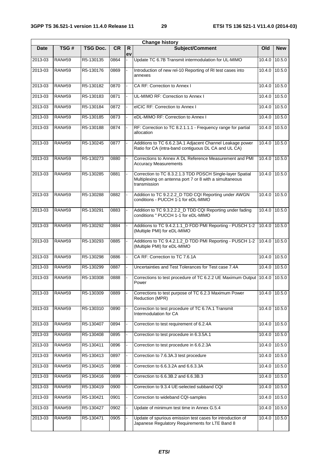$\mathbf{r}$ 

|             | <b>Change history</b> |                 |           |          |                                                                                                                                      |        |            |  |  |  |  |
|-------------|-----------------------|-----------------|-----------|----------|--------------------------------------------------------------------------------------------------------------------------------------|--------|------------|--|--|--|--|
| <b>Date</b> | TSG#                  | <b>TSG Doc.</b> | <b>CR</b> | R.<br>ev | <b>Subject/Comment</b>                                                                                                               | Old    | <b>New</b> |  |  |  |  |
| 2013-03     | <b>RAN#59</b>         | R5-130135       | 0864      |          | Update TC 6.7B Transmit intermodulation for UL-MIMO                                                                                  | 10.4.0 | 10.5.0     |  |  |  |  |
| 2013-03     | <b>RAN#59</b>         | R5-130176       | 0869      |          | Introduction of new rel-10 Reporting of RI test cases into<br>annexes                                                                | 10.4.0 | 10.5.0     |  |  |  |  |
| 2013-03     | <b>RAN#59</b>         | R5-130182       | 0870      |          | CA RF: Correction to Annex I                                                                                                         | 10.4.0 | 10.5.0     |  |  |  |  |
| 2013-03     | <b>RAN#59</b>         | R5-130183       | 0871      |          | UL-MIMO RF: Correction to Annex I                                                                                                    | 10.4.0 | 10.5.0     |  |  |  |  |
| 2013-03     | <b>RAN#59</b>         | R5-130184       | 0872      |          | elCIC RF: Correction to Annex I                                                                                                      | 10.4.0 | 10.5.0     |  |  |  |  |
| 2013-03     | <b>RAN#59</b>         | R5-130185       | 0873      |          | eDL-MIMO RF: Correction to Annex I                                                                                                   | 10.4.0 | 10.5.0     |  |  |  |  |
| 2013-03     | <b>RAN#59</b>         | R5-130188       | 0874      |          | RF: Correction to TC 8.2.1.1.1 - Frequency range for partial<br>allocation                                                           | 10.4.0 | 10.5.0     |  |  |  |  |
| 2013-03     | <b>RAN#59</b>         | R5-130245       | 0877      |          | Additions to TC 6.6.2.3A.1 Adjacent Channel Leakage power<br>Ratio for CA (intra-band contiguous DL CA and UL CA)                    | 10.4.0 | 10.5.0     |  |  |  |  |
| 2013-03     | <b>RAN#59</b>         | R5-130273       | 0880      |          | Corrections to Annex A DL Reference Measurement and PMI<br><b>Accuracy Measurements</b>                                              | 10.4.0 | 10.5.0     |  |  |  |  |
| 2013-03     | <b>RAN#59</b>         | R5-130285       | 0881      |          | Correction to TC 8.3.2.1.3 TDD PDSCH Single-layer Spatial<br>Multiplexing on antenna port 7 or 8 with a simultaneous<br>transmission | 10.4.0 | 10.5.0     |  |  |  |  |
| 2013-03     | <b>RAN#59</b>         | R5-130288       | 0882      |          | Addition to TC 9.2.2.2_D TDD CQI Reporting under AWGN<br>conditions - PUCCH 1-1 for eDL-MIMO                                         | 10.4.0 | 10.5.0     |  |  |  |  |
| 2013-03     | <b>RAN#59</b>         | R5-130291       | 0883      |          | Addition to TC 9.3.2.2.2_D TDD CQI Reporting under fading<br>conditions " PUCCH 1-1 for eDL-MIMO                                     | 10.4.0 | 10.5.0     |  |  |  |  |
| 2013-03     | <b>RAN#59</b>         | R5-130292       | 0884      |          | Additions to TC 9.4.2.1.1_D FDD PMI Reporting - PUSCH 1-2<br>(Multiple PMI) for eDL-MIMO                                             | 10.4.0 | 10.5.0     |  |  |  |  |
| 2013-03     | <b>RAN#59</b>         | R5-130293       | 0885      |          | Additions to TC 9.4.2.1.2_D TDD PMI Reporting - PUSCH 1-2<br>(Multiple PMI) for eDL-MIMO                                             | 10.4.0 | 10.5.0     |  |  |  |  |
| 2013-03     | <b>RAN#59</b>         | R5-130298       | 0886      |          | CA RF: Correction to TC 7.6.1A                                                                                                       | 10.4.0 | 10.5.0     |  |  |  |  |
| 2013-03     | <b>RAN#59</b>         | R5-130299       | 0887      |          | Uncertainties and Test Tolerances for Test case 7.4A                                                                                 | 10.4.0 | 10.5.0     |  |  |  |  |
| 2013-03     | <b>RAN#59</b>         | R5-130308       | 0888      |          | Corrections to test procedure of TC 6.2.2 UE Maximum Output 10.4.0<br>Power                                                          |        | 10.5.0     |  |  |  |  |
| 2013-03     | <b>RAN#59</b>         | R5-130309       | 0889      |          | Corrections to test purpose of TC 6.2.3 Maximum Power<br>Reduction (MPR)                                                             | 10.4.0 | 10.5.0     |  |  |  |  |
| 2013-03     | <b>RAN#59</b>         | R5-130310       | 0890      |          | Correction to test procedure of TC 6.7A.1 Transmit<br>Intermodulation for CA                                                         | 10.4.0 | 10.5.0     |  |  |  |  |
| 2013-03     | <b>RAN#59</b>         | R5-130407       | 0894      |          | Correction to test requirement of 6.2.4A                                                                                             | 10.4.0 | 10.5.0     |  |  |  |  |
| 2013-03     | <b>RAN#59</b>         | R5-130408       | 0895      |          | Correction to test procedure in 6.3.5A.1                                                                                             | 10.4.0 | 10.5.0     |  |  |  |  |
| 2013-03     | <b>RAN#59</b>         | R5-130411       | 0896      |          | Correction to test procedure in 6.6.2.3A                                                                                             | 10.4.0 | 10.5.0     |  |  |  |  |
| 2013-03     | <b>RAN#59</b>         | R5-130413       | 0897      |          | Correction to 7.6.3A.3 test procedure                                                                                                | 10.4.0 | 10.5.0     |  |  |  |  |
| 2013-03     | <b>RAN#59</b>         | R5-130415       | 0898      |          | Correction to 6.6.3.2A and 6.6.3.3A                                                                                                  | 10.4.0 | 10.5.0     |  |  |  |  |
| 2013-03     | <b>RAN#59</b>         | R5-130416       | 0899      |          | Correction to 6.6.3B.2 and 6.6.3B.3                                                                                                  | 10.4.0 | 10.5.0     |  |  |  |  |
| 2013-03     | <b>RAN#59</b>         | R5-130419       | 0900      |          | Correction to 9.3.4 UE-selected subband CQI                                                                                          | 10.4.0 | 10.5.0     |  |  |  |  |
| 2013-03     | <b>RAN#59</b>         | R5-130421       | 0901      |          | Correction to wideband CQI-samples                                                                                                   | 10.4.0 | 10.5.0     |  |  |  |  |
| 2013-03     | <b>RAN#59</b>         | R5-130427       | 0902      |          | Update of minimum test time in Annex G.5.4                                                                                           | 10.4.0 | 10.5.0     |  |  |  |  |
| 2013-03     | <b>RAN#59</b>         | R5-130471       | 0905      |          | Update of spurious emission test cases for introduction of<br>Japanese Regulatory Requirements for LTE Band 8                        | 10.4.0 | 10.5.0     |  |  |  |  |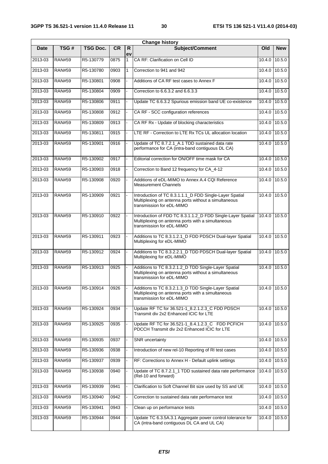|             |               |                 |           |              | <b>Change history</b>                                                                                                                         |        |                 |
|-------------|---------------|-----------------|-----------|--------------|-----------------------------------------------------------------------------------------------------------------------------------------------|--------|-----------------|
| <b>Date</b> | TSG#          | <b>TSG Doc.</b> | <b>CR</b> | R<br>ev      | <b>Subject/Comment</b>                                                                                                                        | Old    | <b>New</b>      |
| 2013-03     | <b>RAN#59</b> | R5-130779       | 0875      | $\mathbf{1}$ | CA RF: Clarification on Cell ID                                                                                                               | 10.4.0 | 10.5.0          |
| 2013-03     | <b>RAN#59</b> | R5-130780       | 0903      | $\mathbf{1}$ | Correction to 941 and 942                                                                                                                     | 10.4.0 | 10.5.0          |
| 2013-03     | <b>RAN#59</b> | R5-130801       | 0908      |              | Additions of CA RF test cases to Annex F                                                                                                      | 10.4.0 | 10.5.0          |
| 2013-03     | <b>RAN#59</b> | R5-130804       | 0909      |              | Correction to 6.6.3.2 and 6.6.3.3                                                                                                             | 10.4.0 | 10.5.0          |
| 2013-03     | <b>RAN#59</b> | R5-130806       | 0911      |              | Update TC 6.6.3.2 Spurious emission band UE co-existence                                                                                      | 10.4.0 | 10.5.0          |
| 2013-03     | <b>RAN#59</b> | R5-130808       | 0912      |              | CA RF - SCC configuration references                                                                                                          | 10.4.0 | 10.5.0          |
| 2013-03     | <b>RAN#59</b> | R5-130809       | 0913      |              | CA RF Rx - Update of blocking characteristics                                                                                                 | 10.4.0 | 10.5.0          |
| 2013-03     | <b>RAN#59</b> | R5-130811       | 0915      |              | LTE RF - Correction to LTE Rx TCs UL allocation location                                                                                      | 10.4.0 | 10.5.0          |
| 2013-03     | <b>RAN#59</b> | R5-130901       | 0916      |              | Update of TC 8.7.2.1_A.1 TDD sustained data rate<br>performance for CA (intra-band contiguous DL CA)                                          | 10.4.0 | 10.5.0          |
| 2013-03     | <b>RAN#59</b> | R5-130902       | 0917      |              | Editorial correction for ON/OFF time mask for CA                                                                                              | 10.4.0 | 10.5.0          |
| 2013-03     | <b>RAN#59</b> | R5-130903       | 0918      |              | Correction to Band 12 frequency for CA_4-12                                                                                                   | 10.4.0 | 10.5.0          |
| 2013-03     | <b>RAN#59</b> | R5-130908       | 0920      |              | Additions of eDL-MIMO to Annex A.4 CQI Reference<br><b>Measurement Channels</b>                                                               | 10.4.0 | 10.5.0          |
| 2013-03     | <b>RAN#59</b> | R5-130909       | 0921      |              | Introduction of TC 8.3.1.1.1_D FDD Single-Layer Spatial<br>Multiplexing on antenna ports without a simultaneous<br>transmission for eDL-MIMO  | 10.4.0 | 10.5.0          |
| 2013-03     | <b>RAN#59</b> | R5-130910       | 0922      |              | Introduction of FDD TC 8.3.1.1.2_D FDD Single-Layer Spatial<br>Multiplexing on antenna ports with a simultaneous<br>transmission for eDL-MIMO | 10.4.0 | 10.5.0          |
| 2013-03     | <b>RAN#59</b> | R5-130911       | 0923      |              | Additions to TC 8.3.1.2.1_D FDD PDSCH Dual-layer Spatial<br>Multiplexing for eDL-MIMO                                                         | 10.4.0 | 10.5.0          |
| 2013-03     | <b>RAN#59</b> | R5-130912       | 0924      |              | Additions to TC 8.3.2.2.1_D TDD PDSCH Dual-layer Spatial<br>Multiplexing for eDL-MIMO                                                         | 10.4.0 | 10.5.0          |
| 2013-03     | <b>RAN#59</b> | R5-130913       | 0925      |              | Additions to TC 8.3.2.1.2_D TDD Single-Layer Spatial<br>Multiplexing on antenna ports without a simultaneous<br>transmission for eDL-MIMO     | 10.4.0 | 10.5.0          |
| 2013-03     | RAN#59        | R5-130914       | 0926      |              | Additions to TC 8.3.2.1.3_D TDD Single-Layer Spatial<br>Multiplexing on antenna ports with a simultaneous<br>transmission for eDL-MIMO        |        | 10.4.0   10.5.0 |
| 2013-03     | <b>RAN#59</b> | R5-130924       | 0934      |              | Update RF TC for 36.521-1_8.2.1.2.3_C FDD PDSCH<br>Transmit div 2x2 Enhanced ICIC for LTE                                                     | 10.4.0 | 10.5.0          |
| 2013-03     | <b>RAN#59</b> | R5-130925       | 0935      |              | Update RF TC for 36.521-1_8.4.1.2.3_C FDD PCFICH<br>PDCCH Transmit div 2x2 Enhanced ICIC for LTE                                              | 10.4.0 | 10.5.0          |
| 2013-03     | <b>RAN#59</b> | R5-130935       | 0937      |              | SNR uncertainty                                                                                                                               | 10.4.0 | 10.5.0          |
| 2013-03     | <b>RAN#59</b> | R5-130936       | 0938      |              | Introduction of new rel-10 Reporting of RI test cases                                                                                         | 10.4.0 | 10.5.0          |
| 2013-03     | <b>RAN#59</b> | R5-130937       | 0939      |              | RF: Corrections to Annex H - Default uplink settings                                                                                          | 10.4.0 | 10.5.0          |
| 2013-03     | <b>RAN#59</b> | R5-130938       | 0940      |              | Update of TC 8.7.2.1_1 TDD sustained data rate performance<br>(Rel-10 and forward)                                                            | 10.4.0 | 10.5.0          |
| 2013-03     | <b>RAN#59</b> | R5-130939       | 0941      |              | Clarification to Soft Channel Bit size used by SS and UE                                                                                      | 10.4.0 | 10.5.0          |
| 2013-03     | <b>RAN#59</b> | R5-130940       | 0942      |              | Correction to sustained data rate performance test                                                                                            | 10.4.0 | 10.5.0          |
| 2013-03     | <b>RAN#59</b> | R5-130941       | 0943      |              | Clean up on performance tests                                                                                                                 | 10.4.0 | 10.5.0          |
| 2013-03     | <b>RAN#59</b> | R5-130944       | 0944      |              | Update TC 6.3.5A.3.1 Aggregate power control tolerance for<br>CA (intra-band contiguous DL CA and UL CA)                                      | 10.4.0 | 10.5.0          |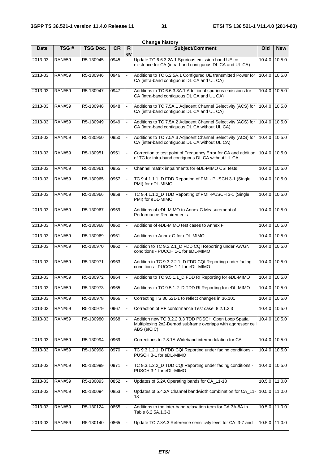| <b>Change history</b> |               |                 |           |          |                                                                                                                                      |        |                 |
|-----------------------|---------------|-----------------|-----------|----------|--------------------------------------------------------------------------------------------------------------------------------------|--------|-----------------|
| <b>Date</b>           | TSG#          | <b>TSG Doc.</b> | <b>CR</b> | R.<br>ev | <b>Subject/Comment</b>                                                                                                               | Old    | <b>New</b>      |
| 2013-03               | <b>RAN#59</b> | R5-130945       | 0945      |          | Update TC 6.6.3.2A.1 Spurious emission band UE co-<br>existence for CA (intra-band contiguous DL CA and UL CA)                       |        | 10.4.0 10.5.0   |
| 2013-03               | <b>RAN#59</b> | R5-130946       | 0946      |          | Additions to TC 6.2.5A.1 Configured UE transmitted Power for<br>CA (intra-band contiguous DL CA and UL CA)                           |        | 10.4.0 10.5.0   |
| 2013-03               | <b>RAN#59</b> | R5-130947       | 0947      |          | Additions to TC 6.6.3.3A.1 Additional spurious emissions for<br>CA (intra-band contiguous DL CA and UL CA)                           |        | 10.4.0 10.5.0   |
| 2013-03               | <b>RAN#59</b> | R5-130948       | 0948      |          | Additions to TC 7.5A.1 Adjacent Channel Selectivity (ACS) for<br>CA (intra-band contiguous DL CA and UL CA)                          | 10.4.0 | 10.5.0          |
| 2013-03               | <b>RAN#59</b> | R5-130949       | 0949      |          | Additions to TC 7.5A.2 Adjacent Channel Selectivity (ACS) for<br>CA (intra-band contiguous DL CA without UL CA)                      |        | 10.4.0 10.5.0   |
| 2013-03               | <b>RAN#59</b> | R5-130950       | 0950      |          | Additions to TC 7.5A.3 Adjacent Channel Selectivity (ACS) for<br>CA (inter-band contiguous DL CA without UL CA)                      |        | $10.4.0$ 10.5.0 |
| 2013-03               | <b>RAN#59</b> | R5-130951       | 0951      |          | Correction to test point of Frequency Error for CA and addition<br>of TC for intra-band contiguous DL CA without UL CA               | 10.4.0 | 10.5.0          |
| 2013-03               | <b>RAN#59</b> | R5-130961       | 0955      |          | Channel matrix impairments for eDL-MIMO CSI tests                                                                                    |        | 10.4.0 10.5.0   |
| 2013-03               | <b>RAN#59</b> | R5-130965       | 0957      |          | TC 9.4.1.1.1_D FDD Reporting of PMI - PUSCH 3-1 (Single<br>PMI) for eDL-MIMO                                                         |        | 10.4.0 10.5.0   |
| 2013-03               | <b>RAN#59</b> | R5-130966       | 0958      |          | TC 9.4.1.1.2_D TDD Reporting of PMI -PUSCH 3-1 (Single<br>PMI) for eDL-MIMO                                                          |        | 10.4.0 10.5.0   |
| 2013-03               | <b>RAN#59</b> | R5-130967       | 0959      |          | Additions of eDL-MIMO to Annex C Measurement of<br>Performance Requirements                                                          |        | 10.4.0 10.5.0   |
| 2013-03               | <b>RAN#59</b> | R5-130968       | 0960      |          | Additions of eDL-MIMO test cases to Annex F                                                                                          | 10.4.0 | 10.5.0          |
| 2013-03               | <b>RAN#59</b> | R5-130969       | 0961      |          | Additions to Annex G for eDL-MIMO                                                                                                    |        | 10.4.0 10.5.0   |
| 2013-03               | <b>RAN#59</b> | R5-130970       | 0962      |          | Addition to TC 9.2.2.1_D FDD CQI Reporting under AWGN<br>conditions - PUCCH 1-1 for eDL-MIMO                                         |        | 10.4.0 10.5.0   |
| 2013-03               | <b>RAN#59</b> | R5-130971       | 0963      |          | Addition to TC 9.3.2.2.1_D FDD CQI Reporting under fading<br>conditions - PUCCH 1-1 for eDL-MIMO                                     |        | 10.4.0 10.5.0   |
| 2013-03               | <b>RAN#59</b> | R5-130972       | 0964      |          | Additions to TC 9.5.1.1_D FDD RI Reporting for eDL-MIMO                                                                              | 10.4.0 | 10.5.0          |
| 2013-03               | <b>RAN#59</b> | R5-130973       | 0965      |          | Additions to TC 9.5.1.2 D TDD RI Reporting for eDL-MIMO                                                                              |        | 10.4.0 10.5.0   |
| 2013-03               | <b>RAN#59</b> | R5-130978       | 0966      |          | Correcting TS 36.521-1 to reflect changes in 36.101                                                                                  |        | 10.4.0 10.5.0   |
| 2013-03               | <b>RAN#59</b> | R5-130979       | 0967      |          | Correction of RF conformance Test case: 8.2.1.3.3                                                                                    |        | 10.4.0 10.5.0   |
| 2013-03               | <b>RAN#59</b> | R5-130980       | 0968      |          | Addition new TC 8.2.2.3.3 TDD PDSCH Open Loop Spatial<br>Multiplexing 2x2-Demod subframe overlaps with aggressor cell<br>ABS (eICIC) |        | 10.4.0 10.5.0   |
| 2013-03               | <b>RAN#59</b> | R5-130994       | 0969      |          | Corrections to 7.8.1A Wideband intermodulation for CA                                                                                |        | 10.4.0 10.5.0   |
| 2013-03               | <b>RAN#59</b> | R5-130998       | 0970      |          | TC 9.3.1.2.1_D FDD CQI Reporting under fading conditions -<br>PUSCH 3-1 for eDL-MIMO                                                 |        | 10.4.0 10.5.0   |
| 2013-03               | <b>RAN#59</b> | R5-130999       | 0971      |          | TC 9.3.1.2.2_D TDD CQI Reporting under fading conditions -<br>PUSCH 3-1 for eDL-MIMO                                                 |        | 10.4.0 10.5.0   |
| 2013-03               | <b>RAN#59</b> | R5-130093       | 0852      |          | Updates of 5.2A Operating bands for CA_11-18                                                                                         |        | 10.5.0 11.0.0   |
| 2013-03               | <b>RAN#59</b> | R5-130094       | 0853      |          | Updates of 5.4.2A Channel bandwidth combination for CA_11-<br>18                                                                     |        | 10.5.0 11.0.0   |
| 2013-03               | <b>RAN#59</b> | R5-130124       | 0855      |          | Additions to the inter-band relaxation term for CA 3A-8A in<br>Table 6.2.5A.1.3-3                                                    |        | $10.5.0$ 11.0.0 |
| 2013-03               | <b>RAN#59</b> | R5-130140       | 0865      |          | Update TC 7.3A.3 Reference sensitivity level for CA_3-7 and                                                                          |        | 10.5.0 11.0.0   |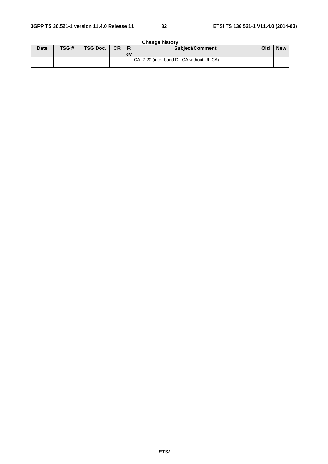|             | <b>Change history</b> |               |  |           |                                           |     |            |  |  |  |  |  |
|-------------|-----------------------|---------------|--|-----------|-------------------------------------------|-----|------------|--|--|--|--|--|
| <b>Date</b> | TSG#                  | TSG Doc.   CR |  | IR.       | <b>Subject/Comment</b>                    | Old | <b>New</b> |  |  |  |  |  |
|             |                       |               |  | <b>ev</b> |                                           |     |            |  |  |  |  |  |
|             |                       |               |  |           | ICA 7-20 (inter-band DL CA without UL CA) |     |            |  |  |  |  |  |
|             |                       |               |  |           |                                           |     |            |  |  |  |  |  |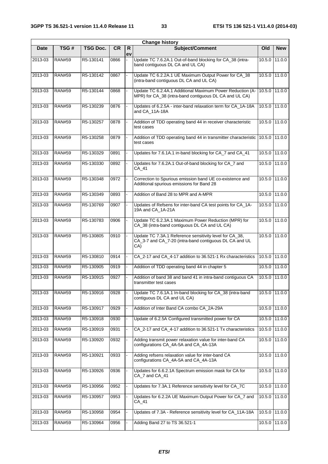|             |               |                 |           |         | <b>Change history</b>                                                                                                    |        |                 |
|-------------|---------------|-----------------|-----------|---------|--------------------------------------------------------------------------------------------------------------------------|--------|-----------------|
| <b>Date</b> | TSG#          | <b>TSG Doc.</b> | <b>CR</b> | R<br>ev | Subject/Comment                                                                                                          | Old    | <b>New</b>      |
| 2013-03     | <b>RAN#59</b> | R5-130141       | 0866      |         | Update TC 7.6.2A.1 Out-of-band blocking for CA_38 (intra-<br>band contiguous DL CA and UL CA)                            |        | 10.5.0 11.0.0   |
| 2013-03     | <b>RAN#59</b> | R5-130142       | 0867      |         | Update TC 6.2.2A.1 UE Maximum Output Power for CA_38<br>(intra-band contiguous DL CA and UL CA)                          |        | 10.5.0 11.0.0   |
| 2013-03     | <b>RAN#59</b> | R5-130144       | 0868      |         | Update TC 6.2.4A.1 Additional Maximum Power Reduction (A-<br>MPR) for CA_38 (intra-band contiguous DL CA and UL CA)      |        | 10.5.0 11.0.0   |
| 2013-03     | <b>RAN#59</b> | R5-130239       | 0876      |         | Updates of 6.2.5A - inter-band relaxation term for CA_1A-18A<br>and CA_11A-18A                                           | 10.5.0 | 11.0.0          |
| 2013-03     | <b>RAN#59</b> | R5-130257       | 0878      |         | Addition of TDD operating band 44 in receiver characteristic<br>test cases                                               |        | 10.5.0 11.0.0   |
| 2013-03     | <b>RAN#59</b> | R5-130258       | 0879      |         | Addition of TDD operating band 44 in transmitter characteristic<br>test cases                                            |        | 10.5.0 11.0.0   |
| 2013-03     | <b>RAN#59</b> | R5-130329       | 0891      |         | Updates for 7.6.1A.1 in-band blocking for CA_7 and CA_41                                                                 | 10.5.0 | 11.0.0          |
| 2013-03     | <b>RAN#59</b> | R5-130330       | 0892      |         | Updates for 7.6.2A.1 Out-of-band blocking for CA_7 and<br>CA_41                                                          |        | 10.5.0 11.0.0   |
| 2013-03     | <b>RAN#59</b> | R5-130348       | 0972      |         | Correction to Spurious emission band UE co-existence and<br>Additional spurious emissions for Band 28                    |        | 10.5.0 11.0.0   |
| 2013-03     | <b>RAN#59</b> | R5-130349       | 0893      |         | Addition of Band 28 to MPR and A-MPR                                                                                     |        | 10.5.0 11.0.0   |
| 2013-03     | <b>RAN#59</b> | R5-130769       | 0907      |         | Updates of Refsens for inter-band CA test points for CA_1A-<br>19A and CA_1A-21A                                         | 10.5.0 | 11.00           |
| 2013-03     | <b>RAN#59</b> | R5-130783       | 0906      |         | Update TC 6.2.3A.1 Maximum Power Reduction (MPR) for<br>CA_38 (intra-band contiguous DL CA and UL CA)                    |        | 10.5.0 11.0.0   |
| $2013 - 03$ | <b>RAN#59</b> | R5-130805       | 0910      |         | Update TC 7.3A.1 Reference sensitivity level for CA_38,<br>CA_3-7 and CA_7-20 (intra-band contiguous DL CA and UL<br>CA) |        | 10.5.0 11.0.0   |
| 2013-03     | <b>RAN#59</b> | R5-130810       | 0914      |         | CA_2-17 and CA_4-17 addition to 36.521-1 Rx characteristics                                                              |        | 10.5.0 11.0.0   |
| 2013-03     | <b>RAN#59</b> | R5-130905       | 0919      |         | Addition of TDD operating band 44 in chapter 5                                                                           |        | 10.5.0 11.0.0   |
| 2013-03     | <b>RAN#59</b> | R5-130915       | 0927      |         | Addition of band 38 and band 41 in intra-band contiguous CA<br>transmitter test cases                                    | 10.5.0 | 11.00           |
| 2013-03     | <b>RAN#59</b> | R5-130916       | 0928      |         | Update TC 7.6.1A.1 In-band blocking for CA_38 (intra-band<br>contiguous DL CA and UL CA)                                 |        | 10.5.0 11.0.0   |
| 2013-03     | <b>RAN#59</b> | R5-130917       | 0929      |         | Addition of Inter Band CA combo CA_2A-29A                                                                                | 10.5.0 | 11.0.0          |
| 2013-03     | <b>RAN#59</b> | R5-130918       | 0930      |         | Update of 6.2.5A Configured transmitted power for CA                                                                     | 10.5.0 | 11.0.0          |
| 2013-03     | <b>RAN#59</b> | R5-130919       | 0931      |         | CA_2-17 and CA_4-17 addition to 36.521-1 Tx characteristics                                                              |        | 10.5.0 11.0.0   |
| 2013-03     | <b>RAN#59</b> | R5-130920       | 0932      |         | Adding transmit power relaxation value for inter-band CA<br>configurations CA_4A-5A and CA_4A-13A                        | 10.5.0 | 11.0.0          |
| 2013-03     | <b>RAN#59</b> | R5-130921       | 0933      |         | Adding refsens relaxation value for inter-band CA<br>configurations CA_4A-5A and CA_4A-13A                               |        | 10.5.0 11.0.0   |
| 2013-03     | <b>RAN#59</b> | R5-130926       | 0936      |         | Updates for 6.6.2.1A Spectrum emission mask for CA for<br>CA_7 and CA_41                                                 | 10.5.0 | 11.0.0          |
| 2013-03     | <b>RAN#59</b> | R5-130956       | 0952      |         | Updates for 7.3A.1 Reference sensitivity level for CA_7C                                                                 | 10.5.0 | 11.0.0          |
| 2013-03     | <b>RAN#59</b> | R5-130957       | 0953      |         | Updates for 6.2.2A UE Maximum Output Power for CA_7 and<br>CA_41                                                         | 10.5.0 | $\sqrt{11.0.0}$ |
| 2013-03     | <b>RAN#59</b> | R5-130958       | 0954      |         | Updates of 7.3A - Reference sensitivity level for CA_11A-18A                                                             | 10.5.0 | 11.0.0          |
| 2013-03     | <b>RAN#59</b> | R5-130964       | 0956      |         | Adding Band 27 to TS 36.521-1                                                                                            |        | 10.5.0 11.0.0   |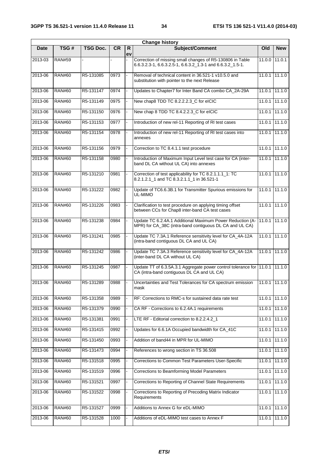| <b>Change history</b> |               |                 |           |                    |                                                                                                                         |                 |                 |  |  |
|-----------------------|---------------|-----------------|-----------|--------------------|-------------------------------------------------------------------------------------------------------------------------|-----------------|-----------------|--|--|
| <b>Date</b>           | TSG#          | <b>TSG Doc.</b> | <b>CR</b> | $\mathsf{R}$<br>ev | Subject/Comment                                                                                                         | Old             | <b>New</b>      |  |  |
| 2013-03               | <b>RAN#59</b> |                 |           |                    | Correction of missing small changes of R5-130806 in Table<br>6.6.3.2.3-1, 6.6.3.2.5-1, 6.6.3.2_1.3-1 and 6.6.3.2_1.5-1. | 11.0.0          | 11.0.1          |  |  |
| 2013-06               | <b>RAN#60</b> | R5-131085       | 0973      |                    | Removal of technical content in 36.521-1 v10.5.0 and<br>substitution with pointer to the next Release                   |                 | 11.0.1 11.1.0   |  |  |
| 2013-06               | <b>RAN#60</b> | R5-131147       | 0974      |                    | Updates to Chapter7 for Inter Band CA combo CA_2A-29A                                                                   | 11.0.1          | 11.1.0          |  |  |
| 2013-06               | <b>RAN#60</b> | R5-131149       | 0975      |                    | New chap8 TDD TC 8.2.2.2.3_C for eICIC                                                                                  | 11.0.1          | 11.1.0          |  |  |
| 2013-06               | <b>RAN#60</b> | R5-131150       | 0976      |                    | New chap 8 TDD TC 8.4.2.2.3 C for eICIC                                                                                 | 11.0.1          | 11.1.0          |  |  |
| 2013-06               | <b>RAN#60</b> | R5-131153       | 0977      | ÷.                 | Introduction of new rel-11 Reporting of RI test cases                                                                   | 11.0.1          | 11.1.0          |  |  |
| 2013-06               | <b>RAN#60</b> | R5-131154       | 0978      |                    | Introduction of new rel-11 Reporting of RI test cases into<br>annexes                                                   | 11.0.1          | 11.1.0          |  |  |
| 2013-06               | <b>RAN#60</b> | R5-131156       | 0979      |                    | Correction to TC 8.4.1.1 test procedure                                                                                 | 11.0.1          | 11.1.0          |  |  |
| 2013-06               | <b>RAN#60</b> | R5-131158       | 0980      |                    | Introduction of Maximum Input Level test case for CA (inter-<br>band DL CA without UL CA) into annexes                  | 11.0.1          | 11.1.0          |  |  |
| 2013-06               | <b>RAN#60</b> | R5-131210       | 0981      |                    | Correction of test applicability for TC 8.2.1.1.1_1: TC<br>8.2.1.2.1_1 and TC 8.3.2.1.1_1 in 36.521-1                   |                 | $11.0.1$ 11.1.0 |  |  |
| 2013-06               | <b>RAN#60</b> | R5-131222       | 0982      |                    | Update of TC6.6.3B.1 for Transmitter Spurious emissions for<br>UL-MIMO                                                  | 11.0.1          | 11.1.0          |  |  |
| 2013-06               | <b>RAN#60</b> | R5-131226       | 0983      |                    | Clarification to test procedure on applying timing offset<br>between CCs for Chap8 inter-band CA test cases             | 11.0.1          | 11.1.0          |  |  |
| 2013-06               | <b>RAN#60</b> | R5-131238       | 0984      |                    | Update TC 6.2.4A.1 Additional Maximum Power Reduction (A-<br>MPR) for CA_38C (intra-band contiguous DL CA and UL CA)    | $11.0.1$ 11.1.0 |                 |  |  |
| 2013-06               | <b>RAN#60</b> | R5-131241       | 0985      |                    | Update TC 7.3A.1 Reference sensitivity level for CA_4A-12A<br>(intra-band contiguous DL CA and UL CA)                   | 11.0.1          | 11.1.0          |  |  |
| 2013-06               | <b>RAN#60</b> | R5-131242       | 0986      |                    | Update TC 7.3A.3 Reference sensitivity level for CA_4A-12A<br>(inter-band DL CA without UL CA)                          | 11.0.1          | 11.1.0          |  |  |
| 2013-06               | <b>RAN#60</b> | R5-131245       | 0987      |                    | Update TT of 6.3.5A.3.1 Aggregate power control tolerance for 11.0.1<br>CA (intra-band contiguous DL CA and UL CA)      |                 | 11.1.0          |  |  |
| 2013-06               | <b>RAN#60</b> | R5-131289       | 0988      |                    | Uncertainties and Test Tolerances for CA spectrum emission<br>mask                                                      |                 | $11.0.1$ 11.1.0 |  |  |
| 2013-06               | <b>RAN#60</b> | R5-131358       | 0989      |                    | RF: Corrections to RMC-s for sustained data rate test                                                                   | 11.0.1          | 11.1.0          |  |  |
| 2013-06               | <b>RAN#60</b> | R5-131379       | 0990      |                    | CA RF - Corrections to 6.2.4A.1 requirements                                                                            | 11.0.1          | 11.1.0          |  |  |
| 2013-06               | <b>RAN#60</b> | R5-131381       | 0991      |                    | LTE RF - Editorial correction to 8.2.2.4.2_1                                                                            | 11.0.1          | 11.1.0          |  |  |
| 2013-06               | <b>RAN#60</b> | R5-131415       | 0992      |                    | Updates for 6.6.1A Occupied bandwidth for CA_41C                                                                        | 11.0.1          | 11.1.0          |  |  |
| 2013-06               | <b>RAN#60</b> | R5-131450       | 0993      |                    | Addition of band44 in MPR for UL-MIMO                                                                                   | 11.0.1          | 11.1.0          |  |  |
| 2013-06               | <b>RAN#60</b> | R5-131473       | 0994      |                    | References to wrong section in TS 36.508                                                                                | 11.0.1          | $\sqrt{11.1.0}$ |  |  |
| 2013-06               | <b>RAN#60</b> | R5-131518       | 0995      |                    | Corrections to Common Test Parameters User-Specific                                                                     | 11.0.1          | 11.1.0          |  |  |
| 2013-06               | <b>RAN#60</b> | R5-131519       | 0996      |                    | Corrections to Beamforming Model Parameters                                                                             | 11.0.1          | 11.1.0          |  |  |
| 2013-06               | <b>RAN#60</b> | R5-131521       | 0997      | ÷.                 | Corrections to Reporting of Channel State Requirements                                                                  | 11.0.1          | 11.1.0          |  |  |
| 2013-06               | <b>RAN#60</b> | R5-131522       | 0998      |                    | Corrections to Reporting of Precoding Matrix Indicator<br>Requirements                                                  | 11.0.1          | 11.1.0          |  |  |
| 2013-06               | <b>RAN#60</b> | R5-131527       | 0999      |                    | Additions to Annex G for eDL-MIMO                                                                                       | 11.0.1          | 11.1.0          |  |  |
| 2013-06               | <b>RAN#60</b> | R5-131528       | 1000      |                    | Additions of eDL-MIMO test cases to Annex F                                                                             | 11.0.1          | 11.1.0          |  |  |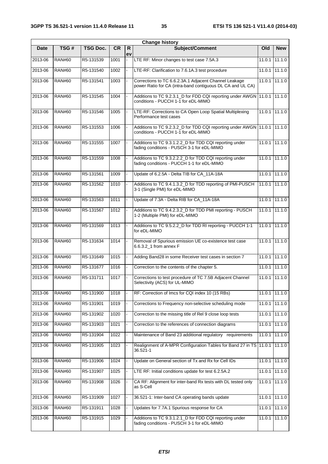|             |               |                 |           |          | <b>Change history</b>                                                                                               |               |                 |
|-------------|---------------|-----------------|-----------|----------|---------------------------------------------------------------------------------------------------------------------|---------------|-----------------|
| <b>Date</b> | TSG#          | <b>TSG Doc.</b> | <b>CR</b> | R.<br>ev | Subject/Comment                                                                                                     | Old           | <b>New</b>      |
| 2013-06     | <b>RAN#60</b> | R5-131539       | 1001      |          | LTE RF: Minor changes to test case 7.5A.3                                                                           |               | $11.0.1$ 11.1.0 |
| 2013-06     | <b>RAN#60</b> | R5-131540       | 1002      |          | LTE-RF: Clarification to 7.6.1A.3 test procedure                                                                    |               | $11.0.1$ 11.1.0 |
| 2013-06     | <b>RAN#60</b> | R5-131541       | 1003      |          | Corrections to TC 6.6.2.3A.1 Adjacent Channel Leakage<br>power Ratio for CA (intra-band contiguous DL CA and UL CA) |               | $11.0.1$ 11.1.0 |
| 2013-06     | <b>RAN#60</b> | R5-131545       | 1004      |          | Additions to TC 9.2.3.1_D for FDD CQI reporting under AWGN 11.0.1 11.1.0<br>conditions - PUCCH 1-1 for eDL-MIMO     |               |                 |
| 2013-06     | <b>RAN#60</b> | R5-131546       | 1005      |          | LTE-RF: Corrections to CA Open Loop Spatial Multiplexing<br>Performance test cases                                  |               | 11.0.1 11.1.0   |
| 2013-06     | <b>RAN#60</b> | R5-131553       | 1006      |          | Additions to TC 9.2.3.2_D for TDD CQI reporting under AWGN 11.0.1 11.1.0<br>conditions - PUCCH 1-1 for eDL-MIMO     |               |                 |
| 2013-06     | <b>RAN#60</b> | R5-131555       | 1007      |          | Additions to TC 9.3.1.2.2_D for TDD CQI reporting under<br>fading conditions - PUSCH 3-1 for eDL-MIMO               |               | $11.0.1$ 11.1.0 |
| 2013-06     | <b>RAN#60</b> | R5-131559       | 1008      |          | Additions to TC 9.3.2.2.2_D for TDD CQI reporting under<br>fading conditions - PUCCH 1-1 for eDL-MIMO               |               | $11.0.1$ 11.1.0 |
| 2013-06     | <b>RAN#60</b> | R5-131561       | 1009      |          | Update of 6.2.5A - Delta TIB for CA_11A-18A                                                                         |               | $11.0.1$ 11.1.0 |
| 2013-06     | <b>RAN#60</b> | R5-131562       | 1010      |          | Additions to TC 9.4.1.3.2_D for TDD reporting of PMI-PUSCH<br>3-1 (Single PMI) for eDL-MIMO                         | 11.0.1 11.1.0 |                 |
| 2013-06     | <b>RAN#60</b> | R5-131563       | 1011      |          | Update of 7.3A - Delta RIB for CA_11A-18A                                                                           |               | $11.0.1$ 11.1.0 |
| 2013-06     | <b>RAN#60</b> | R5-131567       | 1012      |          | Additions to TC 9.4.2.3.2_D for TDD PMI reporting - PUSCH<br>1-2 (Multiple PMI) for eDL-MIMO                        |               | 11.0.1 11.1.0   |
| 2013-06     | <b>RAN#60</b> | R5-131569       | 1013      |          | Additions to TC 9.5.2.2_D for TDD RI reporting - PUCCH 1-1<br>for eDL-MIMO                                          |               | 11.0.1 11.1.0   |
| 2013-06     | <b>RAN#60</b> | R5-131634       | 1014      |          | Removal of Spurious emission UE co-existence test case<br>6.6.3.2 1 from annex F                                    |               | 11.0.1 11.1.0   |
| 2013-06     | <b>RAN#60</b> | R5-131649       | 1015      |          | Adding Band28 in some Receiver test cases in section 7                                                              |               | $11.0.1$ 11.1.0 |
| 2013-06     | <b>RAN#60</b> | R5-131677       | 1016      |          | Correction to the contents of the chapter 5.                                                                        |               | 11.0.1 11.1.0   |
| 2013-06     | <b>RAN#60</b> | R5-131711       | 1017      |          | Corrections to test procedure of TC 7.5B Adjacent Channel<br>Selectivity (ACS) for UL-MIMO                          | 11.0.1        | 11.1.0          |
| 2013-06     | <b>RAN#60</b> | R5-131900       | 1018      |          | RF: Correction of Imcs for CQI index 10 (15 RBs)                                                                    |               | 11.0.1 11.1.0   |
| 2013-06     | <b>RAN#60</b> | R5-131901       | 1019      |          | Corrections to Frequency non-selective scheduling mode                                                              |               | $11.0.1$ 11.1.0 |
| 2013-06     | <b>RAN#60</b> | R5-131902       | 1020      |          | Correction to the missing title of Rel 9 close loop tests                                                           |               | $11.0.1$ 11.1.0 |
| 2013-06     | <b>RAN#60</b> | R5-131903       | 1021      |          | Correction to the references of connection diagrams                                                                 |               | $11.0.1$ 11.1.0 |
| 2013-06     | <b>RAN#60</b> | R5-131904       | 1022      |          | Maintenance of Band 23 additional regulatory requirements                                                           |               | $11.0.1$ 11.1.0 |
| 2013-06     | <b>RAN#60</b> | R5-131905       | 1023      |          | Realignment of A-MPR Configuration Tables for Band 27 in TS 11.0.1<br>36.521-1                                      |               | 11.1.0          |
| 2013-06     | <b>RAN#60</b> | R5-131906       | 1024      |          | Update on General section of Tx and Rx for Cell IDs                                                                 |               | $11.0.1$ 11.1.0 |
| 2013-06     | <b>RAN#60</b> | R5-131907       | 1025      |          | LTE RF: Initial conditions update for test 6.2.5A.2                                                                 |               | $11.0.1$ 11.1.0 |
| 2013-06     | <b>RAN#60</b> | R5-131908       | 1026      |          | CA RF: Alignment for inter-band Rx tests with DL tested only<br>as S-Cell                                           | 11.0.1        | 11.1.0          |
| 2013-06     | <b>RAN#60</b> | R5-131909       | 1027      |          | 36.521-1: Inter-band CA operating bands update                                                                      |               | $11.0.1$ 11.1.0 |
| 2013-06     | <b>RAN#60</b> | R5-131911       | 1028      |          | Updates for 7.7A.1 Spurious response for CA                                                                         |               | $11.0.1$ 11.1.0 |
| 2013-06     | <b>RAN#60</b> | R5-131915       | 1029      |          | Additions to TC 9.3.1.2.1_D for FDD CQI reporting under<br>fading conditions - PUSCH 3-1 for eDL-MIMO               | 11.0.1        | 11.1.0          |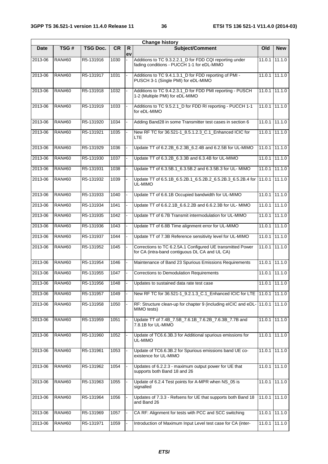|             |               |                 |           |                    | <b>Change history</b>                                                                                        |        |                 |
|-------------|---------------|-----------------|-----------|--------------------|--------------------------------------------------------------------------------------------------------------|--------|-----------------|
| <b>Date</b> | TSG#          | <b>TSG Doc.</b> | <b>CR</b> | $\mathsf{R}$<br>ev | <b>Subject/Comment</b>                                                                                       | Old    | <b>New</b>      |
| 2013-06     | <b>RAN#60</b> | R5-131916       | 1030      |                    | Additions to TC 9.3.2.2.1_D for FDD CQI reporting under<br>fading conditions - PUCCH 1-1 for eDL-MIMO        | 11.0.1 | 11.1.0          |
| 2013-06     | <b>RAN#60</b> | R5-131917       | 1031      |                    | Additions to TC 9.4.1.3.1_D for FDD reporting of PMI -<br>PUSCH 3-1 (Single PMI) for eDL-MIMO                |        | $11.0.1$ 11.1.0 |
| 2013-06     | <b>RAN#60</b> | R5-131918       | 1032      |                    | Additions to TC 9.4.2.3.1_D for FDD PMI reporting - PUSCH<br>1-2 (Multiple PMI) for eDL-MIMO                 |        | $11.0.1$ 11.1.0 |
| 2013-06     | <b>RAN#60</b> | R5-131919       | 1033      |                    | Additions to TC 9.5.2.1_D for FDD RI reporting - PUCCH 1-1<br>for eDL-MIMO                                   | 11.0.1 | 11.1.0          |
| 2013-06     | <b>RAN#60</b> | R5-131920       | 1034      |                    | Adding Band28 in some Transmitter test cases in section 6                                                    | 11.0.1 | 11.1.0          |
| 2013-06     | <b>RAN#60</b> | R5-131921       | 1035      |                    | New RF TC for 36.521-1_8.5.1.2.3_C.1_Enhanced ICIC for<br><b>LTE</b>                                         | 11.0.1 | 11.1.0          |
| 2013-06     | <b>RAN#60</b> | R5-131929       | 1036      |                    | Update TT of 6.2.2B_6.2.3B_6.2.4B and 6.2.5B for UL-MIMO                                                     |        | $11.0.1$ 11.1.0 |
| 2013-06     | <b>RAN#60</b> | R5-131930       | 1037      |                    | Update TT of 6.3.2B 6.3.3B and 6.3.4B for UL-MIMO                                                            | 11.0.1 | 11.1.0          |
| 2013-06     | <b>RAN#60</b> | R5-131931       | 1038      |                    | Update TT of 6.3.5B.1_6.3.5B.2 and 6.3.5B.3 for UL- MIMO                                                     |        | $11.0.1$ 11.1.0 |
| 2013-06     | <b>RAN#60</b> | R5-131932       | 1039      |                    | Update TT of 6.5.1B_6.5.2B.1_6.5.2B.2_6.5.2B.3_6.5.2B.4 for<br>UL-MIMO                                       | 11.0.1 | 11.1.0          |
| 2013-06     | <b>RAN#60</b> | R5-131933       | 1040      |                    | Update TT of 6.6.1B Occupied bandwidth for UL-MIMO                                                           | 11.0.1 | 11.1.0          |
| 2013-06     | <b>RAN#60</b> | R5-131934       | 1041      |                    | Update TT of 6.6.2.1B_6.6.2.2B and 6.6.2.3B for UL- MIMO                                                     | 11.0.1 | 11.1.0          |
| 2013-06     | <b>RAN#60</b> | R5-131935       | 1042      |                    | Update TT of 6.7B Transmit intermodulation for UL-MIMO                                                       | 11.0.1 | 11.1.0          |
| 2013-06     | <b>RAN#60</b> | R5-131936       | 1043      |                    | Update TT of 6.8B Time alignment error for UL-MIMO                                                           | 11.0.1 | 11.1.0          |
| 2013-06     | <b>RAN#60</b> | R5-131937       | 1044      |                    | Update TT of 7.3B Reference sensitivity level for UL-MIMO                                                    |        | $11.0.1$ 11.1.0 |
| 2013-06     | <b>RAN#60</b> | R5-131952       | 1045      |                    | Corrections to TC 6.2.5A.1 Configured UE transmitted Power<br>for CA (intra-band contiguous DL CA and UL CA) |        | 11.0.1 11.1.0   |
| 2013-06     | <b>RAN#60</b> | R5-131954       | 1046      |                    | Maintenance of Band 23 Spurious Emissions Requirements                                                       | 11.0.1 | 11.1.0          |
| 2013-06     | <b>RAN#60</b> | R5-131955       | 1047      |                    | <b>Corrections to Demodulation Requirements</b>                                                              |        | $11.0.1$ 11.1.0 |
| 2013-06     | <b>RAN#60</b> | R5-131956       | 1048      |                    | Updates to sustained data rate test case                                                                     |        | 11.0.1 11.1.0   |
| 2013-06     | <b>RAN#60</b> | R5-131957       | 1049      |                    | New RF TC for 36.521-1_9.2.1.3_C.1_Enhanced ICIC for LTE   11.0.1                                            |        | 11.1.0          |
| 2013-06     | <b>RAN#60</b> | R5-131958       | 1050      |                    | RF: Structure clean-up for chapter 9 (including eICIC and eDL- 11.0.1<br>MIMO tests)                         |        | 11.1.0          |
| 2013-06     | <b>RAN#60</b> | R5-131959       | 1051      |                    | Update TT of 7.4B_7.5B_7.6.1B_7.6.2B_7.6.3B_7.7B and<br>7.8.1B for UL-MIMO                                   |        | 11.0.1 11.1.0   |
| 2013-06     | <b>RAN#60</b> | R5-131960       | 1052      |                    | Update of TC6.6.3B.3 for Additional spurious emissions for<br>UL-MIMO                                        |        | $11.0.1$ 11.1.0 |
| 2013-06     | <b>RAN#60</b> | R5-131961       | 1053      |                    | Update of TC6.6.3B.2 for Spurious emissions band UE co-<br>existence for UL-MIMO                             | 11.0.1 | 11.1.0          |
| 2013-06     | <b>RAN#60</b> | R5-131962       | 1054      |                    | Updates of 6.2.2.3 - maximum output power for UE that<br>supports both Band 18 and 26                        |        | 11.0.1 11.1.0   |
| 2013-06     | <b>RAN#60</b> | R5-131963       | 1055      |                    | Update of 6.2.4 Test points for A-MPR when NS_05 is<br>signalled                                             |        | 11.0.1 11.1.0   |
| 2013-06     | <b>RAN#60</b> | R5-131964       | 1056      |                    | Updates of 7.3.3 - Refsens for UE that supports both Band 18<br>and Band 26                                  | 11.0.1 | 11.1.0          |
| 2013-06     | <b>RAN#60</b> | R5-131969       | 1057      |                    | CA RF: Alignment for tests with PCC and SCC switching                                                        | 11.0.1 | 11.1.0          |
| 2013-06     | <b>RAN#60</b> | R5-131971       | 1059      |                    | Introduction of Maximum Input Level test case for CA (inter-                                                 | 11.0.1 | 11.1.0          |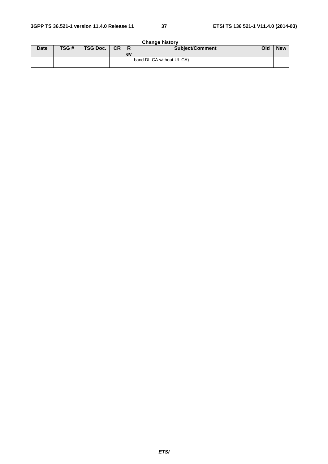|             | <b>Change history</b> |          |           |                |                           |     |            |  |  |  |  |
|-------------|-----------------------|----------|-----------|----------------|---------------------------|-----|------------|--|--|--|--|
| <b>Date</b> | TSG#                  | TSG Doc. | <b>CR</b> | $\overline{R}$ | <b>Subject/Comment</b>    | Old | <b>New</b> |  |  |  |  |
|             |                       |          |           | <b>lev</b>     |                           |     |            |  |  |  |  |
|             |                       |          |           |                | band DL CA without UL CA) |     |            |  |  |  |  |
|             |                       |          |           |                |                           |     |            |  |  |  |  |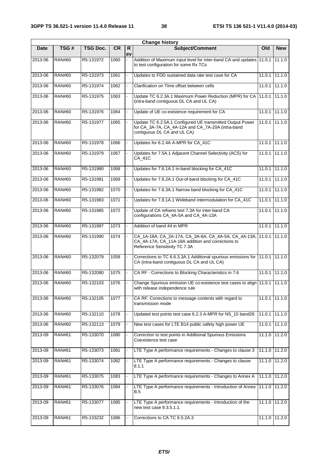|             |               |                 |           |                    | <b>Change history</b>                                                                                                                         |               |                              |
|-------------|---------------|-----------------|-----------|--------------------|-----------------------------------------------------------------------------------------------------------------------------------------------|---------------|------------------------------|
| <b>Date</b> | TSG#          | <b>TSG Doc.</b> | <b>CR</b> | $\mathsf{R}$<br>ev | Subject/Comment                                                                                                                               | Old           | <b>New</b>                   |
| 2013-06     | <b>RAN#60</b> | R5-131972       | 1060      |                    | Addition of Maximum input level for inter-band CA and updates 11.0.1<br>to test configuration for some Rx TCs                                 |               | 11.1.0                       |
| $2013 - 06$ | <b>RAN#60</b> | R5-131973       | 1061      |                    | Updates to FDD sustained data rate test case for CA                                                                                           | 11.0.1        | 11.1.0                       |
| 2013-06     | <b>RAN#60</b> | R5-131974       | 1062      |                    | Clarification on Time offset between cells                                                                                                    | 11.0.1        | 11.1.0                       |
| 2013-06     | <b>RAN#60</b> | R5-131975       | 1063      |                    | Update TC 6.2.3A.1 Maximum Power Reduction (MPR) for CA<br>(intra-band contiguous DL CA and UL CA)                                            | 11.0.1        | 11.1.0                       |
| 2013-06     | <b>RAN#60</b> | R5-131976       | 1064      |                    | Update of UE co-existence requirement for CA                                                                                                  | 11.0.1        | 11.1.0                       |
| 2013-06     | <b>RAN#60</b> | R5-131977       | 1065      |                    | Update TC 6.2.5A.1 Configured UE transmitted Output Power<br>for CA_3A-7A, CA_4A-12A and CA_7A-20A (intra-band<br>contiguous DL CA and UL CA) | 11.0.1        | 11.1.0                       |
| 2013-06     | <b>RAN#60</b> | R5-131978       | 1066      |                    | Updates for 6.2.4A A-MPR for CA_41C                                                                                                           | 11.0.1        | 11.1.0                       |
| 2013-06     | <b>RAN#60</b> | R5-131979       | 1067      |                    | Updates for 7.5A.1 Adjacent Channel Selectivity (ACS) for<br>CA_41C                                                                           | 11.0.1        | 11.1.0                       |
| 2013-06     | <b>RAN#60</b> | R5-131980       | 1068      |                    | Updates for 7.6.1A.1 in-band blocking for CA_41C                                                                                              | 11.0.1        | 11.1.0                       |
| 2013-06     | <b>RAN#60</b> | R5-131981       | 1069      |                    | Updates for 7.6.2A.1 Out-of-band blocking for CA_41C                                                                                          | 11.0.1        | 11.1.0                       |
| 2013-06     | <b>RAN#60</b> | R5-131982       | 1070      |                    | Updates for 7.6.3A.1 Narrow band blocking for CA_41C                                                                                          | 11.0.1        | 11.1.0                       |
| 2013-06     | <b>RAN#60</b> | R5-131983       | 1071      |                    | Updates for 7.8.1A.1 Wideband intermodulation for CA_41C                                                                                      | 11.0.1        | 111.10                       |
| 2013-06     | <b>RAN#60</b> | R5-131985       | 1072      |                    | Update of CA refsens test 7.3A for inter-band CA<br>configurations CA_4A-5A and CA_4A-13A                                                     | 11.0.1        | 11.1.0                       |
| 2013-06     | <b>RAN#60</b> | R5-131987       | 1073      |                    | Addition of band 44 in MPR                                                                                                                    | 11.0.1        | 11.1.0                       |
| 2013-06     | <b>RAN#60</b> | R5-131990       | 1074      |                    | CA_1A-18A, CA_2A-17A, CA_3A-8A, CA_4A-5A, CA_4A-13A,<br>CA_4A-17A, CA_11A-18A addition and corrections to<br>Reference Sensitivity TC 7.3A    | 11.0.1        | 11.1.0                       |
| 2013-06     | <b>RAN#60</b> | R5-132079       | 1058      |                    | Corrections to TC 6.6.3.3A.1 Additional spurious emissions for 11.0.1<br>CA (intra-band contiguous DL CA and UL CA)                           |               | 11.1.0                       |
| 2013-06     | <b>RAN#60</b> | R5-132080       | 1075      |                    | CA RF - Corrections to Blocking Characteristics in 7.6                                                                                        | 11.0.1        | 11.1.0                       |
| 2013-06     | <b>RAN#60</b> | R5-132103       | 1076      |                    | Change Spurious emission UE co-existence test cases to align 11.0.1 11.1.0<br>with release independence rule                                  |               |                              |
| 2013-06     | <b>RAN#60</b> | R5-132105       | 1077      |                    | CA RF: Corrections to message contents with regard to<br>transmission mode                                                                    | 11.0.1        | 11.1.0                       |
| 2013-06     | <b>RAN#60</b> | R5-132110       | 1078      |                    | Updated test points test case 6.2.3 A-MPR for NS_15 band26                                                                                    | 11.0.1        | 11.1.0                       |
| 2013-06     | <b>RAN#60</b> | R5-132113       | 1079      |                    | New test cases for LTE B14 public safety high power UE                                                                                        | 11.0.1        | 11.1.0                       |
| 2013-09     | <b>RAN#61</b> | R5-133070       | 1080      |                    | Correction to test points in Additional Spurious Emissions<br>Coexistence test case                                                           |               | 11.1.0 11.2.0                |
| 2013-09     | <b>RAN#61</b> | R5-133073       | 1081      |                    | LTE Type A performance requirements - Changes to clause 3                                                                                     |               | $11.1.0$ $11.\overline{2.0}$ |
| 2013-09     | <b>RAN#61</b> | R5-133074       | 1082      |                    | LTE Type A performance requirements - Changes to clause<br>8.1.1                                                                              | 11.1.0        | 11.2.0                       |
| 2013-09     | <b>RAN#61</b> | R5-133075       | 1083      |                    | LTE Type A performance requirements - Changes to Annex A                                                                                      | 11.1.0 11.2.0 |                              |
| 2013-09     | <b>RAN#61</b> | R5-133076       | 1084      |                    | LTE Type A performance requirements - Introduction of Annex<br>B.5                                                                            |               | 11.1.0 11.2.0                |
| 2013-09     | <b>RAN#61</b> | R5-133077       | 1085      |                    | LTE Type A performance requirements - Introduction of the<br>new test case 9.3.5.1.1.                                                         | 11.1.0 11.2.0 |                              |
| 2013-09     | <b>RAN#61</b> | R5-133232       | 1086      |                    | Corrections to CA TC 6.5.2A.3                                                                                                                 | 11.1.0        | 11.2.0                       |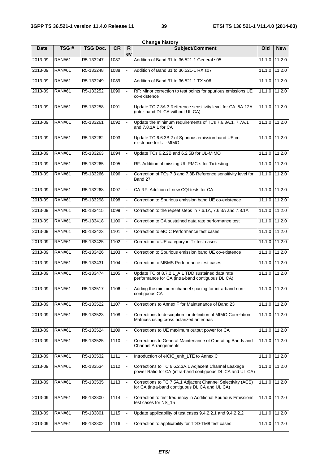|         |               |                 |           |          | <b>Change history</b>                                                                                               |                 |                   |
|---------|---------------|-----------------|-----------|----------|---------------------------------------------------------------------------------------------------------------------|-----------------|-------------------|
| Date    | TSG#          | <b>TSG Doc.</b> | <b>CR</b> | R.<br>ev | <b>Subject/Comment</b>                                                                                              | Old             | <b>New</b>        |
| 2013-09 | <b>RAN#61</b> | R5-133247       | 1087      |          | Addition of Band 31 to 36.521-1 General s05                                                                         | 11.1.0          | 11.2.0            |
| 2013-09 | <b>RAN#61</b> | R5-133248       | 1088      |          | Addition of Band 31 to 36.521-1 RX s07                                                                              | 11.1.0          | 11.2.0            |
| 2013-09 | <b>RAN#61</b> | R5-133249       | 1089      |          | Addition of Band 31 to 36,521-1 TX s06                                                                              | 11.1.0          | 11.2.0            |
| 2013-09 | <b>RAN#61</b> | R5-133252       | 1090      |          | RF: Minor correction to test points for spurious emissions UE<br>co-existence                                       | 11.1.0          | 11.2.0            |
| 2013-09 | <b>RAN#61</b> | R5-133258       | 1091      |          | Update TC 7.3A.3 Reference sensitivity level for CA_5A-12A<br>(inter-band DL CA without UL CA)                      | 11.1.0          | 11.2.0            |
| 2013-09 | <b>RAN#61</b> | R5-133261       | 1092      |          | Update the minimum requirements of TCs 7.6.3A.1, 7.7A.1<br>and 7.8.1A.1 for CA                                      |                 | 11.1.0 11.2.0     |
| 2013-09 | <b>RAN#61</b> | R5-133262       | 1093      |          | Update TC 6.6.3B.2 of Spurious emission band UE co-<br>existence for UL-MIMO                                        | 11.1.0 11.2.0   |                   |
| 2013-09 | <b>RAN#61</b> | R5-133263       | 1094      |          | Update TCs 6.2.2B and 6.2.5B for UL-MIMO                                                                            | 11.1.0 11.2.0   |                   |
| 2013-09 | <b>RAN#61</b> | R5-133265       | 1095      |          | RF: Addition of missing UL-RMC-s for Tx testing                                                                     | 11.1.0          | 11.2.0            |
| 2013-09 | <b>RAN#61</b> | R5-133266       | 1096      |          | Correction of TCs 7.3 and 7.3B Reference sensitivity level for<br>Band 27                                           | 11.1.0 11.2.0   |                   |
| 2013-09 | <b>RAN#61</b> | R5-133268       | 1097      |          | CA RF: Addition of new CQI tests for CA                                                                             | 11.1.0 11.2.0   |                   |
| 2013-09 | <b>RAN#61</b> | R5-133298       | 1098      |          | Correction to Spurious emission band UE co-existence                                                                | 11.1.0 11.2.0   |                   |
| 2013-09 | <b>RAN#61</b> | R5-133415       | 1099      |          | Correction to the repeat steps in 7.6.1A, 7.6.3A and 7.8.1A                                                         | 11.1.0 11.2.0   |                   |
| 2013-09 | <b>RAN#61</b> | R5-133418       | 1100      |          | Correction to CA sustained data rate performance test                                                               | 11.1.0          | 11.2.0            |
| 2013-09 | <b>RAN#61</b> | R5-133423       | 1101      |          | Correction to eICIC Performance test cases                                                                          | 11.1.0          | 11.2.0            |
| 2013-09 | <b>RAN#61</b> | R5-133425       | 1102      |          | Correction to UE category in Tx test cases                                                                          | $11.10$ 11.2.0  |                   |
| 2013-09 | <b>RAN#61</b> | R5-133426       | 1103      |          | Correction to Spurious emission band UE co-existence                                                                | 11.1.0          | 11.2.0            |
| 2013-09 | <b>RAN#61</b> | R5-133431       | 1104      |          | Correction to MBMS Performance test cases                                                                           | 11.1.0          | 11.2.0            |
| 2013-09 | <b>RAN#61</b> | R5-133474       | 1105      |          | Update TC of 8.7.2.1_A.1 TDD sustained data rate<br>performance for CA (intra-band contiguous DL CA)                |                 | 11.1.0 11.2.0     |
| 2013-09 | RAN#61        | R5-133517       | 1106      |          | Adding the minimum channel spacing for intra-band non-<br>contiguous CA                                             | 11.1.0   11.2.0 |                   |
| 2013-09 | <b>RAN#61</b> | R5-133522       | 1107      |          | Corrections to Annex F for Maintenance of Band 23                                                                   | 11.1.0 11.2.0   |                   |
| 2013-09 | <b>RAN#61</b> | R5-133523       | 1108      |          | Corrections to description for definition of MIMO Correlation<br>Matrices using cross polarized antennas            |                 | 11.1.0 11.2.0     |
| 2013-09 | <b>RAN#61</b> | R5-133524       | 1109      |          | Corrections to UE maximum output power for CA                                                                       |                 | 11.1.0 11.2.0     |
| 2013-09 | <b>RAN#61</b> | R5-133525       | 1110      |          | Corrections to General Maintenance of Operating Bands and<br><b>Channel Arrangements</b>                            | 11.1.0          | 11.2.0            |
| 2013-09 | <b>RAN#61</b> | R5-133532       | 1111      |          | Introduction of eICIC_enh_LTE to Annex C                                                                            |                 | 11.1.0 11.2.0     |
| 2013-09 | <b>RAN#61</b> | R5-133534       | 1112      |          | Corrections to TC 6.6.2.3A.1 Adjacent Channel Leakage<br>power Ratio for CA (intra-band contiguous DL CA and UL CA) | 11.1.0 11.2.0   |                   |
| 2013-09 | <b>RAN#61</b> | R5-133535       | 1113      |          | Corrections to TC 7.5A.1 Adjacent Channel Selectivity (ACS)<br>for CA (intra-band contiguous DL CA and UL CA)       | 11.1.0 11.2.0   |                   |
| 2013-09 | <b>RAN#61</b> | R5-133800       | 1114      |          | Correction to test frequency in Additional Spurious Emissions<br>test cases for NS_15                               | 11.1.0          | 11.2.0            |
| 2013-09 | <b>RAN#61</b> | R5-133801       | 1115      |          | Update applicability of test cases 9.4.2.2.1 and 9.4.2.2.2                                                          | 11.1.0          | 11.2.0            |
| 2013-09 | <b>RAN#61</b> | R5-133802       | 1116      |          | Correction to applicability for TDD-TM8 test cases                                                                  |                 | $11.1.0$ $11.2.0$ |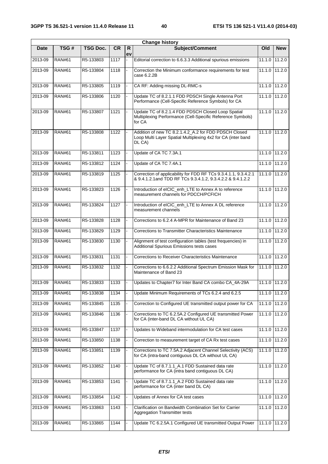|             |               |                 |           |                    | <b>Change history</b>                                                                                                           |               |                                         |
|-------------|---------------|-----------------|-----------|--------------------|---------------------------------------------------------------------------------------------------------------------------------|---------------|-----------------------------------------|
| <b>Date</b> | TSG#          | <b>TSG Doc.</b> | <b>CR</b> | $\mathsf{R}$<br>ev | Subject/Comment                                                                                                                 | Old           | <b>New</b>                              |
| 2013-09     | <b>RAN#61</b> | R5-133803       | 1117      |                    | Editorial correction to 6.6.3.3 Additional spurious emissions                                                                   | 11.1.0        | 11.2.0                                  |
| 2013-09     | <b>RAN#61</b> | R5-133804       | 1118      |                    | Correction the Minimum conformance requirements for test<br>case 6.2.2B                                                         |               | 11.1.0 11.2.0                           |
| 2013-09     | <b>RAN#61</b> | R5-133805       | 1119      |                    | CA RF: Adding missing DL-RMC-s                                                                                                  |               | 11.1.0 11.2.0                           |
| 2013-09     | <b>RAN#61</b> | R5-133806       | 1120      |                    | Update TC of 8.2.1.1 FDD PDSCH Single Antenna Port<br>Performance (Cell-Specific Reference Symbols) for CA                      |               | 11.1.0 11.2.0                           |
| 2013-09     | <b>RAN#61</b> | R5-133807       | 1121      |                    | Update TC of 8.2.1.4 FDD PDSCH Closed Loop Spatial<br>Multiplexing Performance (Cell-Specific Reference Symbols)<br>for CA      |               | 11.1.0 11.2.0                           |
| 2013-09     | <b>RAN#61</b> | R5-133808       | 1122      |                    | Addition of new TC 8.2.1.4.2_A.2 for FDD PDSCH Closed<br>Loop Multi Layer Spatial Multiplexing 4x2 for CA (inter band<br>DL CA) |               | 11.1.0 11.2.0                           |
| 2013-09     | <b>RAN#61</b> | R5-133811       | 1123      |                    | Update of CA TC 7.3A.1                                                                                                          |               | 11.1.0 11.2.0                           |
| 2013-09     | <b>RAN#61</b> | R5-133812       | 1124      |                    | Update of CA TC 7.4A.1                                                                                                          | 11.1.0        | 11.2.0                                  |
| 2013-09     | <b>RAN#61</b> | R5-133819       | 1125      |                    | Correction of applicability for FDD RF TCs 9.3.4.1.1, 9.3.4.2.1<br>& 9.4.1.2.1 and TDD RF TCs 9.3.4.1.2, 9.3.4.2.2 & 9.4.1.2.2  |               | 11.1.0 11.2.0                           |
| 2013-09     | <b>RAN#61</b> | R5-133823       | 1126      |                    | Introduction of eICIC_enh_LTE to Annex A to reference<br>measurement channels for PDCCH/PCFICH                                  |               | 11.1.0 11.2.0                           |
| 2013-09     | <b>RAN#61</b> | R5-133824       | 1127      |                    | Introduction of eICIC_enh_LTE to Annex A DL reference<br>measurement channels                                                   | 11.1.0 11.2.0 |                                         |
| 2013-09     | <b>RAN#61</b> | R5-133828       | 1128      |                    | Corrections to 6.2.4 A-MPR for Maintenance of Band 23                                                                           |               | 11.1.0 11.2.0                           |
| 2013-09     | <b>RAN#61</b> | R5-133829       | 1129      |                    | Corrections to Transmitter Characteristics Maintenance                                                                          | 11.1.0        | 11.2.0                                  |
| 2013-09     | <b>RAN#61</b> | R5-133830       | 1130      |                    | Alignment of test configuration tables (test frequencies) in<br>Additional Spurious Emissions tests cases                       |               | 11.1.0 11.2.0                           |
| 2013-09     | <b>RAN#61</b> | R5-133831       | 1131      |                    | Corrections to Receiver Characteristics Maintenance                                                                             |               | 11.1.0 11.2.0                           |
| 2013-09     | <b>RAN#61</b> | R5-133832       | 1132      |                    | Corrections to 6.6.2.2 Additional Spectrum Emission Mask for<br>Maintenance of Band 23                                          |               | 11.1.0 11.2.0                           |
| 2013-09     | <b>RAN#61</b> | R5-133833       | 1133      |                    | Updates to Chapter7 for Inter Band CA combo CA_4A-29A                                                                           |               | 11.1.0 11.2.0                           |
| 2013-09     | <b>RAN#61</b> | R5-133838       | 1134      |                    | Update Minimum Requirements of TCs 6.2.4 and 6.2.5                                                                              |               | 11.1.0 11.2.0                           |
| 2013-09     | <b>RAN#61</b> | R5-133845       | 1135      |                    | Correction to Configured UE transmitted output power for CA                                                                     |               | 11.1.0 11.2.0                           |
| 2013-09     | <b>RAN#61</b> | R5-133846       | 1136      |                    | Corrections to TC 6.2.5A.2 Configured UE transmitted Power<br>for CA (inter-band DL CA without UL CA)                           |               | 11.1.0 11.2.0                           |
| 2013-09     | <b>RAN#61</b> | R5-133847       | 1137      |                    | Updates to Wideband intermodulation for CA test cases                                                                           |               | 11.1.0 11.2.0                           |
| 2013-09     | <b>RAN#61</b> | R5-133850       | 1138      |                    | Correction to measurement target of CA Rx test cases                                                                            | 11.1.0        | 11.2.0                                  |
| 2013-09     | <b>RAN#61</b> | R5-133851       | 1139      |                    | Corrections to TC 7.5A.2 Adjacent Channel Selectivity (ACS)<br>for CA (intra-band contiguous DL CA without UL CA)               |               | 11.1.0 11.2.0                           |
| 2013-09     | <b>RAN#61</b> | R5-133852       | 1140      |                    | Update TC of 8.7.1.1_A.1 FDD Sustained data rate<br>performance for CA (intra band contiguous DL CA)                            |               | 11.1.0 11.2.0                           |
| 2013-09     | <b>RAN#61</b> | R5-133853       | 1141      |                    | Update TC of 8.7.1.1_A.2 FDD Sustained data rate<br>performance for CA (inter band DL CA)                                       |               | 11.1.0 11.2.0                           |
| 2013-09     | <b>RAN#61</b> | R5-133854       | 1142      |                    | Updates of Annex for CA test cases                                                                                              |               | 11.1.0 11.2.0                           |
| 2013-09     | <b>RAN#61</b> | R5-133863       | 1143      |                    | Clarification on Bandwidth Combination Set for Carrier<br>Aggregation Transmitter tests                                         |               | $11.\overline{1.0}$ $11.\overline{2.0}$ |
| 2013-09     | <b>RAN#61</b> | R5-133865       | 1144      |                    | Update TC 6.2.5A.1 Configured UE transmitted Output Power                                                                       |               | 11.1.0 11.2.0                           |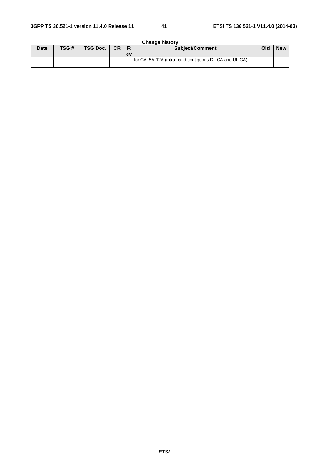|             | <b>Change history</b> |          |           |            |                                                       |     |            |  |  |  |  |  |
|-------------|-----------------------|----------|-----------|------------|-------------------------------------------------------|-----|------------|--|--|--|--|--|
| <b>Date</b> | TSG#                  | TSG Doc. | <b>CR</b> |            | <b>Subject/Comment</b>                                | Old | <b>New</b> |  |  |  |  |  |
|             |                       |          |           | <b>lev</b> |                                                       |     |            |  |  |  |  |  |
|             |                       |          |           |            | for CA 5A-12A (intra-band contiguous DL CA and UL CA) |     |            |  |  |  |  |  |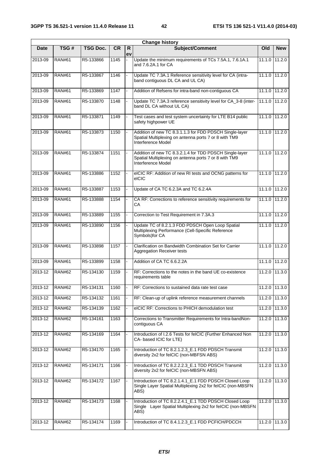| <b>Change history</b> |               |                 |           |                    |                                                                                                                                        |               |               |
|-----------------------|---------------|-----------------|-----------|--------------------|----------------------------------------------------------------------------------------------------------------------------------------|---------------|---------------|
| <b>Date</b>           | TSG#          | <b>TSG Doc.</b> | <b>CR</b> | $\mathsf{R}$<br>ev | <b>Subject/Comment</b>                                                                                                                 | Old           | <b>New</b>    |
| 2013-09               | <b>RAN#61</b> | R5-133866       | 1145      |                    | Update the minimum requirements of TCs 7.5A.1, 7.6.1A.1<br>and 7.6.2A.1 for CA                                                         | 11.1.0        | 11.2.0        |
| $2013 - 09$           | <b>RAN#61</b> | R5-133867       | 1146      |                    | Update TC 7.3A.1 Reference sensitivity level for CA (intra-<br>band contiguous DL CA and UL CA)                                        | 11.1.0 11.2.0 |               |
| 2013-09               | <b>RAN#61</b> | R5-133869       | 1147      |                    | Addition of Refsens for intra-band non-contiguous CA                                                                                   |               | 11.1.0 11.2.0 |
| 2013-09               | <b>RAN#61</b> | R5-133870       | 1148      |                    | Update TC 7.3A.3 reference sensitivity level for CA_3-8 (inter-<br>band DL CA without UL CA)                                           | 11.1.0        | 11.2.0        |
| 2013-09               | <b>RAN#61</b> | R5-133871       | 1149      |                    | Test cases and test system uncertainty for LTE B14 public<br>safety highpower UE                                                       | 11.1.0        | 11.2.0        |
| 2013-09               | <b>RAN#61</b> | R5-133873       | 1150      |                    | Addition of new TC 8.3.1.1.3 for FDD PDSCH Single-layer<br>Spatial Multiplexing on antenna ports 7 or 8 with TM9<br>Interference Model | 11.1.0 11.2.0 |               |
| 2013-09               | <b>RAN#61</b> | R5-133874       | 1151      |                    | Addition of new TC 8.3.2.1.4 for TDD PDSCH Single-layer<br>Spatial Multiplexing on antenna ports 7 or 8 with TM9<br>Interference Model | 11.1.0        | 11.2.0        |
| 2013-09               | <b>RAN#61</b> | R5-133886       | 1152      |                    | elCIC RF: Addition of new RI tests and OCNG patterns for<br>elCIC                                                                      | 11.1.0 11.2.0 |               |
| 2013-09               | <b>RAN#61</b> | R5-133887       | 1153      |                    | Update of CA TC 6.2.3A and TC 6.2.4A                                                                                                   | 11.1.0        | 11.2.0        |
| 2013-09               | <b>RAN#61</b> | R5-133888       | 1154      |                    | CA RF: Corrections to reference sensitivity requirements for<br>CA                                                                     | 11.1.0        | 11.2.0        |
| 2013-09               | <b>RAN#61</b> | R5-133889       | 1155      |                    | Correction to Test Requirement in 7.3A.3                                                                                               |               | 11.1.0 11.2.0 |
| 2013-09               | <b>RAN#61</b> | R5-133890       | 1156      |                    | Update TC of 8.2.1.3 FDD PDSCH Open Loop Spatial<br>Multiplexing Performance (Cell-Specific Reference<br>Symbols) for CA               | 11.1.0        | 11.2.0        |
| 2013-09               | <b>RAN#61</b> | R5-133898       | 1157      |                    | Clarification on Bandwidth Combination Set for Carrier<br><b>Aggregation Receiver tests</b>                                            | 11.1.0 11.2.0 |               |
| 2013-09               | <b>RAN#61</b> | R5-133899       | 1158      |                    | Addition of CA TC 6.6.2.2A                                                                                                             | 11.1.0 11.2.0 |               |
| 2013-12               | <b>RAN#62</b> | R5-134130       | 1159      |                    | RF: Corrections to the notes in the band UE co-existence<br>requirements table                                                         | 11.2.0        | 11.3.0        |
| 2013-12               | <b>RAN#62</b> | R5-134131       | 1160      |                    | RF: Corrections to sustained data rate test case                                                                                       | 11.2.0 11.3.0 |               |
| 2013-12               | <b>RAN#62</b> | R5-134132       | 1161      |                    | RF: Clean-up of uplink reference measurement channels                                                                                  | 11.2.0        | 11.3.0        |
| 2013-12               | <b>RAN#62</b> | R5-134139       | 1162      |                    | eICIC RF: Corrections to PHICH demodulation test                                                                                       | 11.2.0        | 11.3.0        |
| 2013-12               | <b>RAN#62</b> | R5-134161       | 1163      |                    | Corrections to Transmitter Requirements for Intra-bandNon-<br>contiguous CA                                                            | 11.2.0        | 11.3.0        |
| 2013-12               | <b>RAN#62</b> | R5-134169       | 1164      |                    | Introduction of I.2.6 Tests for felCIC (Further Enhanced Non<br>CA-based ICIC for LTE)                                                 | 11.2.0        | 11.3.0        |
| 2013-12               | <b>RAN#62</b> | R5-134170       | 1165      |                    | Introduction of TC 8.2.1.2.3_E.1 FDD PDSCH Transmit<br>diversity 2x2 for felCIC (non-MBFSN ABS)                                        |               | 11.2.0 11.3.0 |
| 2013-12               | <b>RAN#62</b> | R5-134171       | 1166      |                    | Introduction of TC 8.2.2.2.3 E.1 TDD PDSCH Transmit<br>diversity 2x2 for felCIC (non-MBSFN ABS)                                        |               | 11.2.0 11.3.0 |
| 2013-12               | <b>RAN#62</b> | R5-134172       | 1167      |                    | Introduction of TC 8.2.1.4.1 E.1 FDD PDSCH Closed Loop<br>Single Layer Spatial Multiplexing 2x2 for felCIC (non-MBSFN<br>ABS)          | 11.2.0        | 11.3.0        |
| 2013-12               | <b>RAN#62</b> | R5-134173       | 1168      |                    | Introduction of TC 8.2.2.4.1_E.1 TDD PDSCH Closed Loop<br>Single Layer Spatial Multiplexing 2x2 for felCIC (non-MBSFN<br>ABS)          |               | 11.2.0 11.3.0 |
| 2013-12               | <b>RAN#62</b> | R5-134174       | 1169      |                    | Introduction of TC 8.4.1.2.3_E.1 FDD PCFICH/PDCCH                                                                                      |               | 11.2.0 11.3.0 |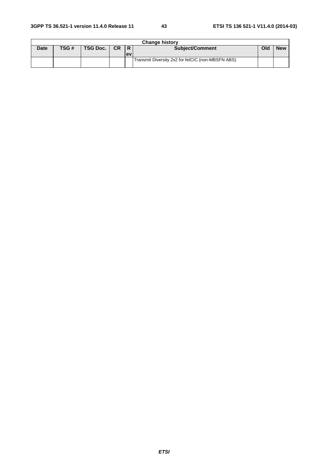| <b>Change history</b> |      |               |  |           |                                                   |     |            |  |
|-----------------------|------|---------------|--|-----------|---------------------------------------------------|-----|------------|--|
| <b>Date</b>           | TSG# | TSG Doc.   CR |  | IR.       | <b>Subject/Comment</b>                            | Old | <b>New</b> |  |
|                       |      |               |  | <b>ev</b> |                                                   |     |            |  |
|                       |      |               |  |           | Transmit Diversity 2x2 for felCIC (non-MBSFN ABS) |     |            |  |
|                       |      |               |  |           |                                                   |     |            |  |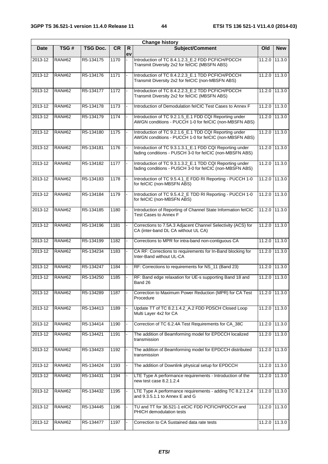| <b>Change history</b> |               |                 |           |                    |                                                                                                                      |               |               |
|-----------------------|---------------|-----------------|-----------|--------------------|----------------------------------------------------------------------------------------------------------------------|---------------|---------------|
| Date                  | TSG#          | <b>TSG Doc.</b> | <b>CR</b> | $\mathsf{R}$<br>ev | Subject/Comment                                                                                                      | Old           | <b>New</b>    |
| 2013-12               | <b>RAN#62</b> | R5-134175       | 1170      |                    | Introduction of TC 8.4.1.2.3_E.2 FDD PCFICH/PDCCH<br>Transmit Diversity 2x2 for felCIC (MBSFN ABS)                   | 11.2.0        | 11.3.0        |
| 2013-12               | <b>RAN#62</b> | R5-134176       | 1171      |                    | Introduction of TC 8.4.2.2.3 E.1 TDD PCFICH/PDCCH<br>Transmit Diversity 2x2 for felCIC (non-MBSFN ABS)               |               | 11.2.0 11.3.0 |
| 2013-12               | <b>RAN#62</b> | R5-134177       | 1172      |                    | Introduction of TC 8.4.2.2.3_E.2 TDD PCFICH/PDCCH<br>Transmit Diversity 2x2 for felCIC (MBSFN ABS)                   | 11.2.0        | 11.3.0        |
| 2013-12               | <b>RAN#62</b> | R5-134178       | 1173      |                    | Introduction of Demodulation felCIC Test Cases to Annex F                                                            | 11.2.0 11.3.0 |               |
| $2013 - 12$           | <b>RAN#62</b> | R5-134179       | 1174      |                    | Introduction of TC 9.2.1.5_E.1 FDD CQI Reporting under<br>AWGN conditions - PUCCH 1-0 for felCIC (non-MBSFN ABS)     |               | 11.2.0 11.3.0 |
| 2013-12               | <b>RAN#62</b> | R5-134180       | 1175      |                    | Introduction of TC 9.2.1.6_E.1 TDD CQI Reporting under<br>AWGN conditions - PUCCH 1-0 for felCIC (non-MBSFN ABS)     | 11.2.0        | 11.3.0        |
| 2013-12               | <b>RAN#62</b> | R5-134181       | 1176      |                    | Introduction of TC 9.3.1.3.1_E.1 FDD CQI Reporting under<br>fading conditions - PUSCH 3-0 for felCIC (non-MBSFN ABS) | 11.2.0 11.3.0 |               |
| 2013-12               | <b>RAN#62</b> | R5-134182       | 1177      |                    | Introduction of TC 9.3.1.3.2_E.1 TDD CQI Reporting under<br>fading conditions - PUSCH 3-0 for felCIC (non-MBSFN ABS) | 11.2.0 11.3.0 |               |
| 2013-12               | <b>RAN#62</b> | R5-134183       | 1178      |                    | Introduction of TC 9.5.4.1 E FDD RI Reporting - PUCCH 1-0<br>for felCIC (non-MBSFN ABS)                              | 11.2.0        | 11.3.0        |
| 2013-12               | <b>RAN#62</b> | R5-134184       | 1179      |                    | Introduction of TC 9.5.4.2_E TDD RI Reporting - PUCCH 1-0<br>for felCIC (non-MBSFN ABS)                              | 11.2.0        | 11.3.0        |
| 2013-12               | <b>RAN#62</b> | R5-134185       | 1180      |                    | Introduction of Reporting of Channel State Information felCIC<br><b>Test Cases to Annex F</b>                        | 11.2.0 11.3.0 |               |
| 2013-12               | <b>RAN#62</b> | R5-134196       | 1181      |                    | Corrections to 7.5A.3 Adjacent Channel Selectivity (ACS) for<br>CA (inter-band DL CA without UL CA)                  | 11.2.0 11.3.0 |               |
| 2013-12               | <b>RAN#62</b> | R5-134199       | 1182      |                    | Corrections to MPR for intra-band non-contiguous CA                                                                  |               | 11.2.0 11.3.0 |
| 2013-12               | <b>RAN#62</b> | R5-134234       | 1183      |                    | CA RF: Corrections to requirements for In-Band blocking for<br>Inter-Band without UL-CA                              | 11.2.0        | 11.3.0        |
| 2013-12               | <b>RAN#62</b> | R5-134247       | 1184      |                    | RF: Corrections to requirements for NS_11 (Band 23)                                                                  | 11.2.0 11.3.0 |               |
| 2013-12               | <b>RAN#62</b> | R5-134250       | 1185      |                    | RF: Band edge relaxation for UE-s supporting Band 18 and<br>Band 26                                                  | 11.2.0        | 11.3.0        |
| 2013-12               | <b>RAN#62</b> | R5-134289       | 1187      |                    | Correction to Maximum Power Reduction (MPR) for CA Test<br>Procedure                                                 | 11.2.0 11.3.0 |               |
| 2013-12               | <b>RAN#62</b> | R5-134413       | 1189      |                    | Update TT of TC 8.2.1.4.2_A.2 FDD PDSCH Closed Loop<br>Multi Layer 4x2 for CA                                        |               | 11.2.0 11.3.0 |
| 2013-12               | <b>RAN#62</b> | R5-134414       | 1190      |                    | Correction of TC 6.2.4A Test Requirements for CA_38C                                                                 |               | 11.2.0 11.3.0 |
| 2013-12               | <b>RAN#62</b> | R5-134421       | 1191      |                    | The addition of Beamforming model for EPDCCH localized<br>transmission                                               |               | 11.2.0 11.3.0 |
| 2013-12               | <b>RAN#62</b> | R5-134423       | 1192      |                    | The addition of Beamforming model for EPDCCH distributed<br>transmission                                             |               | 11.2.0 11.3.0 |
| 2013-12               | <b>RAN#62</b> | R5-134424       | 1193      |                    | The addition of Downlink physical setup for EPDCCH                                                                   | 11.2.0 11.3.0 |               |
| 2013-12               | <b>RAN#62</b> | R5-134431       | 1194      |                    | LTE Type A performance requirements - Introduction of the<br>new test case 8.2.1.2.4                                 | 11.2.0        | 11.3.0        |
| 2013-12               | <b>RAN#62</b> | R5-134432       | 1195      |                    | LTE Type A performance requirements - adding TC 8.2.1.2.4<br>and 9.3.5.1.1 to Annex E and G                          |               | 11.2.0 11.3.0 |
| 2013-12               | <b>RAN#62</b> | R5-134445       | 1196      |                    | TU and TT for 36.521-1 eICIC FDD PCFICH/PDCCH and<br>PHICH demodulation tests                                        | 11.2.0        | 11.3.0        |
| 2013-12               | <b>RAN#62</b> | R5-134477       | 1197      |                    | Correction to CA Sustained data rate tests                                                                           |               | 11.2.0 11.3.0 |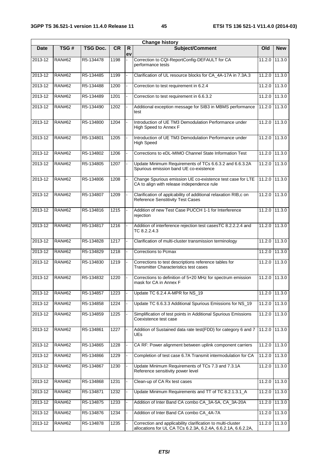| <b>Change history</b> |               |                 |           |                    |                                                                                                                              |                            |            |
|-----------------------|---------------|-----------------|-----------|--------------------|------------------------------------------------------------------------------------------------------------------------------|----------------------------|------------|
| <b>Date</b>           | TSG#          | <b>TSG Doc.</b> | <b>CR</b> | $\mathsf{R}$<br>ev | Subject/Comment                                                                                                              | Old                        | <b>New</b> |
| 2013-12               | <b>RAN#62</b> | R5-134478       | 1198      |                    | Correction to CQI-ReportConfig-DEFAULT for CA<br>performance tests                                                           | 11.2.0                     | 11.3.0     |
| 2013-12               | <b>RAN#62</b> | R5-134485       | 1199      |                    | Clarification of UL resource blocks for CA_4A-17A in 7.3A.3                                                                  | 11.2.0 11.3.0              |            |
| 2013-12               | <b>RAN#62</b> | R5-134488       | 1200      |                    | Correction to test requirement in 6.2.4                                                                                      | 11.2.0                     | 11.3.0     |
| 2013-12               | <b>RAN#62</b> | R5-134489       | 1201      |                    | Correction to test requirement in 6.6.3.2                                                                                    | 11.2.0 11.3.0              |            |
| 2013-12               | <b>RAN#62</b> | R5-134490       | 1202      |                    | Additional exception message for SIB3 in MBMS performance<br>test                                                            | 11.2.0                     | 11.3.0     |
| 2013-12               | <b>RAN#62</b> | R5-134800       | 1204      |                    | Introduction of UE TM3 Demodulation Performance under<br>High Speed to Annex F                                               | 11.2.0                     | 11.3.0     |
| 2013-12               | <b>RAN#62</b> | R5-134801       | 1205      |                    | Introduction of UE TM3 Demodulation Performance under<br><b>High Speed</b>                                                   | 11.2.0 11.3.0              |            |
| 2013-12               | <b>RAN#62</b> | R5-134802       | 1206      |                    | Corrections to eDL-MIMO Channel State Information Test                                                                       | 11.2.0                     | 11.3.0     |
| 2013-12               | <b>RAN#62</b> | R5-134805       | 1207      |                    | Update Minimum Requirements of TCs 6.6.3.2 and 6.6.3.2A<br>Spurious emission band UE co-existence                            | 11.2.0                     | 11.3.0     |
| 2013-12               | <b>RAN#62</b> | R5-134806       | 1208      |                    | Change Spurious emission UE co-existence test case for LTE<br>CA to align with release independence rule                     | $11.\overline{2.0}$ 11.3.0 |            |
| 2013-12               | <b>RAN#62</b> | R5-134807       | 1209      |                    | Clarification of applcability of additional relaxation RIB,c on<br>Reference Senstitivity Test Cases                         | 11.2.0 11.3.0              |            |
| 2013-12               | <b>RAN#62</b> | R5-134816       | 1215      |                    | Addition of new Test Case PUCCH 1-1 for Interference<br>rejection                                                            | 11.2.0 11.3.0              |            |
| 2013-12               | <b>RAN#62</b> | R5-134817       | 1216      |                    | Addition of interference rejection test casesTC 8.2.2.2.4 and<br>TC 8.2.2.4.3                                                | 11.2.0                     | 11.3.0     |
| 2013-12               | <b>RAN#62</b> | R5-134828       | 1217      |                    | Clarification of multi-cluster transmission terminology                                                                      | 11.2.0                     | 11.3.0     |
| 2013-12               | <b>RAN#62</b> | R5-134829       | 1218      |                    | Corrections to Pcmax                                                                                                         | 11.2.0                     | 11.3.0     |
| 2013-12               | <b>RAN#62</b> | R5-134830       | 1219      |                    | Corrections to test descriptions reference tables for<br><b>Transmitter Characteristics test cases</b>                       | 11.2.0                     | 11.3.0     |
| $2013 - 12$           | <b>RAN#62</b> | R5-134832       | 1220      |                    | Corrections to definition of 5+20 MHz for spectrum emission<br>mask for CA in Annex F                                        | 11.2.0                     | 11.3.0     |
| 2013-12               | <b>RAN#62</b> | R5-134857       | 1223      |                    | Update TC 6.2.4 A-MPR for NS_19                                                                                              | 11.2.0 11.3.0              |            |
| 2013-12               | <b>RAN#62</b> | R5-134858       | 1224      |                    | Update TC 6.6.3.3 Additional Spurious Emissions for NS_19                                                                    | 11.2.0                     | 11.3.0     |
| 2013-12               | <b>RAN#62</b> | R5-134859       | 1225      |                    | Simplification of test points in Additional Spurious Emissions<br>Coexistence test case                                      | 11.2.0                     | 11.3.0     |
| 2013-12               | <b>RAN#62</b> | R5-134861       | 1227      |                    | Addition of Sustained data rate test(FDD) for category 6 and 7<br>UEs                                                        | 11.2.0 11.3.0              |            |
| 2013-12               | <b>RAN#62</b> | R5-134865       | 1228      |                    | CA RF: Power alignment between uplink component carriers                                                                     | 11.2.0                     | 11.3.0     |
| 2013-12               | <b>RAN#62</b> | R5-134866       | 1229      |                    | Completion of test case 6.7A Transmit intermodulation for CA                                                                 | 11.2.0                     | 11.3.0     |
| 2013-12               | <b>RAN#62</b> | R5-134867       | 1230      |                    | Update Minimum Requirements of TCs 7.3 and 7.3.1A<br>Reference sensitivity power level                                       | 11.2.0 11.3.0              |            |
| 2013-12               | <b>RAN#62</b> | R5-134868       | 1231      |                    | Clean-up of CA Rx test cases                                                                                                 | 11.2.0                     | 11.3.0     |
| 2013-12               | <b>RAN#62</b> | R5-134871       | 1232      |                    | Update Minimum Requirements and TT of TC 8.2.1.3.1_A                                                                         | 11.2.0                     | 11.3.0     |
| 2013-12               | <b>RAN#62</b> | R5-134875       | 1233      |                    | Addition of Inter Band CA combo CA_3A-5A, CA_3A-20A                                                                          | 11.2.0                     | 11.3.0     |
| 2013-12               | <b>RAN#62</b> | R5-134876       | 1234      |                    | Addition of Inter Band CA combo CA_4A-7A                                                                                     | 11.2.0                     | 11.3.0     |
| 2013-12               | <b>RAN#62</b> | R5-134878       | 1235      |                    | Correction and applicability clarification to multi-cluster<br>allocations for UL CA TCs 6.2.3A, 6.2.4A, 6.6.2.1A, 6.6.2.2A, | 11.2.0                     | 11.3.0     |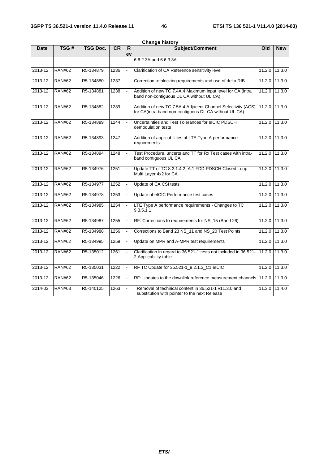| <b>Change history</b> |               |           |           |                    |                                                                                                                       |               |                |  |
|-----------------------|---------------|-----------|-----------|--------------------|-----------------------------------------------------------------------------------------------------------------------|---------------|----------------|--|
| <b>Date</b>           | TSG#          | TSG Doc.  | <b>CR</b> | $\mathsf{R}$<br>ev | Subject/Comment                                                                                                       | Old           | <b>New</b>     |  |
|                       |               |           |           |                    | 6.6.2.3A and 6.6.3.3A                                                                                                 |               |                |  |
| 2013-12               | <b>RAN#62</b> | R5-134879 | 1236      |                    | Clarification of CA Reference sensitivity level                                                                       |               | 11.2.0 11.3.0  |  |
| 2013-12               | <b>RAN#62</b> | R5-134880 | 1237      |                    | Correction to blocking requirements and use of delta RIB                                                              | 11.2.0        | 11.3.0         |  |
| 2013-12               | <b>RAN#62</b> | R5-134881 | 1238      |                    | Addition of new TC 7.4A.4 Maximum input level for CA (intra<br>band non-contiguous DL CA without UL CA)               | 11.2.0        | 11.3.0         |  |
| 2013-12               | <b>RAN#62</b> | R5-134882 | 1239      |                    | Addition of new TC 7.5A.4 Adjacent Channel Selectivity (ACS)<br>for CA(intra band non-contiguous DL CA without UL CA) | 11.2.0 11.3.0 |                |  |
| 2013-12               | <b>RAN#62</b> | R5-134889 | 1244      |                    | Uncertainties and Test Tolerances for eICIC PDSCH<br>demodulation tests                                               |               | 11.2.0 11.3.0  |  |
| 2013-12               | <b>RAN#62</b> | R5-134893 | 1247      |                    | Addition of applicabilities of LTE Type A performance<br>requirements                                                 |               | 11.2.0 11.3.0  |  |
| 2013-12               | <b>RAN#62</b> | R5-134894 | 1248      |                    | Test Procedure, uncerts and TT for Rx Test cases with intra-<br>band contiguous UL CA                                 |               | 11.2.0 11.3.0  |  |
| 2013-12               | <b>RAN#62</b> | R5-134976 | 1251      |                    | Update TT of TC 8.2.1.4.2 A.1 FDD PDSCH Closed Loop<br>Multi Layer 4x2 for CA                                         |               | 11.2.0 111.3.0 |  |
| 2013-12               | <b>RAN#62</b> | R5-134977 | 1252      |                    | Update of CA CSI tests                                                                                                | 11.2.0        | 11.3.0         |  |
| 2013-12               | <b>RAN#62</b> | R5-134978 | 1253      |                    | Update of eICIC Performance test cases                                                                                | 11.2.0        | 11.3.0         |  |
| $2013 - 12$           | <b>RAN#62</b> | R5-134985 | 1254      |                    | LTE Type A performance requirements - Changes to TC<br>9.3.5.1.1                                                      | 11.2.0        | 11.3.0         |  |
| 2013-12               | <b>RAN#62</b> | R5-134987 | 1255      |                    | RF: Corrections to requirements for NS_15 (Band 26)                                                                   | 11.2.0        | 11.3.0         |  |
| 2013-12               | <b>RAN#62</b> | R5-134988 | 1256      |                    | Corrections to Band 23 NS_11 and NS_20 Test Points                                                                    | 11.2.0        | 11.3.0         |  |
| 2013-12               | <b>RAN#62</b> | R5-134995 | 1259      |                    | Update on MPR and A-MPR test requirements                                                                             | 11.2.0        | 11.3.0         |  |
| 2013-12               | <b>RAN#62</b> | R5-135012 | 1261      |                    | Clarification in regard to 36.521-1 tests not included in 36.521-<br>2 Applicability table                            | 11.2.0        | 11.3.0         |  |
| 2013-12               | <b>RAN#62</b> | R5-135031 | 1222      |                    | RF TC Update for 36.521-1_9.2.1.3_C1 eICIC                                                                            |               | 11.2.0 111.3.0 |  |
| 2013-12               | <b>RAN#62</b> | R5-135046 | 1226      |                    | RF: Updates to the downlink reference measurement channels 11.2.0                                                     |               | 11.3.0         |  |
| 2014-03               | <b>RAN#63</b> | R5-140125 | 1263      |                    | Removal of technical content in 36.521-1 v11.3.0 and<br>substitution with pointer to the next Release                 |               | 11.3.0 11.4.0  |  |